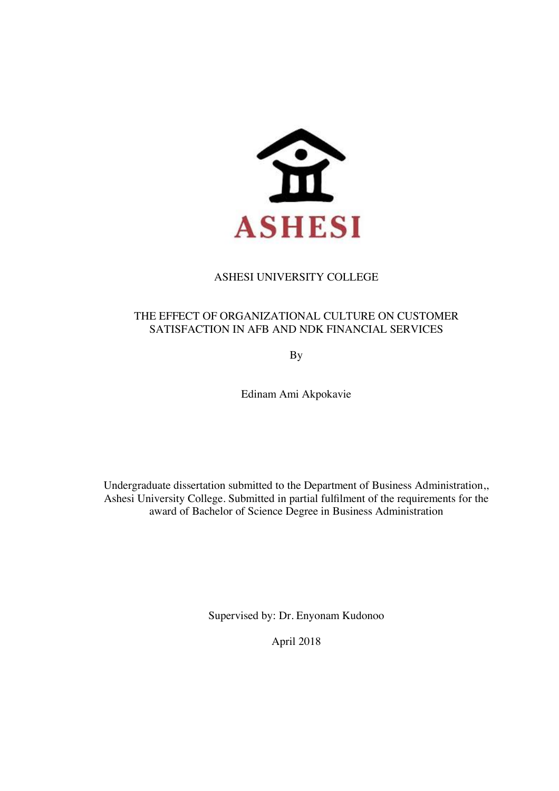

## ASHESI UNIVERSITY COLLEGE

## THE EFFECT OF ORGANIZATIONAL CULTURE ON CUSTOMER SATISFACTION IN AFB AND NDK FINANCIAL SERVICES

By

Edinam Ami Akpokavie

Undergraduate dissertation submitted to the Department of Business Administration,, Ashesi University College. Submitted in partial fulfilment of the requirements for the award of Bachelor of Science Degree in Business Administration

Supervised by: Dr. Enyonam Kudonoo

April 2018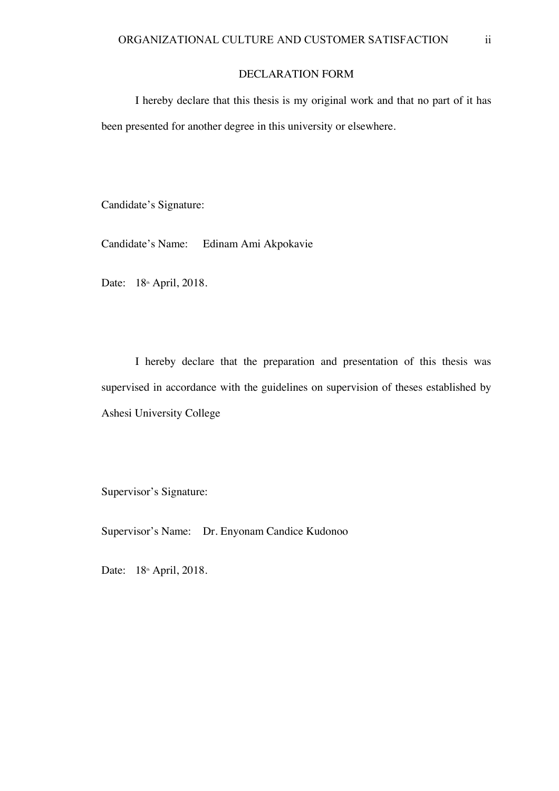## DECLARATION FORM

I hereby declare that this thesis is my original work and that no part of it has been presented for another degree in this university or elsewhere.

Candidate's Signature:

Candidate's Name: Edinam Ami Akpokavie

Date: 18<sup>th</sup> April, 2018.

I hereby declare that the preparation and presentation of this thesis was supervised in accordance with the guidelines on supervision of theses established by Ashesi University College

Supervisor's Signature:

Supervisor's Name: Dr. Enyonam Candice Kudonoo

Date: 18<sup>th</sup> April, 2018.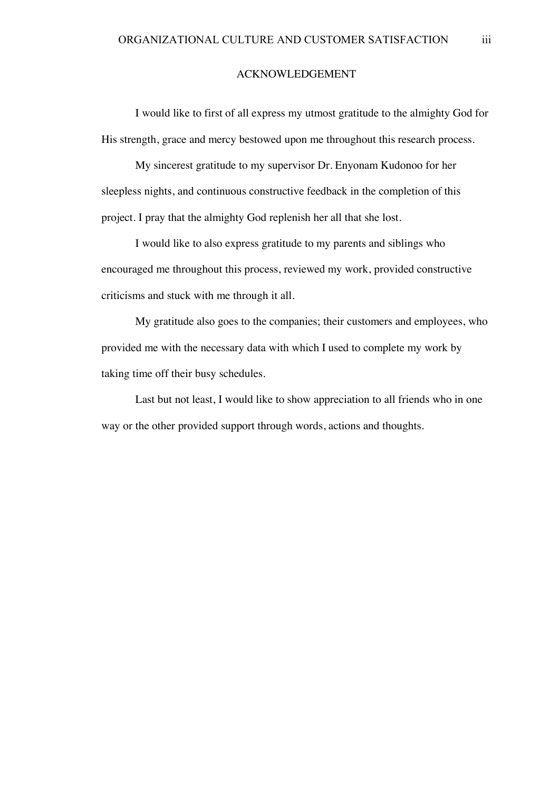#### ACKNOWLEDGEMENT

I would like to first of all express my utmost gratitude to the almighty God for His strength, grace and mercy bestowed upon me throughout this research process.

My sincerest gratitude to my supervisor Dr. Enyonam Kudonoo for her sleepless nights, and continuous constructive feedback in the completion of this project. I pray that the almighty God replenish her all that she lost.

I would like to also express gratitude to my parents and siblings who encouraged me throughout this process, reviewed my work, provided constructive criticisms and stuck with me through it all.

My gratitude also goes to the companies; their customers and employees, who provided me with the necessary data with which I used to complete my work by taking time off their busy schedules.

Last but not least, I would like to show appreciation to all friends who in one way or the other provided support through words, actions and thoughts.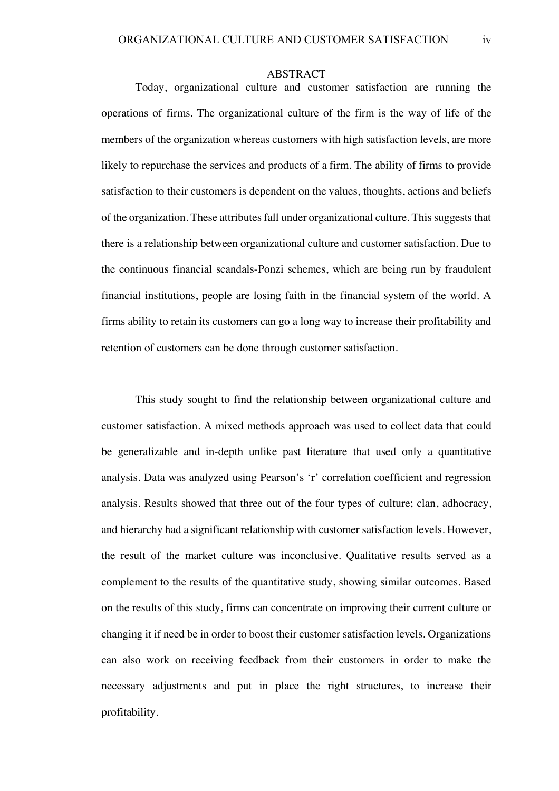#### ABSTRACT

Today, organizational culture and customer satisfaction are running the operations of firms. The organizational culture of the firm is the way of life of the members of the organization whereas customers with high satisfaction levels, are more likely to repurchase the services and products of a firm. The ability of firms to provide satisfaction to their customers is dependent on the values, thoughts, actions and beliefs of the organization. These attributes fall under organizational culture. This suggests that there is a relationship between organizational culture and customer satisfaction. Due to the continuous financial scandals-Ponzi schemes, which are being run by fraudulent financial institutions, people are losing faith in the financial system of the world. A firms ability to retain its customers can go a long way to increase their profitability and retention of customers can be done through customer satisfaction.

This study sought to find the relationship between organizational culture and customer satisfaction. A mixed methods approach was used to collect data that could be generalizable and in-depth unlike past literature that used only a quantitative analysis. Data was analyzed using Pearson's 'r' correlation coefficient and regression analysis. Results showed that three out of the four types of culture; clan, adhocracy, and hierarchy had a significant relationship with customer satisfaction levels. However, the result of the market culture was inconclusive. Qualitative results served as a complement to the results of the quantitative study, showing similar outcomes. Based on the results of this study, firms can concentrate on improving their current culture or changing it if need be in order to boost their customer satisfaction levels. Organizations can also work on receiving feedback from their customers in order to make the necessary adjustments and put in place the right structures, to increase their profitability.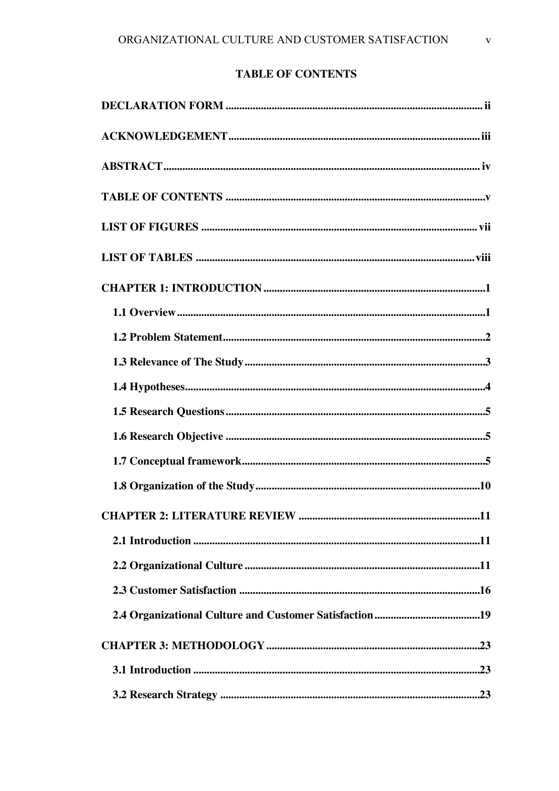# **TABLE OF CONTENTS**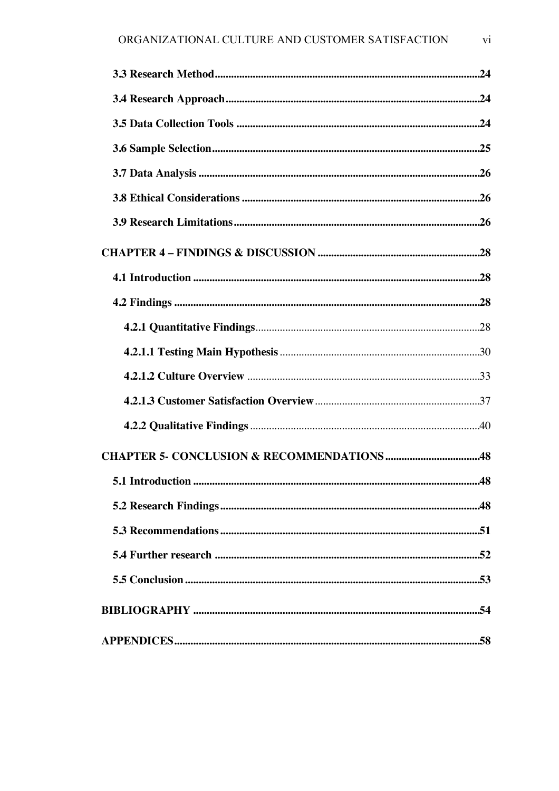| <b>CHAPTER 5- CONCLUSION &amp; RECOMMENDATIONS 48</b> |  |
|-------------------------------------------------------|--|
|                                                       |  |
|                                                       |  |
|                                                       |  |
|                                                       |  |
|                                                       |  |
| BIBLIOGRAPHY ……………………………………………………………………………………………54    |  |
|                                                       |  |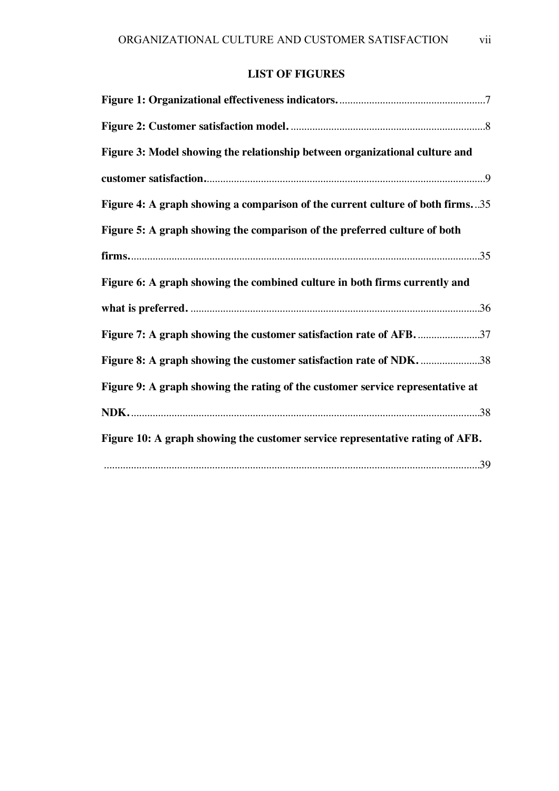# **LIST OF FIGURES**

| Figure 3: Model showing the relationship between organizational culture and    |  |
|--------------------------------------------------------------------------------|--|
|                                                                                |  |
| Figure 4: A graph showing a comparison of the current culture of both firms35  |  |
| Figure 5: A graph showing the comparison of the preferred culture of both      |  |
|                                                                                |  |
| Figure 6: A graph showing the combined culture in both firms currently and     |  |
|                                                                                |  |
| Figure 7: A graph showing the customer satisfaction rate of AFB. 37            |  |
| Figure 8: A graph showing the customer satisfaction rate of NDK. 38            |  |
| Figure 9: A graph showing the rating of the customer service representative at |  |
|                                                                                |  |
| Figure 10: A graph showing the customer service representative rating of AFB.  |  |
|                                                                                |  |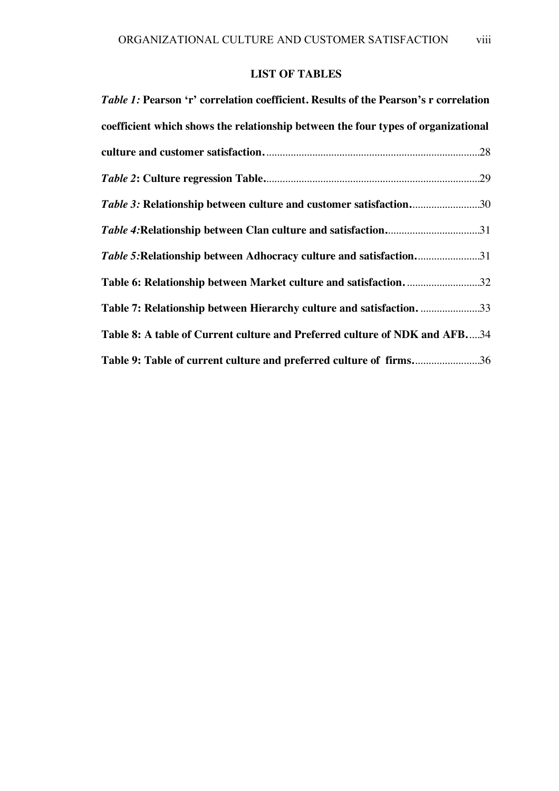# **LIST OF TABLES**

| <i>Table 1:</i> Pearson 'r' correlation coefficient. Results of the Pearson's r correlation |
|---------------------------------------------------------------------------------------------|
| coefficient which shows the relationship between the four types of organizational           |
|                                                                                             |
|                                                                                             |
| Table 3: Relationship between culture and customer satisfaction30                           |
| Table 4: Relationship between Clan culture and satisfaction31                               |
| Table 5: Relationship between Adhocracy culture and satisfaction31                          |
| Table 6: Relationship between Market culture and satisfaction. 32                           |
| Table 7: Relationship between Hierarchy culture and satisfaction. 33                        |
| Table 8: A table of Current culture and Preferred culture of NDK and AFB34                  |
| Table 9: Table of current culture and preferred culture of firms36                          |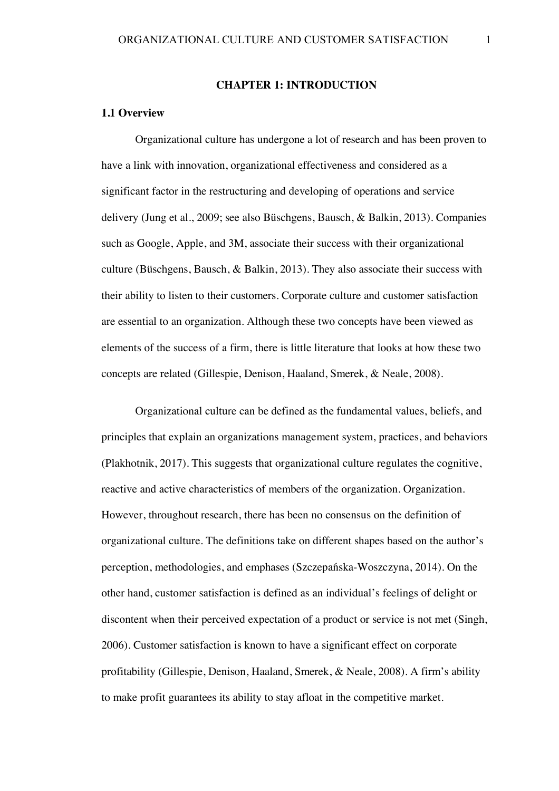## **CHAPTER 1: INTRODUCTION**

## **1.1 Overview**

Organizational culture has undergone a lot of research and has been proven to have a link with innovation, organizational effectiveness and considered as a significant factor in the restructuring and developing of operations and service delivery (Jung et al., 2009; see also Büschgens, Bausch, & Balkin, 2013). Companies such as Google, Apple, and 3M, associate their success with their organizational culture (Büschgens, Bausch, & Balkin, 2013). They also associate their success with their ability to listen to their customers. Corporate culture and customer satisfaction are essential to an organization. Although these two concepts have been viewed as elements of the success of a firm, there is little literature that looks at how these two concepts are related (Gillespie, Denison, Haaland, Smerek, & Neale, 2008).

Organizational culture can be defined as the fundamental values, beliefs, and principles that explain an organizations management system, practices, and behaviors (Plakhotnik, 2017). This suggests that organizational culture regulates the cognitive, reactive and active characteristics of members of the organization. Organization. However, throughout research, there has been no consensus on the definition of organizational culture. The definitions take on different shapes based on the author's perception, methodologies, and emphases (Szczepańska-Woszczyna, 2014). On the other hand, customer satisfaction is defined as an individual's feelings of delight or discontent when their perceived expectation of a product or service is not met (Singh, 2006). Customer satisfaction is known to have a significant effect on corporate profitability (Gillespie, Denison, Haaland, Smerek, & Neale, 2008). A firm's ability to make profit guarantees its ability to stay afloat in the competitive market.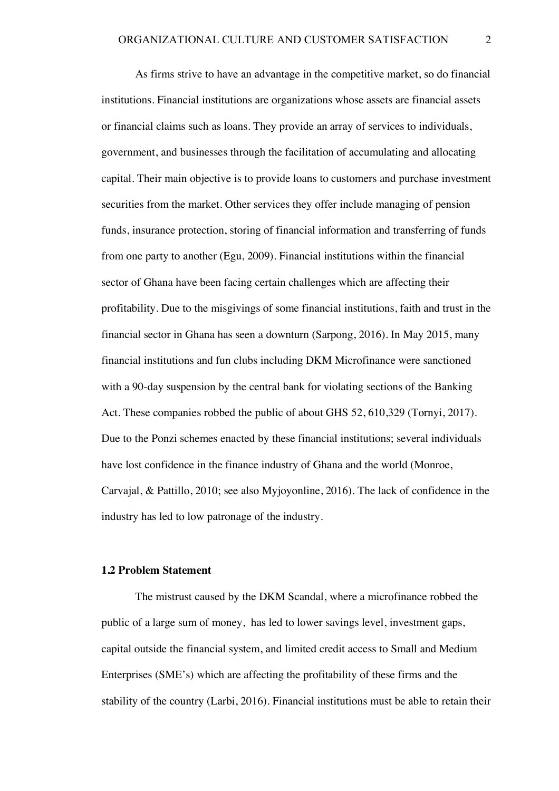As firms strive to have an advantage in the competitive market, so do financial institutions. Financial institutions are organizations whose assets are financial assets or financial claims such as loans. They provide an array of services to individuals, government, and businesses through the facilitation of accumulating and allocating capital. Their main objective is to provide loans to customers and purchase investment securities from the market. Other services they offer include managing of pension funds, insurance protection, storing of financial information and transferring of funds from one party to another (Egu, 2009). Financial institutions within the financial sector of Ghana have been facing certain challenges which are affecting their profitability. Due to the misgivings of some financial institutions, faith and trust in the financial sector in Ghana has seen a downturn (Sarpong, 2016). In May 2015, many financial institutions and fun clubs including DKM Microfinance were sanctioned with a 90-day suspension by the central bank for violating sections of the Banking Act. These companies robbed the public of about GHS 52, 610,329 (Tornyi, 2017). Due to the Ponzi schemes enacted by these financial institutions; several individuals have lost confidence in the finance industry of Ghana and the world (Monroe, Carvajal, & Pattillo, 2010; see also Myjoyonline, 2016). The lack of confidence in the industry has led to low patronage of the industry.

#### **1.2 Problem Statement**

The mistrust caused by the DKM Scandal, where a microfinance robbed the public of a large sum of money, has led to lower savings level, investment gaps, capital outside the financial system, and limited credit access to Small and Medium Enterprises (SME's) which are affecting the profitability of these firms and the stability of the country (Larbi, 2016). Financial institutions must be able to retain their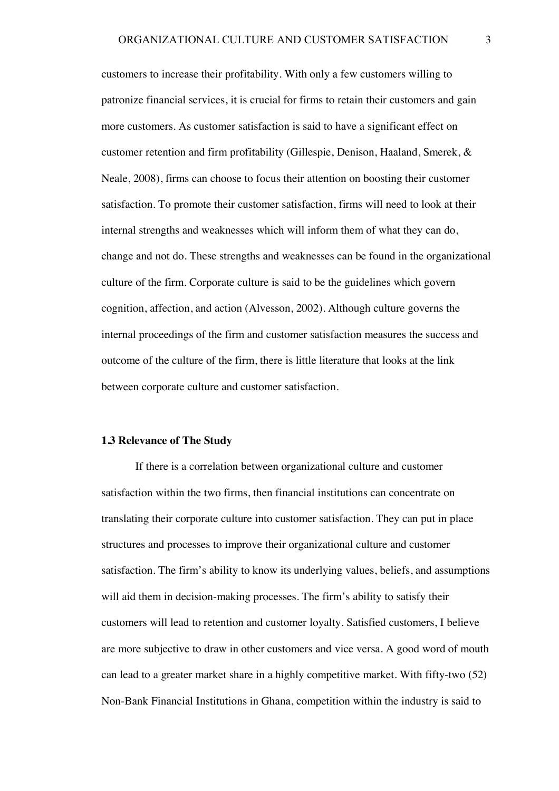customers to increase their profitability. With only a few customers willing to patronize financial services, it is crucial for firms to retain their customers and gain more customers. As customer satisfaction is said to have a significant effect on customer retention and firm profitability (Gillespie, Denison, Haaland, Smerek, & Neale, 2008), firms can choose to focus their attention on boosting their customer satisfaction. To promote their customer satisfaction, firms will need to look at their internal strengths and weaknesses which will inform them of what they can do, change and not do. These strengths and weaknesses can be found in the organizational culture of the firm. Corporate culture is said to be the guidelines which govern cognition, affection, and action (Alvesson, 2002). Although culture governs the internal proceedings of the firm and customer satisfaction measures the success and outcome of the culture of the firm, there is little literature that looks at the link between corporate culture and customer satisfaction.

#### **1.3 Relevance of The Study**

If there is a correlation between organizational culture and customer satisfaction within the two firms, then financial institutions can concentrate on translating their corporate culture into customer satisfaction. They can put in place structures and processes to improve their organizational culture and customer satisfaction. The firm's ability to know its underlying values, beliefs, and assumptions will aid them in decision-making processes. The firm's ability to satisfy their customers will lead to retention and customer loyalty. Satisfied customers, I believe are more subjective to draw in other customers and vice versa. A good word of mouth can lead to a greater market share in a highly competitive market. With fifty-two (52) Non-Bank Financial Institutions in Ghana, competition within the industry is said to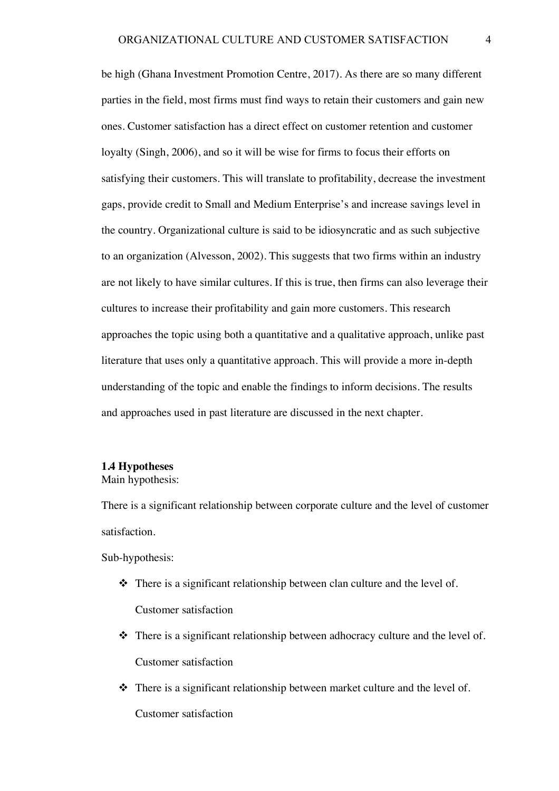be high (Ghana Investment Promotion Centre, 2017). As there are so many different parties in the field, most firms must find ways to retain their customers and gain new ones. Customer satisfaction has a direct effect on customer retention and customer loyalty (Singh, 2006), and so it will be wise for firms to focus their efforts on satisfying their customers. This will translate to profitability, decrease the investment gaps, provide credit to Small and Medium Enterprise's and increase savings level in the country. Organizational culture is said to be idiosyncratic and as such subjective to an organization (Alvesson, 2002). This suggests that two firms within an industry are not likely to have similar cultures. If this is true, then firms can also leverage their cultures to increase their profitability and gain more customers. This research approaches the topic using both a quantitative and a qualitative approach, unlike past literature that uses only a quantitative approach. This will provide a more in-depth understanding of the topic and enable the findings to inform decisions. The results and approaches used in past literature are discussed in the next chapter.

## **1.4 Hypotheses**

Main hypothesis:

There is a significant relationship between corporate culture and the level of customer satisfaction.

Sub-hypothesis:

- $\cdot \cdot$  There is a significant relationship between clan culture and the level of. Customer satisfaction
- $\cdot \cdot$  There is a significant relationship between adhocracy culture and the level of. Customer satisfaction
- $\cdot \cdot$  There is a significant relationship between market culture and the level of. Customer satisfaction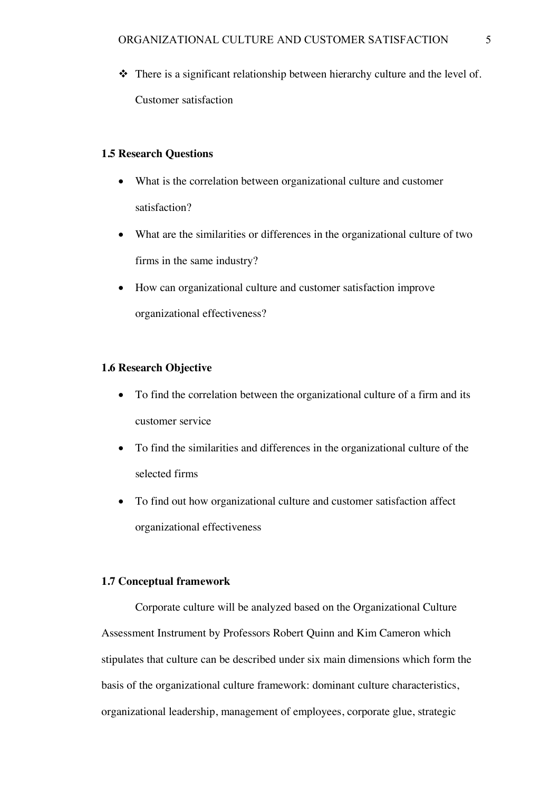$\triangle$  There is a significant relationship between hierarchy culture and the level of. Customer satisfaction

## **1.5 Research Questions**

- What is the correlation between organizational culture and customer satisfaction?
- What are the similarities or differences in the organizational culture of two firms in the same industry?
- How can organizational culture and customer satisfaction improve organizational effectiveness?

## **1.6 Research Objective**

- To find the correlation between the organizational culture of a firm and its customer service
- To find the similarities and differences in the organizational culture of the selected firms
- To find out how organizational culture and customer satisfaction affect organizational effectiveness

## **1.7 Conceptual framework**

Corporate culture will be analyzed based on the Organizational Culture Assessment Instrument by Professors Robert Quinn and Kim Cameron which stipulates that culture can be described under six main dimensions which form the basis of the organizational culture framework: dominant culture characteristics, organizational leadership, management of employees, corporate glue, strategic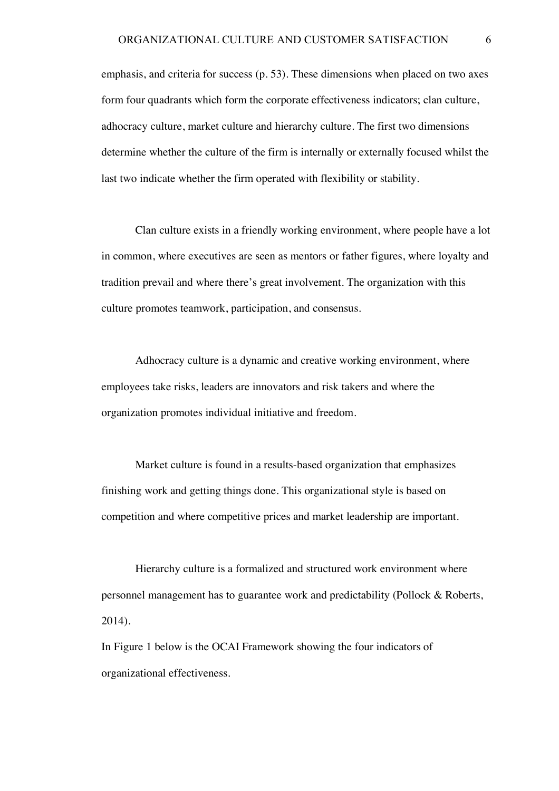emphasis, and criteria for success (p. 53). These dimensions when placed on two axes form four quadrants which form the corporate effectiveness indicators; clan culture, adhocracy culture, market culture and hierarchy culture. The first two dimensions determine whether the culture of the firm is internally or externally focused whilst the last two indicate whether the firm operated with flexibility or stability.

Clan culture exists in a friendly working environment, where people have a lot in common, where executives are seen as mentors or father figures, where loyalty and tradition prevail and where there's great involvement. The organization with this culture promotes teamwork, participation, and consensus.

Adhocracy culture is a dynamic and creative working environment, where employees take risks, leaders are innovators and risk takers and where the organization promotes individual initiative and freedom.

Market culture is found in a results-based organization that emphasizes finishing work and getting things done. This organizational style is based on competition and where competitive prices and market leadership are important.

Hierarchy culture is a formalized and structured work environment where personnel management has to guarantee work and predictability (Pollock & Roberts, 2014).

In Figure 1 below is the OCAI Framework showing the four indicators of organizational effectiveness.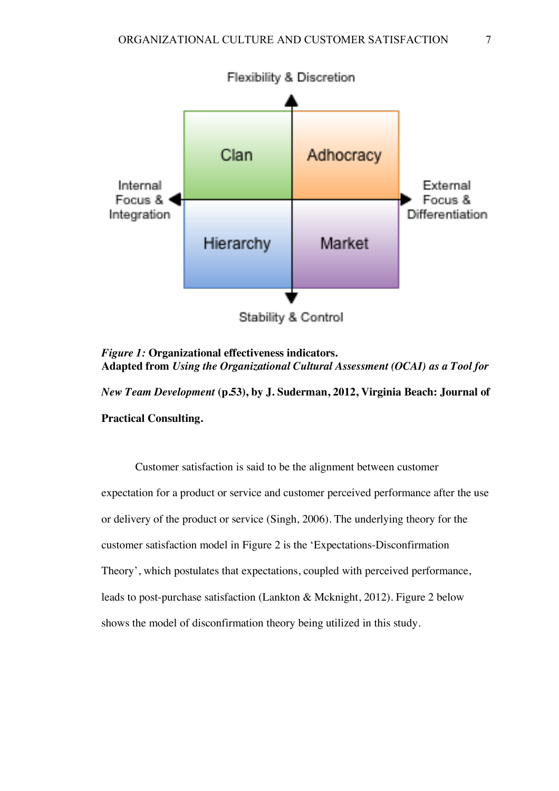

*Figure 1:* **Organizational effectiveness indicators. Adapted from** *Using the Organizational Cultural Assessment (OCAI) as a Tool for* 

*New Team Development* **(p.53), by J. Suderman, 2012, Virginia Beach: Journal of Practical Consulting.**

Customer satisfaction is said to be the alignment between customer expectation for a product or service and customer perceived performance after the use or delivery of the product or service (Singh, 2006). The underlying theory for the customer satisfaction model in Figure 2 is the 'Expectations-Disconfirmation Theory', which postulates that expectations, coupled with perceived performance, leads to post-purchase satisfaction (Lankton & Mcknight, 2012). Figure 2 below shows the model of disconfirmation theory being utilized in this study.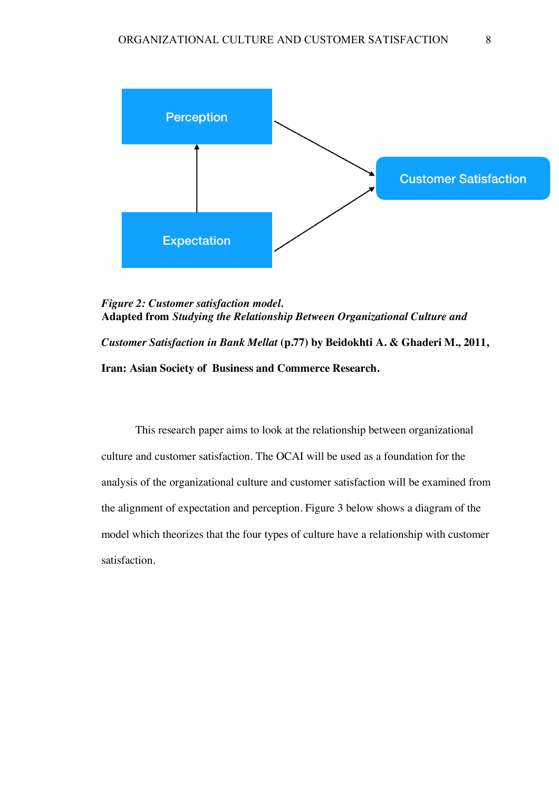

*Figure 2: Customer satisfaction model.* **Adapted from** *Studying the Relationship Between Organizational Culture and Customer Satisfaction in Bank Mellat* **(p.77) by Beidokhti A. & Ghaderi M., 2011, Iran: Asian Society of Business and Commerce Research.**

This research paper aims to look at the relationship between organizational culture and customer satisfaction. The OCAI will be used as a foundation for the analysis of the organizational culture and customer satisfaction will be examined from the alignment of expectation and perception. Figure 3 below shows a diagram of the model which theorizes that the four types of culture have a relationship with customer satisfaction.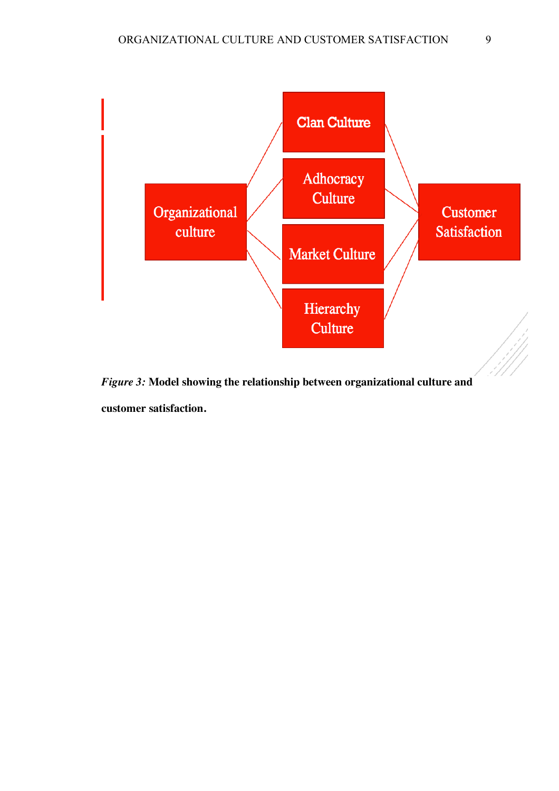

*Figure 3:* **Model showing the relationship between organizational culture and customer satisfaction.**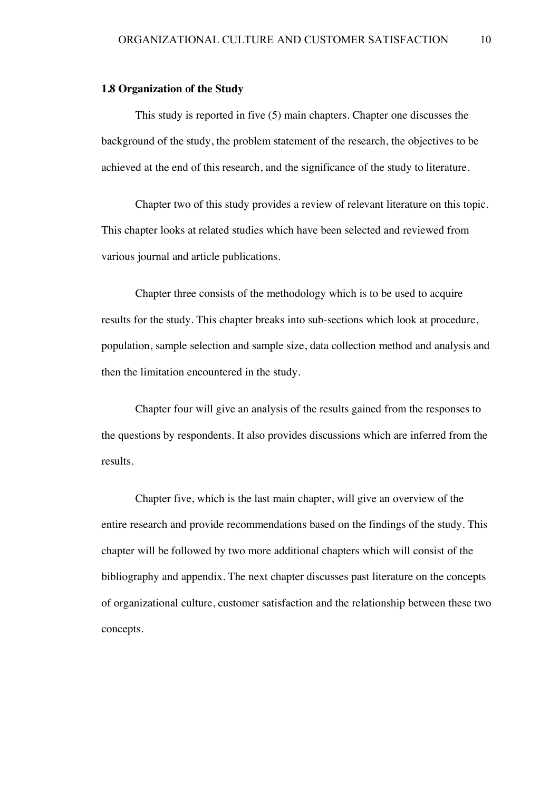#### **1.8 Organization of the Study**

This study is reported in five (5) main chapters. Chapter one discusses the background of the study, the problem statement of the research, the objectives to be achieved at the end of this research, and the significance of the study to literature.

Chapter two of this study provides a review of relevant literature on this topic. This chapter looks at related studies which have been selected and reviewed from various journal and article publications.

Chapter three consists of the methodology which is to be used to acquire results for the study. This chapter breaks into sub-sections which look at procedure, population, sample selection and sample size, data collection method and analysis and then the limitation encountered in the study.

Chapter four will give an analysis of the results gained from the responses to the questions by respondents. It also provides discussions which are inferred from the results.

Chapter five, which is the last main chapter, will give an overview of the entire research and provide recommendations based on the findings of the study. This chapter will be followed by two more additional chapters which will consist of the bibliography and appendix. The next chapter discusses past literature on the concepts of organizational culture, customer satisfaction and the relationship between these two concepts.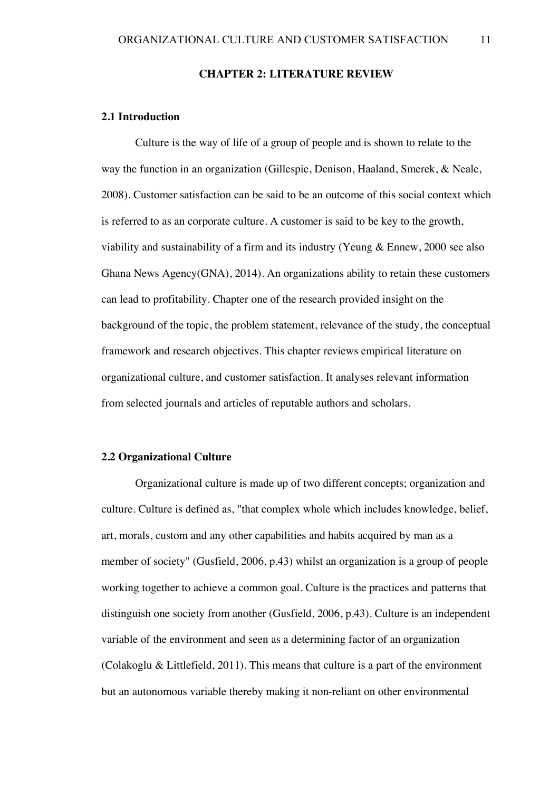**CHAPTER 2: LITERATURE REVIEW**

## **2.1 Introduction**

Culture is the way of life of a group of people and is shown to relate to the way the function in an organization (Gillespie, Denison, Haaland, Smerek, & Neale, 2008). Customer satisfaction can be said to be an outcome of this social context which is referred to as an corporate culture. A customer is said to be key to the growth, viability and sustainability of a firm and its industry (Yeung & Ennew, 2000 see also Ghana News Agency(GNA), 2014). An organizations ability to retain these customers can lead to profitability. Chapter one of the research provided insight on the background of the topic, the problem statement, relevance of the study, the conceptual framework and research objectives. This chapter reviews empirical literature on organizational culture, and customer satisfaction. It analyses relevant information from selected journals and articles of reputable authors and scholars.

#### **2.2 Organizational Culture**

Organizational culture is made up of two different concepts; organization and culture. Culture is defined as, "that complex whole which includes knowledge, belief, art, morals, custom and any other capabilities and habits acquired by man as a member of society" (Gusfield, 2006, p.43) whilst an organization is a group of people working together to achieve a common goal. Culture is the practices and patterns that distinguish one society from another (Gusfield, 2006, p.43). Culture is an independent variable of the environment and seen as a determining factor of an organization (Colakoglu & Littlefield, 2011). This means that culture is a part of the environment but an autonomous variable thereby making it non-reliant on other environmental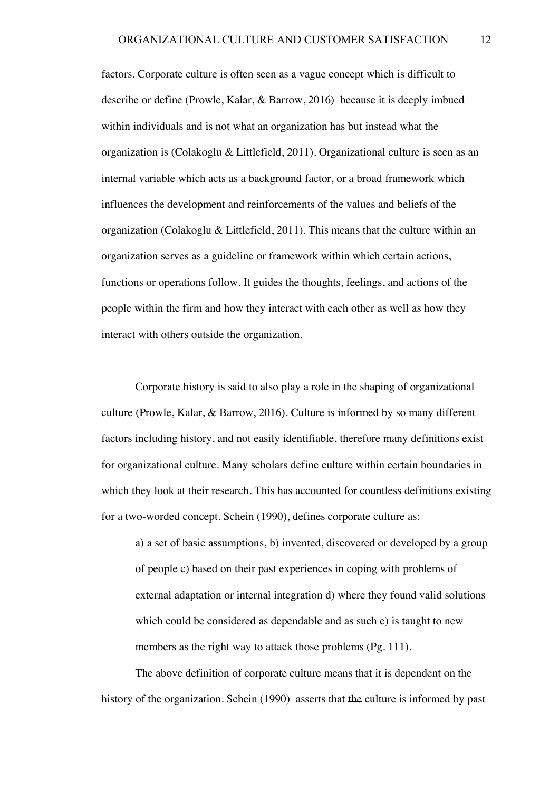factors. Corporate culture is often seen as a vague concept which is difficult to describe or define (Prowle, Kalar, & Barrow, 2016) because it is deeply imbued within individuals and is not what an organization has but instead what the organization is (Colakoglu & Littlefield, 2011). Organizational culture is seen as an internal variable which acts as a background factor, or a broad framework which influences the development and reinforcements of the values and beliefs of the organization (Colakoglu & Littlefield, 2011). This means that the culture within an organization serves as a guideline or framework within which certain actions, functions or operations follow. It guides the thoughts, feelings, and actions of the people within the firm and how they interact with each other as well as how they interact with others outside the organization.

Corporate history is said to also play a role in the shaping of organizational culture (Prowle, Kalar, & Barrow, 2016). Culture is informed by so many different factors including history, and not easily identifiable, therefore many definitions exist for organizational culture. Many scholars define culture within certain boundaries in which they look at their research. This has accounted for countless definitions existing for a two-worded concept. Schein (1990), defines corporate culture as:

a) a set of basic assumptions, b) invented, discovered or developed by a group of people c) based on their past experiences in coping with problems of external adaptation or internal integration d) where they found valid solutions which could be considered as dependable and as such e) is taught to new members as the right way to attack those problems (Pg. 111).

The above definition of corporate culture means that it is dependent on the history of the organization. Schein (1990) asserts that the culture is informed by past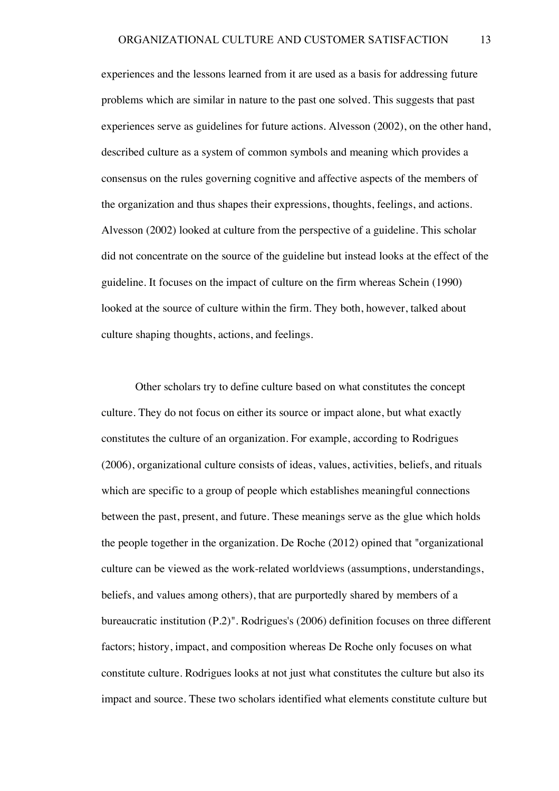experiences and the lessons learned from it are used as a basis for addressing future problems which are similar in nature to the past one solved. This suggests that past experiences serve as guidelines for future actions. Alvesson (2002), on the other hand, described culture as a system of common symbols and meaning which provides a consensus on the rules governing cognitive and affective aspects of the members of the organization and thus shapes their expressions, thoughts, feelings, and actions. Alvesson (2002) looked at culture from the perspective of a guideline. This scholar did not concentrate on the source of the guideline but instead looks at the effect of the guideline. It focuses on the impact of culture on the firm whereas Schein (1990) looked at the source of culture within the firm. They both, however, talked about culture shaping thoughts, actions, and feelings.

Other scholars try to define culture based on what constitutes the concept culture. They do not focus on either its source or impact alone, but what exactly constitutes the culture of an organization. For example, according to Rodrigues (2006), organizational culture consists of ideas, values, activities, beliefs, and rituals which are specific to a group of people which establishes meaningful connections between the past, present, and future. These meanings serve as the glue which holds the people together in the organization. De Roche (2012) opined that "organizational culture can be viewed as the work-related worldviews (assumptions, understandings, beliefs, and values among others), that are purportedly shared by members of a bureaucratic institution (P.2)". Rodrigues's (2006) definition focuses on three different factors; history, impact, and composition whereas De Roche only focuses on what constitute culture. Rodrigues looks at not just what constitutes the culture but also its impact and source. These two scholars identified what elements constitute culture but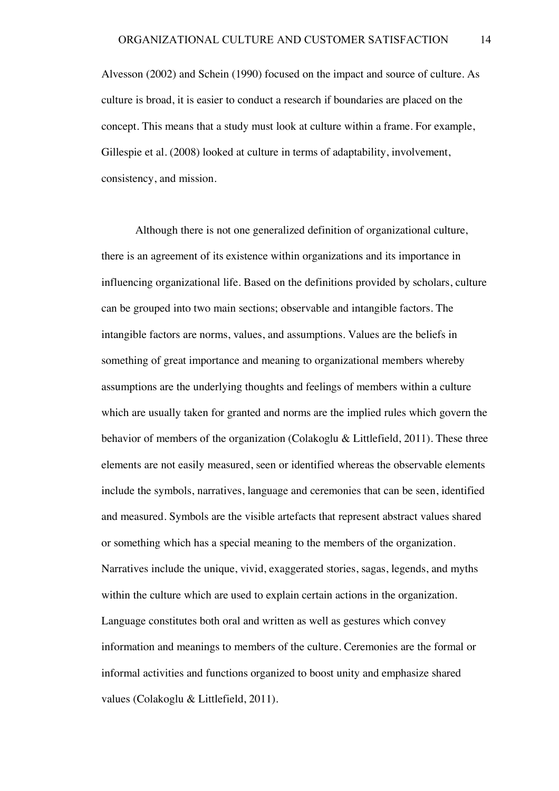Alvesson (2002) and Schein (1990) focused on the impact and source of culture. As culture is broad, it is easier to conduct a research if boundaries are placed on the concept. This means that a study must look at culture within a frame. For example, Gillespie et al. (2008) looked at culture in terms of adaptability, involvement, consistency, and mission.

Although there is not one generalized definition of organizational culture, there is an agreement of its existence within organizations and its importance in influencing organizational life. Based on the definitions provided by scholars, culture can be grouped into two main sections; observable and intangible factors. The intangible factors are norms, values, and assumptions. Values are the beliefs in something of great importance and meaning to organizational members whereby assumptions are the underlying thoughts and feelings of members within a culture which are usually taken for granted and norms are the implied rules which govern the behavior of members of the organization (Colakoglu & Littlefield, 2011). These three elements are not easily measured, seen or identified whereas the observable elements include the symbols, narratives, language and ceremonies that can be seen, identified and measured. Symbols are the visible artefacts that represent abstract values shared or something which has a special meaning to the members of the organization. Narratives include the unique, vivid, exaggerated stories, sagas, legends, and myths within the culture which are used to explain certain actions in the organization. Language constitutes both oral and written as well as gestures which convey information and meanings to members of the culture. Ceremonies are the formal or informal activities and functions organized to boost unity and emphasize shared values (Colakoglu & Littlefield, 2011).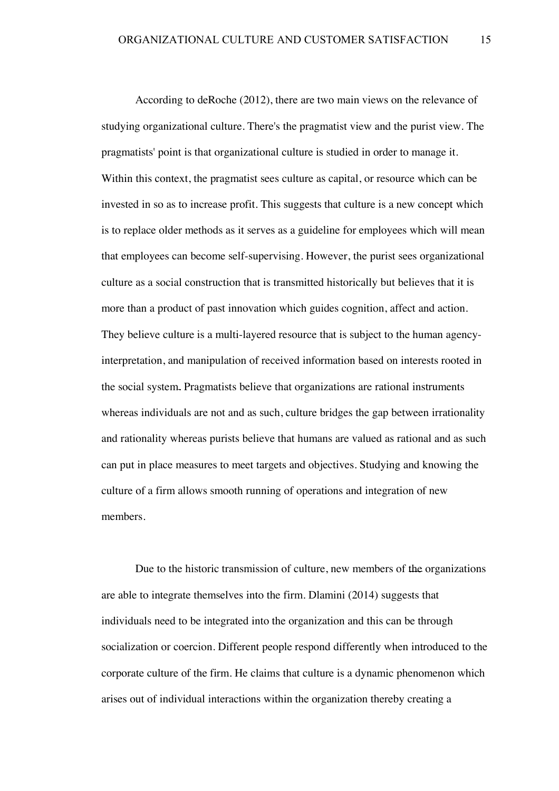According to deRoche (2012), there are two main views on the relevance of studying organizational culture. There's the pragmatist view and the purist view. The pragmatists' point is that organizational culture is studied in order to manage it. Within this context, the pragmatist sees culture as capital, or resource which can be invested in so as to increase profit. This suggests that culture is a new concept which is to replace older methods as it serves as a guideline for employees which will mean that employees can become self-supervising. However, the purist sees organizational culture as a social construction that is transmitted historically but believes that it is more than a product of past innovation which guides cognition, affect and action. They believe culture is a multi-layered resource that is subject to the human agencyinterpretation, and manipulation of received information based on interests rooted in the social system. Pragmatists believe that organizations are rational instruments whereas individuals are not and as such, culture bridges the gap between irrationality and rationality whereas purists believe that humans are valued as rational and as such can put in place measures to meet targets and objectives. Studying and knowing the culture of a firm allows smooth running of operations and integration of new members.

Due to the historic transmission of culture, new members of the organizations are able to integrate themselves into the firm. Dlamini (2014) suggests that individuals need to be integrated into the organization and this can be through socialization or coercion. Different people respond differently when introduced to the corporate culture of the firm. He claims that culture is a dynamic phenomenon which arises out of individual interactions within the organization thereby creating a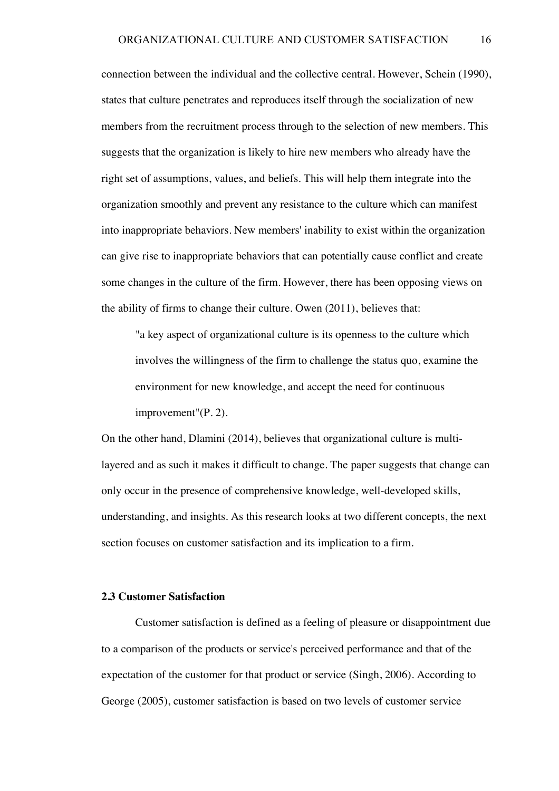connection between the individual and the collective central. However, Schein (1990), states that culture penetrates and reproduces itself through the socialization of new members from the recruitment process through to the selection of new members. This suggests that the organization is likely to hire new members who already have the right set of assumptions, values, and beliefs. This will help them integrate into the organization smoothly and prevent any resistance to the culture which can manifest into inappropriate behaviors. New members' inability to exist within the organization can give rise to inappropriate behaviors that can potentially cause conflict and create some changes in the culture of the firm. However, there has been opposing views on the ability of firms to change their culture. Owen (2011), believes that:

"a key aspect of organizational culture is its openness to the culture which involves the willingness of the firm to challenge the status quo, examine the environment for new knowledge, and accept the need for continuous improvement"(P. 2).

On the other hand, Dlamini (2014), believes that organizational culture is multilayered and as such it makes it difficult to change. The paper suggests that change can only occur in the presence of comprehensive knowledge, well-developed skills, understanding, and insights. As this research looks at two different concepts, the next section focuses on customer satisfaction and its implication to a firm.

## **2.3 Customer Satisfaction**

Customer satisfaction is defined as a feeling of pleasure or disappointment due to a comparison of the products or service's perceived performance and that of the expectation of the customer for that product or service (Singh, 2006). According to George (2005), customer satisfaction is based on two levels of customer service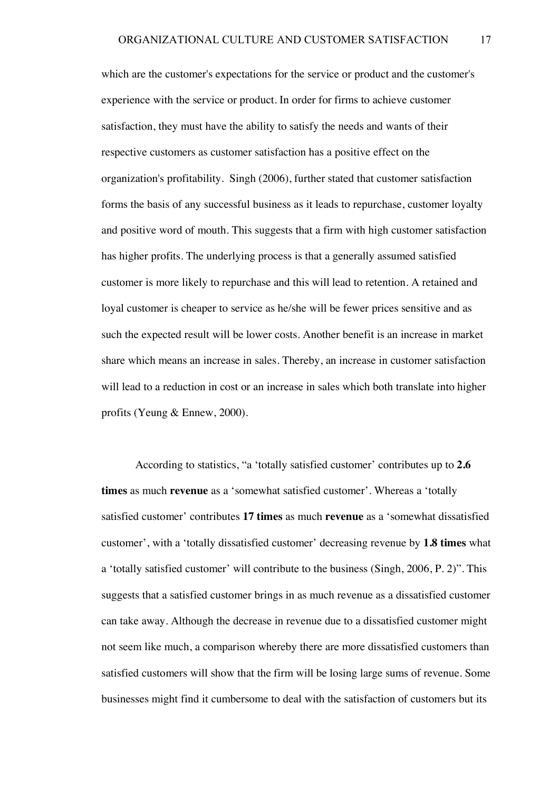which are the customer's expectations for the service or product and the customer's experience with the service or product. In order for firms to achieve customer satisfaction, they must have the ability to satisfy the needs and wants of their respective customers as customer satisfaction has a positive effect on the organization's profitability. Singh (2006), further stated that customer satisfaction forms the basis of any successful business as it leads to repurchase, customer loyalty and positive word of mouth. This suggests that a firm with high customer satisfaction has higher profits. The underlying process is that a generally assumed satisfied customer is more likely to repurchase and this will lead to retention. A retained and loyal customer is cheaper to service as he/she will be fewer prices sensitive and as such the expected result will be lower costs. Another benefit is an increase in market share which means an increase in sales. Thereby, an increase in customer satisfaction will lead to a reduction in cost or an increase in sales which both translate into higher profits (Yeung & Ennew, 2000).

According to statistics, "a 'totally satisfied customer' contributes up to **2.6 times** as much **revenue** as a 'somewhat satisfied customer'. Whereas a 'totally satisfied customer' contributes **17 times** as much **revenue** as a 'somewhat dissatisfied customer', with a 'totally dissatisfied customer' decreasing revenue by **1.8 times** what a 'totally satisfied customer' will contribute to the business (Singh, 2006, P. 2)". This suggests that a satisfied customer brings in as much revenue as a dissatisfied customer can take away. Although the decrease in revenue due to a dissatisfied customer might not seem like much, a comparison whereby there are more dissatisfied customers than satisfied customers will show that the firm will be losing large sums of revenue. Some businesses might find it cumbersome to deal with the satisfaction of customers but its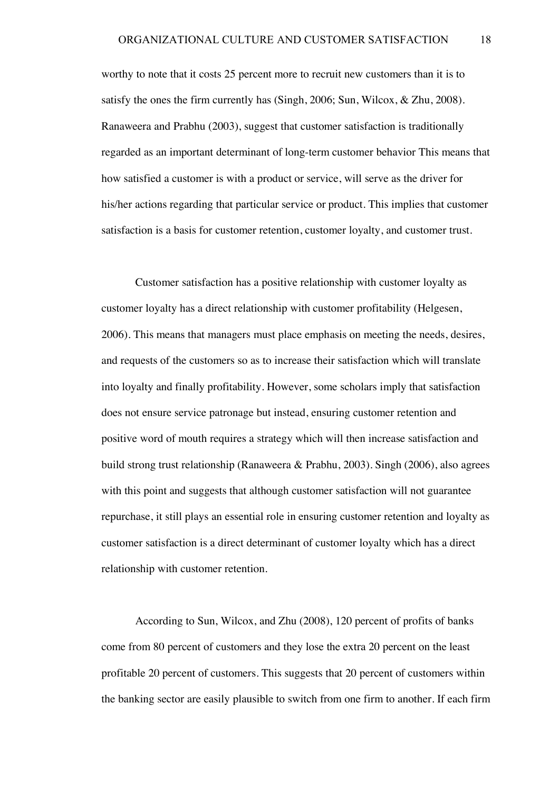worthy to note that it costs 25 percent more to recruit new customers than it is to satisfy the ones the firm currently has (Singh, 2006; Sun, Wilcox, & Zhu, 2008). Ranaweera and Prabhu (2003), suggest that customer satisfaction is traditionally regarded as an important determinant of long-term customer behavior This means that how satisfied a customer is with a product or service, will serve as the driver for his/her actions regarding that particular service or product. This implies that customer satisfaction is a basis for customer retention, customer loyalty, and customer trust.

Customer satisfaction has a positive relationship with customer loyalty as customer loyalty has a direct relationship with customer profitability (Helgesen, 2006). This means that managers must place emphasis on meeting the needs, desires, and requests of the customers so as to increase their satisfaction which will translate into loyalty and finally profitability. However, some scholars imply that satisfaction does not ensure service patronage but instead, ensuring customer retention and positive word of mouth requires a strategy which will then increase satisfaction and build strong trust relationship (Ranaweera & Prabhu, 2003). Singh (2006), also agrees with this point and suggests that although customer satisfaction will not guarantee repurchase, it still plays an essential role in ensuring customer retention and loyalty as customer satisfaction is a direct determinant of customer loyalty which has a direct relationship with customer retention.

According to Sun, Wilcox, and Zhu (2008), 120 percent of profits of banks come from 80 percent of customers and they lose the extra 20 percent on the least profitable 20 percent of customers. This suggests that 20 percent of customers within the banking sector are easily plausible to switch from one firm to another. If each firm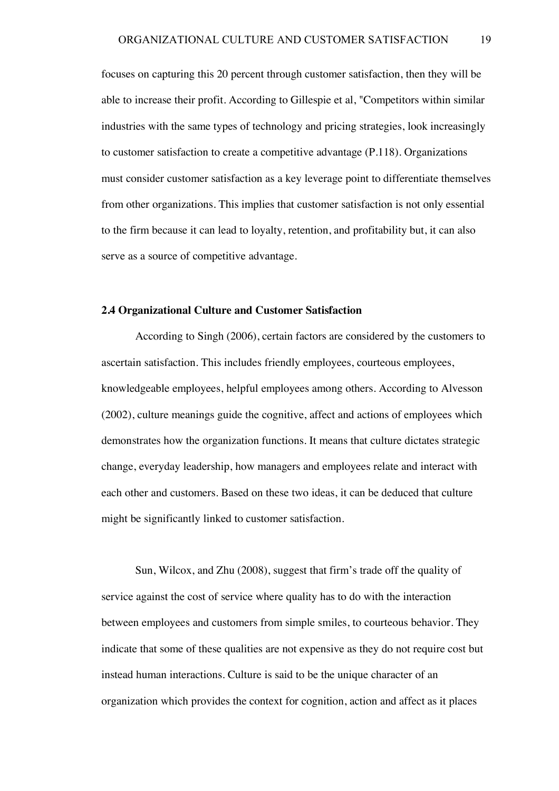focuses on capturing this 20 percent through customer satisfaction, then they will be able to increase their profit. According to Gillespie et al, "Competitors within similar industries with the same types of technology and pricing strategies, look increasingly to customer satisfaction to create a competitive advantage (P.118). Organizations must consider customer satisfaction as a key leverage point to differentiate themselves from other organizations. This implies that customer satisfaction is not only essential to the firm because it can lead to loyalty, retention, and profitability but, it can also serve as a source of competitive advantage.

#### **2.4 Organizational Culture and Customer Satisfaction**

According to Singh (2006), certain factors are considered by the customers to ascertain satisfaction. This includes friendly employees, courteous employees, knowledgeable employees, helpful employees among others. According to Alvesson (2002), culture meanings guide the cognitive, affect and actions of employees which demonstrates how the organization functions. It means that culture dictates strategic change, everyday leadership, how managers and employees relate and interact with each other and customers. Based on these two ideas, it can be deduced that culture might be significantly linked to customer satisfaction.

Sun, Wilcox, and Zhu (2008), suggest that firm's trade off the quality of service against the cost of service where quality has to do with the interaction between employees and customers from simple smiles, to courteous behavior. They indicate that some of these qualities are not expensive as they do not require cost but instead human interactions. Culture is said to be the unique character of an organization which provides the context for cognition, action and affect as it places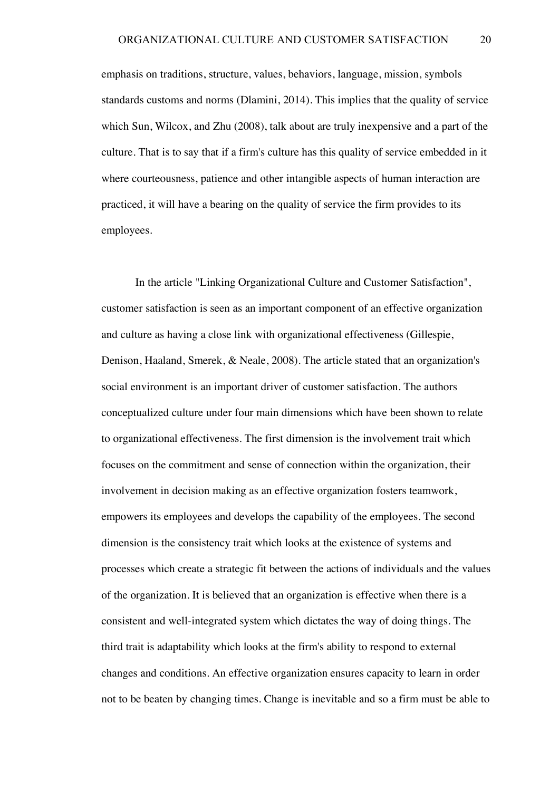emphasis on traditions, structure, values, behaviors, language, mission, symbols standards customs and norms (Dlamini, 2014). This implies that the quality of service which Sun, Wilcox, and Zhu (2008), talk about are truly inexpensive and a part of the culture. That is to say that if a firm's culture has this quality of service embedded in it where courteousness, patience and other intangible aspects of human interaction are practiced, it will have a bearing on the quality of service the firm provides to its employees.

In the article "Linking Organizational Culture and Customer Satisfaction", customer satisfaction is seen as an important component of an effective organization and culture as having a close link with organizational effectiveness (Gillespie, Denison, Haaland, Smerek, & Neale, 2008). The article stated that an organization's social environment is an important driver of customer satisfaction. The authors conceptualized culture under four main dimensions which have been shown to relate to organizational effectiveness. The first dimension is the involvement trait which focuses on the commitment and sense of connection within the organization, their involvement in decision making as an effective organization fosters teamwork, empowers its employees and develops the capability of the employees. The second dimension is the consistency trait which looks at the existence of systems and processes which create a strategic fit between the actions of individuals and the values of the organization. It is believed that an organization is effective when there is a consistent and well-integrated system which dictates the way of doing things. The third trait is adaptability which looks at the firm's ability to respond to external changes and conditions. An effective organization ensures capacity to learn in order not to be beaten by changing times. Change is inevitable and so a firm must be able to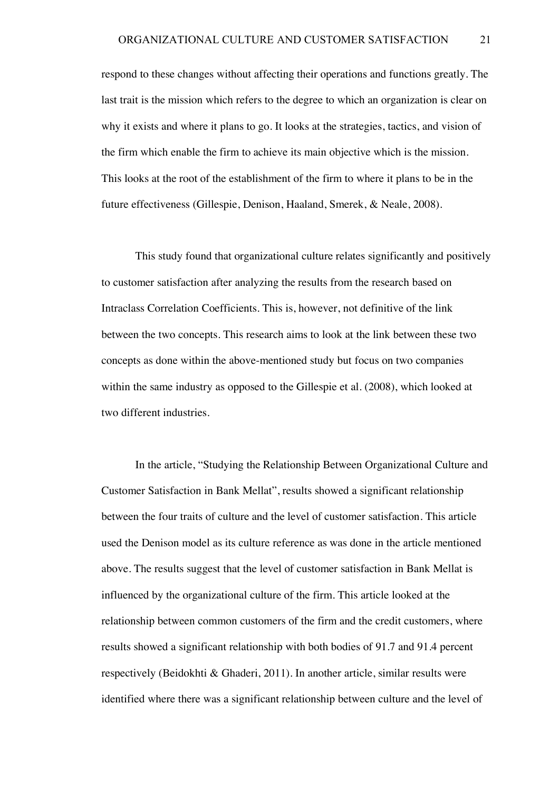respond to these changes without affecting their operations and functions greatly. The last trait is the mission which refers to the degree to which an organization is clear on why it exists and where it plans to go. It looks at the strategies, tactics, and vision of the firm which enable the firm to achieve its main objective which is the mission. This looks at the root of the establishment of the firm to where it plans to be in the future effectiveness (Gillespie, Denison, Haaland, Smerek, & Neale, 2008).

This study found that organizational culture relates significantly and positively to customer satisfaction after analyzing the results from the research based on Intraclass Correlation Coefficients. This is, however, not definitive of the link between the two concepts. This research aims to look at the link between these two concepts as done within the above-mentioned study but focus on two companies within the same industry as opposed to the Gillespie et al. (2008), which looked at two different industries.

In the article, "Studying the Relationship Between Organizational Culture and Customer Satisfaction in Bank Mellat", results showed a significant relationship between the four traits of culture and the level of customer satisfaction. This article used the Denison model as its culture reference as was done in the article mentioned above. The results suggest that the level of customer satisfaction in Bank Mellat is influenced by the organizational culture of the firm. This article looked at the relationship between common customers of the firm and the credit customers, where results showed a significant relationship with both bodies of 91.7 and 91.4 percent respectively (Beidokhti & Ghaderi, 2011). In another article, similar results were identified where there was a significant relationship between culture and the level of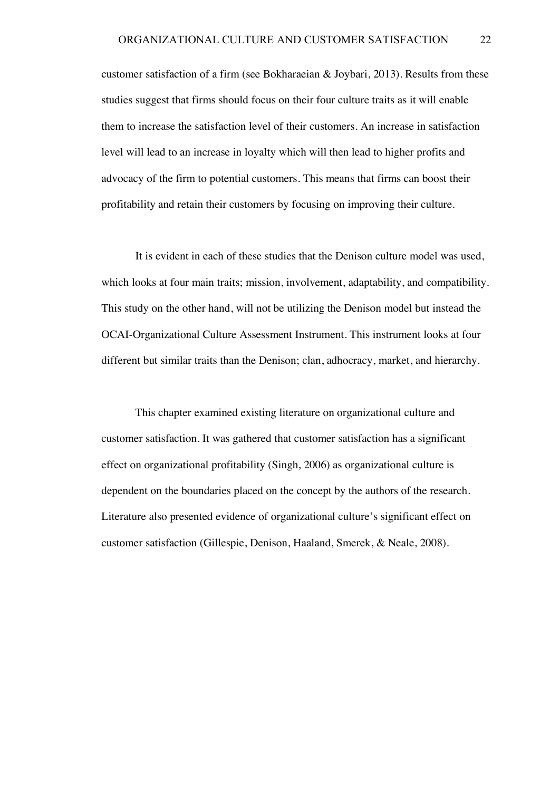customer satisfaction of a firm (see Bokharaeian  $\&$  Joybari, 2013). Results from these studies suggest that firms should focus on their four culture traits as it will enable them to increase the satisfaction level of their customers. An increase in satisfaction level will lead to an increase in loyalty which will then lead to higher profits and advocacy of the firm to potential customers. This means that firms can boost their profitability and retain their customers by focusing on improving their culture.

It is evident in each of these studies that the Denison culture model was used, which looks at four main traits; mission, involvement, adaptability, and compatibility. This study on the other hand, will not be utilizing the Denison model but instead the OCAI-Organizational Culture Assessment Instrument. This instrument looks at four different but similar traits than the Denison; clan, adhocracy, market, and hierarchy.

This chapter examined existing literature on organizational culture and customer satisfaction. It was gathered that customer satisfaction has a significant effect on organizational profitability (Singh, 2006) as organizational culture is dependent on the boundaries placed on the concept by the authors of the research. Literature also presented evidence of organizational culture's significant effect on customer satisfaction (Gillespie, Denison, Haaland, Smerek, & Neale, 2008).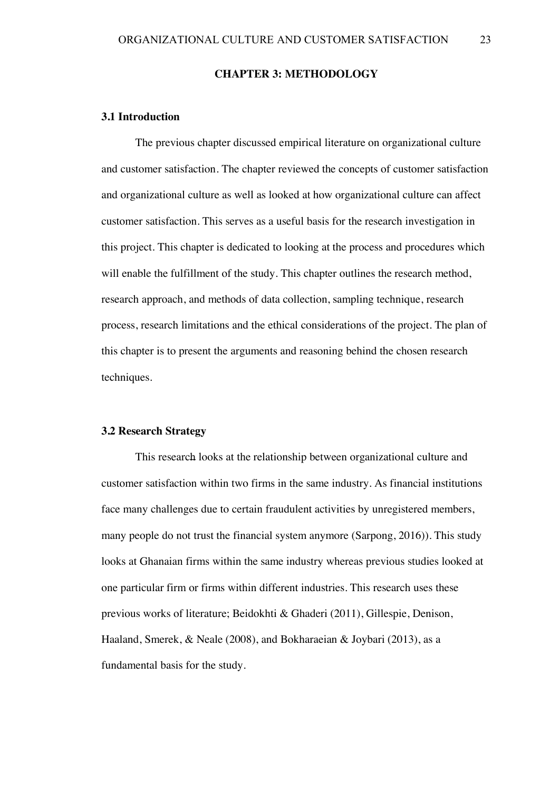#### **CHAPTER 3: METHODOLOGY**

### **3.1 Introduction**

The previous chapter discussed empirical literature on organizational culture and customer satisfaction. The chapter reviewed the concepts of customer satisfaction and organizational culture as well as looked at how organizational culture can affect customer satisfaction. This serves as a useful basis for the research investigation in this project. This chapter is dedicated to looking at the process and procedures which will enable the fulfillment of the study. This chapter outlines the research method, research approach, and methods of data collection, sampling technique, research process, research limitations and the ethical considerations of the project. The plan of this chapter is to present the arguments and reasoning behind the chosen research techniques.

## **3.2 Research Strategy**

This research looks at the relationship between organizational culture and customer satisfaction within two firms in the same industry. As financial institutions face many challenges due to certain fraudulent activities by unregistered members, many people do not trust the financial system anymore (Sarpong, 2016)). This study looks at Ghanaian firms within the same industry whereas previous studies looked at one particular firm or firms within different industries. This research uses these previous works of literature; Beidokhti & Ghaderi (2011), Gillespie, Denison, Haaland, Smerek, & Neale (2008), and Bokharaeian & Joybari (2013), as a fundamental basis for the study.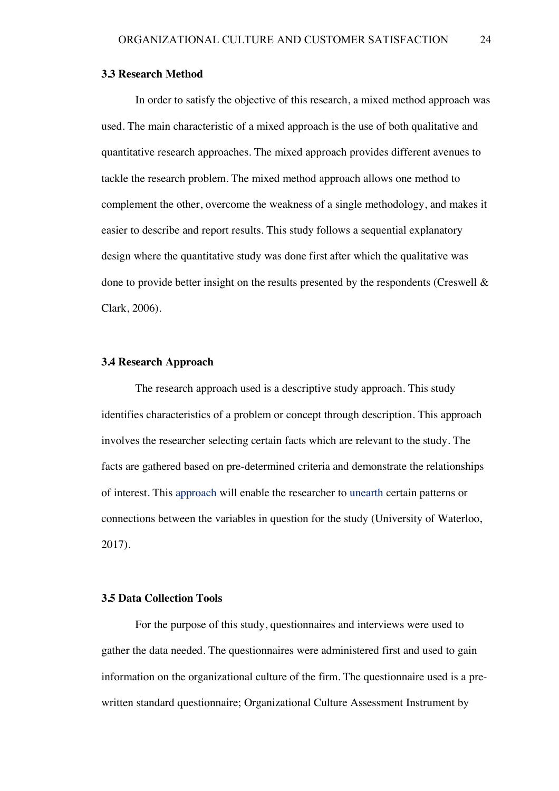#### **3.3 Research Method**

In order to satisfy the objective of this research, a mixed method approach was used. The main characteristic of a mixed approach is the use of both qualitative and quantitative research approaches. The mixed approach provides different avenues to tackle the research problem. The mixed method approach allows one method to complement the other, overcome the weakness of a single methodology, and makes it easier to describe and report results. This study follows a sequential explanatory design where the quantitative study was done first after which the qualitative was done to provide better insight on the results presented by the respondents (Creswell & Clark, 2006).

#### **3.4 Research Approach**

The research approach used is a descriptive study approach. This study identifies characteristics of a problem or concept through description. This approach involves the researcher selecting certain facts which are relevant to the study. The facts are gathered based on pre-determined criteria and demonstrate the relationships of interest. This approach will enable the researcher to unearth certain patterns or connections between the variables in question for the study (University of Waterloo, 2017).

## **3.5 Data Collection Tools**

For the purpose of this study, questionnaires and interviews were used to gather the data needed. The questionnaires were administered first and used to gain information on the organizational culture of the firm. The questionnaire used is a prewritten standard questionnaire; Organizational Culture Assessment Instrument by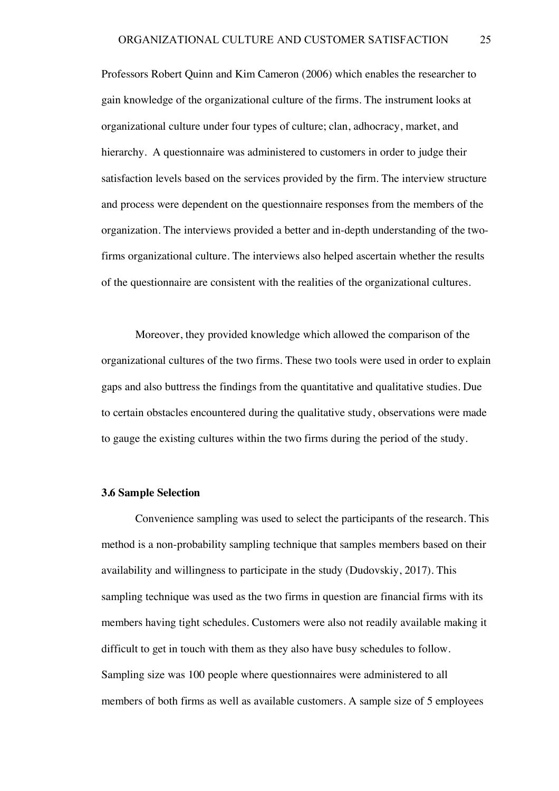Professors Robert Quinn and Kim Cameron (2006) which enables the researcher to gain knowledge of the organizational culture of the firms. The instrument looks at organizational culture under four types of culture; clan, adhocracy, market, and hierarchy. A questionnaire was administered to customers in order to judge their satisfaction levels based on the services provided by the firm. The interview structure and process were dependent on the questionnaire responses from the members of the organization. The interviews provided a better and in-depth understanding of the twofirms organizational culture. The interviews also helped ascertain whether the results of the questionnaire are consistent with the realities of the organizational cultures.

Moreover, they provided knowledge which allowed the comparison of the organizational cultures of the two firms. These two tools were used in order to explain gaps and also buttress the findings from the quantitative and qualitative studies. Due to certain obstacles encountered during the qualitative study, observations were made to gauge the existing cultures within the two firms during the period of the study.

#### **3.6 Sample Selection**

Convenience sampling was used to select the participants of the research. This method is a non-probability sampling technique that samples members based on their availability and willingness to participate in the study (Dudovskiy, 2017). This sampling technique was used as the two firms in question are financial firms with its members having tight schedules. Customers were also not readily available making it difficult to get in touch with them as they also have busy schedules to follow. Sampling size was 100 people where questionnaires were administered to all members of both firms as well as available customers. A sample size of 5 employees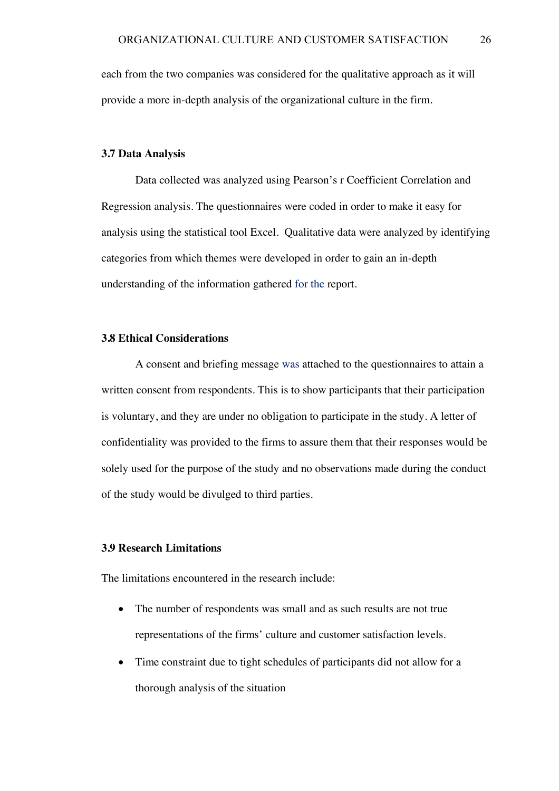each from the two companies was considered for the qualitative approach as it will provide a more in-depth analysis of the organizational culture in the firm.

#### **3.7 Data Analysis**

Data collected was analyzed using Pearson's r Coefficient Correlation and Regression analysis. The questionnaires were coded in order to make it easy for analysis using the statistical tool Excel. Qualitative data were analyzed by identifying categories from which themes were developed in order to gain an in-depth understanding of the information gathered for the report.

## **3.8 Ethical Considerations**

A consent and briefing message was attached to the questionnaires to attain a written consent from respondents. This is to show participants that their participation is voluntary, and they are under no obligation to participate in the study. A letter of confidentiality was provided to the firms to assure them that their responses would be solely used for the purpose of the study and no observations made during the conduct of the study would be divulged to third parties.

## **3.9 Research Limitations**

The limitations encountered in the research include:

- The number of respondents was small and as such results are not true representations of the firms' culture and customer satisfaction levels.
- Time constraint due to tight schedules of participants did not allow for a thorough analysis of the situation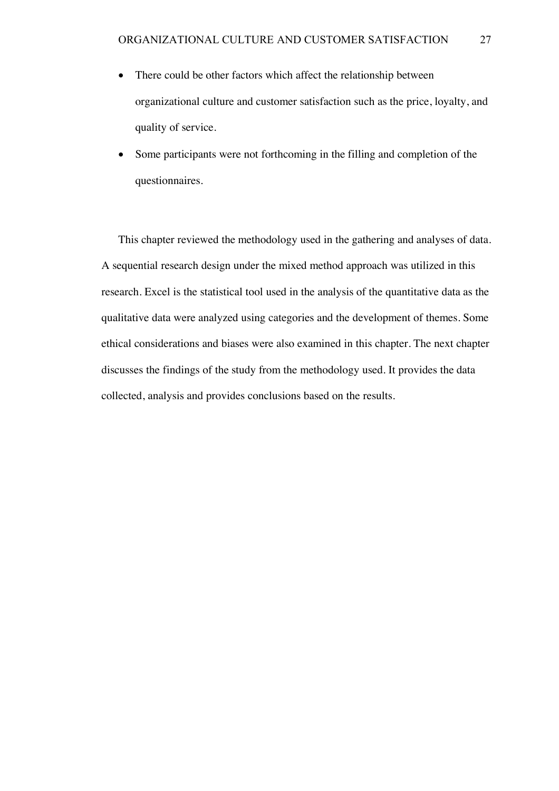- There could be other factors which affect the relationship between organizational culture and customer satisfaction such as the price, loyalty, and quality of service.
- Some participants were not forthcoming in the filling and completion of the questionnaires.

This chapter reviewed the methodology used in the gathering and analyses of data. A sequential research design under the mixed method approach was utilized in this research. Excel is the statistical tool used in the analysis of the quantitative data as the qualitative data were analyzed using categories and the development of themes. Some ethical considerations and biases were also examined in this chapter. The next chapter discusses the findings of the study from the methodology used. It provides the data collected, analysis and provides conclusions based on the results.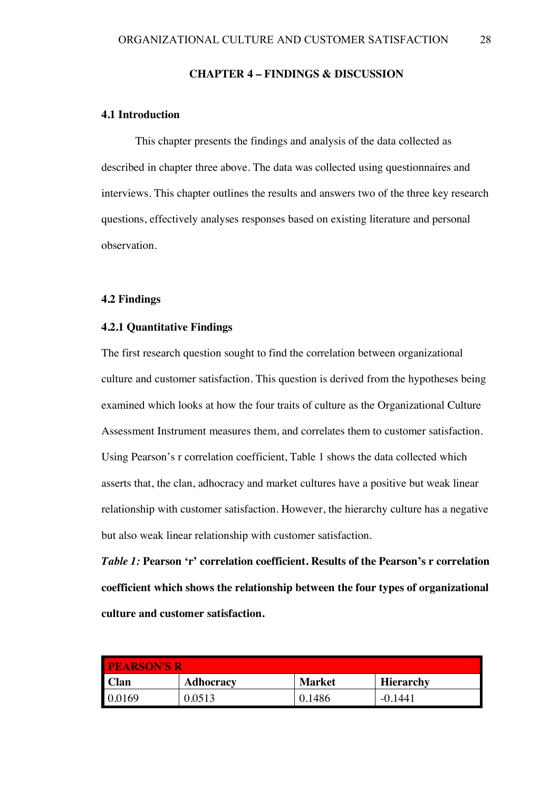#### **CHAPTER 4 – FINDINGS & DISCUSSION**

## **4.1 Introduction**

This chapter presents the findings and analysis of the data collected as described in chapter three above. The data was collected using questionnaires and interviews. This chapter outlines the results and answers two of the three key research questions, effectively analyses responses based on existing literature and personal observation.

## **4.2 Findings**

## **4.2.1 Quantitative Findings**

The first research question sought to find the correlation between organizational culture and customer satisfaction. This question is derived from the hypotheses being examined which looks at how the four traits of culture as the Organizational Culture Assessment Instrument measures them, and correlates them to customer satisfaction. Using Pearson's r correlation coefficient, Table 1 shows the data collected which asserts that, the clan, adhocracy and market cultures have a positive but weak linear relationship with customer satisfaction. However, the hierarchy culture has a negative but also weak linear relationship with customer satisfaction.

*Table 1:* **Pearson 'r' correlation coefficient. Results of the Pearson's r correlation coefficient which shows the relationship between the four types of organizational culture and customer satisfaction.**

| <b>I PEARSON'S R</b> |                  |               |                  |  |  |
|----------------------|------------------|---------------|------------------|--|--|
| <b>Clan</b>          | <b>Adhocracy</b> | <b>Market</b> | <b>Hierarchy</b> |  |  |
| 0.0169               |                  | 0.1486        | $-0.144^{\circ}$ |  |  |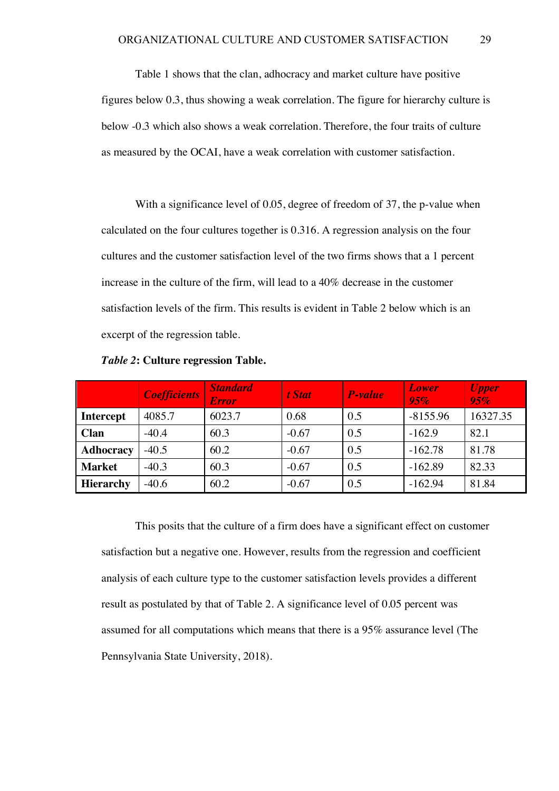Table 1 shows that the clan, adhocracy and market culture have positive figures below 0.3, thus showing a weak correlation. The figure for hierarchy culture is below -0.3 which also shows a weak correlation. Therefore, the four traits of culture as measured by the OCAI, have a weak correlation with customer satisfaction.

With a significance level of 0.05, degree of freedom of 37, the p-value when calculated on the four cultures together is 0.316. A regression analysis on the four cultures and the customer satisfaction level of the two firms shows that a 1 percent increase in the culture of the firm, will lead to a 40% decrease in the customer satisfaction levels of the firm. This results is evident in Table 2 below which is an excerpt of the regression table.

|                  | <b>Coefficients</b> | <b>Standard</b><br><b>Error</b> | t Stat  | P-value | Lower<br>95% | <b>Upper</b><br>95% |
|------------------|---------------------|---------------------------------|---------|---------|--------------|---------------------|
| <b>Intercept</b> | 4085.7              | 6023.7                          | 0.68    | 0.5     | $-8155.96$   | 16327.35            |
| Clan             | $-40.4$             | 60.3                            | $-0.67$ | 0.5     | $-162.9$     | 82.1                |
| <b>Adhocracy</b> | $-40.5$             | 60.2                            | $-0.67$ | 0.5     | $-162.78$    | 81.78               |
| <b>Market</b>    | $-40.3$             | 60.3                            | $-0.67$ | 0.5     | $-162.89$    | 82.33               |
| <b>Hierarchy</b> | $-40.6$             | 60.2                            | $-0.67$ | 0.5     | $-162.94$    | 81.84               |

*Table 2***: Culture regression Table.**

This posits that the culture of a firm does have a significant effect on customer satisfaction but a negative one. However, results from the regression and coefficient analysis of each culture type to the customer satisfaction levels provides a different result as postulated by that of Table 2. A significance level of 0.05 percent was assumed for all computations which means that there is a 95% assurance level (The Pennsylvania State University, 2018).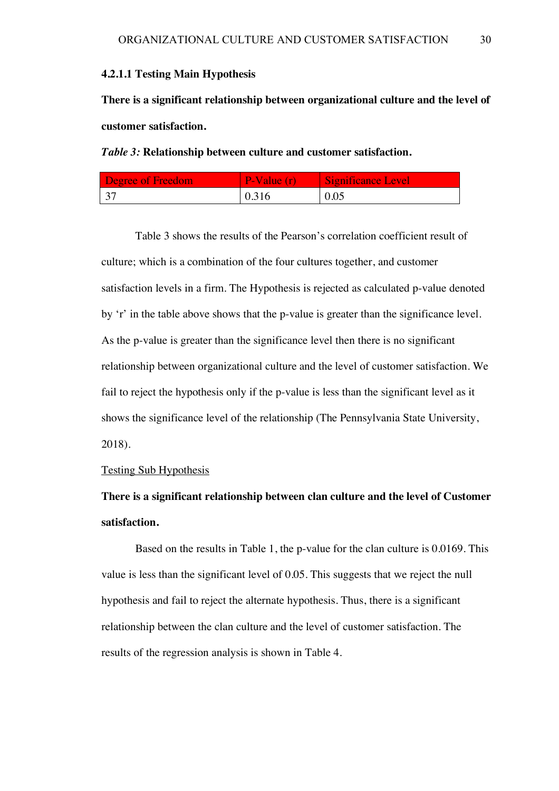#### **4.2.1.1 Testing Main Hypothesis**

**There is a significant relationship between organizational culture and the level of customer satisfaction.**

*Table 3:* **Relationship between culture and customer satisfaction.** 

| <b>Degree of Freedom</b> | $\blacktriangleright$ Value (r) | Significance Level |
|--------------------------|---------------------------------|--------------------|
| $\sqrt{27}$              | 0.316                           | $\mid 0.05$        |

Table 3 shows the results of the Pearson's correlation coefficient result of culture; which is a combination of the four cultures together, and customer satisfaction levels in a firm. The Hypothesis is rejected as calculated p-value denoted by 'r' in the table above shows that the p-value is greater than the significance level. As the p-value is greater than the significance level then there is no significant relationship between organizational culture and the level of customer satisfaction. We fail to reject the hypothesis only if the p-value is less than the significant level as it shows the significance level of the relationship (The Pennsylvania State University, 2018).

#### Testing Sub Hypothesis

# **There is a significant relationship between clan culture and the level of Customer satisfaction.**

Based on the results in Table 1, the p-value for the clan culture is 0.0169. This value is less than the significant level of 0.05. This suggests that we reject the null hypothesis and fail to reject the alternate hypothesis. Thus, there is a significant relationship between the clan culture and the level of customer satisfaction. The results of the regression analysis is shown in Table 4.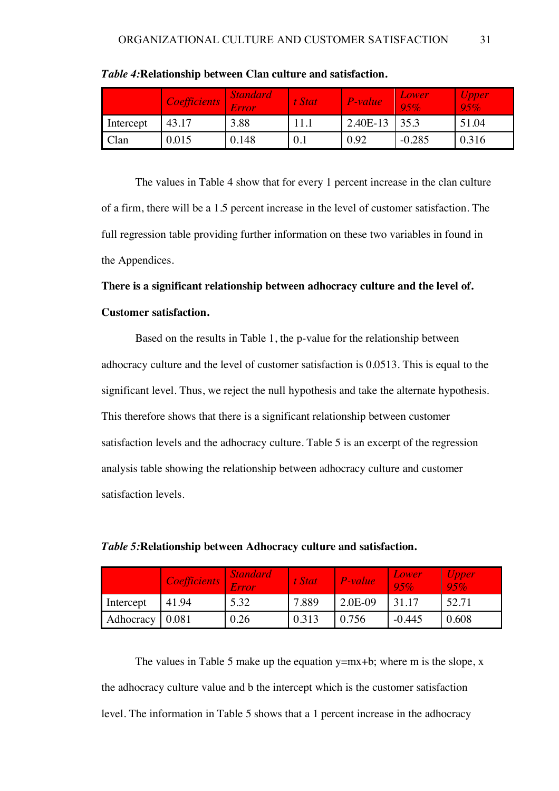|           | <i>Coefficients</i> | <b>Standard</b><br>Error | t Stat | P-value  | Lower<br>95% | <i>Upper</i><br>95% |
|-----------|---------------------|--------------------------|--------|----------|--------------|---------------------|
| Intercept | 43.17               | 3.88                     | 11.1   | 2.40E-13 | 35.3         | 51.04               |
| Clan      | 0.015               | 0.148                    | 0.1    | 0.92     | $-0.285$     | 0.316               |

*Table 4:***Relationship between Clan culture and satisfaction.** 

The values in Table 4 show that for every 1 percent increase in the clan culture of a firm, there will be a 1.5 percent increase in the level of customer satisfaction. The full regression table providing further information on these two variables in found in the Appendices.

# **There is a significant relationship between adhocracy culture and the level of. Customer satisfaction.**

Based on the results in Table 1, the p-value for the relationship between adhocracy culture and the level of customer satisfaction is 0.0513. This is equal to the significant level. Thus, we reject the null hypothesis and take the alternate hypothesis. This therefore shows that there is a significant relationship between customer satisfaction levels and the adhocracy culture. Table 5 is an excerpt of the regression analysis table showing the relationship between adhocracy culture and customer satisfaction levels.

|                   | <b>Coefficients</b> | <b>Standard</b><br>Error | t Stat | $P-value$ | Lower<br>95% | Upper<br>95% |
|-------------------|---------------------|--------------------------|--------|-----------|--------------|--------------|
| Intercept         | 41.94               | 5.32                     | 7.889  | 2.0E-09   | 31.17        | 52.71        |
| Adhocracy   0.081 |                     | 0.26                     | 0.313  | 0.756     | $-0.445$     | 0.608        |

*Table 5:***Relationship between Adhocracy culture and satisfaction.** 

The values in Table 5 make up the equation  $y=mx+b$ ; where m is the slope, x the adhocracy culture value and b the intercept which is the customer satisfaction level. The information in Table 5 shows that a 1 percent increase in the adhocracy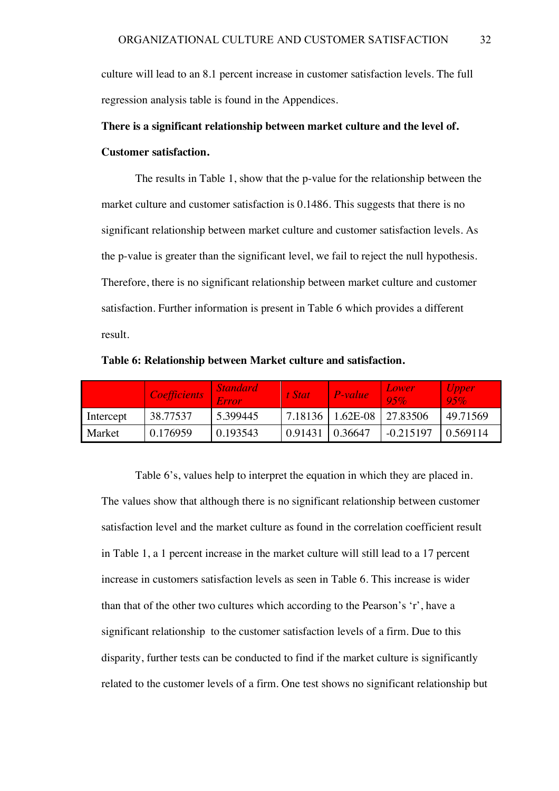culture will lead to an 8.1 percent increase in customer satisfaction levels. The full regression analysis table is found in the Appendices.

# **There is a significant relationship between market culture and the level of. Customer satisfaction.**

The results in Table 1, show that the p-value for the relationship between the market culture and customer satisfaction is 0.1486. This suggests that there is no significant relationship between market culture and customer satisfaction levels. As the p-value is greater than the significant level, we fail to reject the null hypothesis. Therefore, there is no significant relationship between market culture and customer satisfaction. Further information is present in Table 6 which provides a different result.

|           | <i>Coefficients</i> | <i>Standard</i><br>Error | t Stat  | P-value                       | Lower<br>$-95%$ | <i>Upper</i><br>95% |
|-----------|---------------------|--------------------------|---------|-------------------------------|-----------------|---------------------|
| Intercept | 38.77537            | 5.399445                 |         | 7.18136   1.62E-08   27.83506 |                 | 49.71569            |
| Market    | 0.176959            | 0.193543                 | 0.91431 | 0.36647                       | $-0.215197$     | 0.569114            |

**Table 6: Relationship between Market culture and satisfaction.** 

Table 6's, values help to interpret the equation in which they are placed in. The values show that although there is no significant relationship between customer satisfaction level and the market culture as found in the correlation coefficient result in Table 1, a 1 percent increase in the market culture will still lead to a 17 percent increase in customers satisfaction levels as seen in Table 6. This increase is wider than that of the other two cultures which according to the Pearson's 'r', have a significant relationship to the customer satisfaction levels of a firm. Due to this disparity, further tests can be conducted to find if the market culture is significantly related to the customer levels of a firm. One test shows no significant relationship but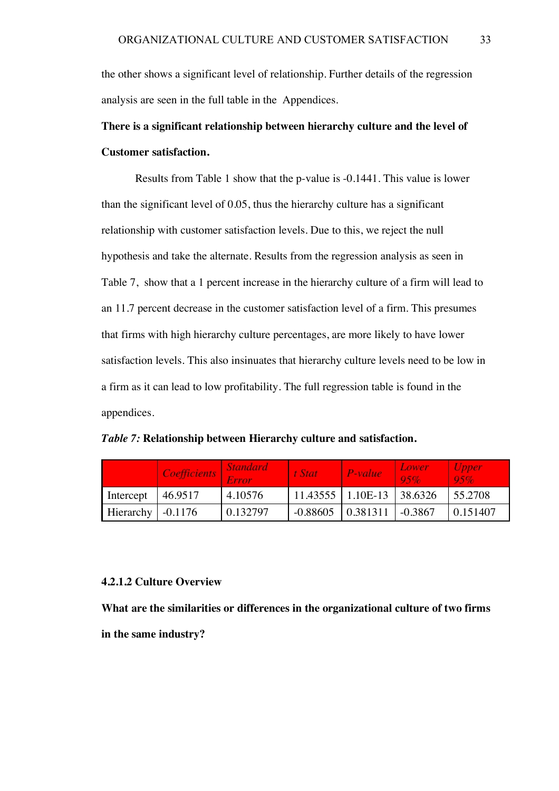the other shows a significant level of relationship. Further details of the regression analysis are seen in the full table in the Appendices.

# **There is a significant relationship between hierarchy culture and the level of Customer satisfaction.**

Results from Table 1 show that the p-value is -0.1441. This value is lower than the significant level of 0.05, thus the hierarchy culture has a significant relationship with customer satisfaction levels. Due to this, we reject the null hypothesis and take the alternate. Results from the regression analysis as seen in Table 7, show that a 1 percent increase in the hierarchy culture of a firm will lead to an 11.7 percent decrease in the customer satisfaction level of a firm. This presumes that firms with high hierarchy culture percentages, are more likely to have lower satisfaction levels. This also insinuates that hierarchy culture levels need to be low in a firm as it can lead to low profitability. The full regression table is found in the appendices.

*Table 7:* **Relationship between Hierarchy culture and satisfaction.**

|                          | <i>Coefficients</i> | <b>Standard</b><br>Error | t Stat     | $P-value$                 | Lower<br>95% | Upper<br>$-95\%$ |
|--------------------------|---------------------|--------------------------|------------|---------------------------|--------------|------------------|
| Intercept                | 46.9517             | 4.10576                  |            | 11.43555 1.10E-13 38.6326 |              | 55.2708          |
| Hierarchy $\sim$ -0.1176 |                     | 0.132797                 | $-0.88605$ | 0.381311                  | $-0.3867$    | 0.151407         |

#### **4.2.1.2 Culture Overview**

**What are the similarities or differences in the organizational culture of two firms in the same industry?**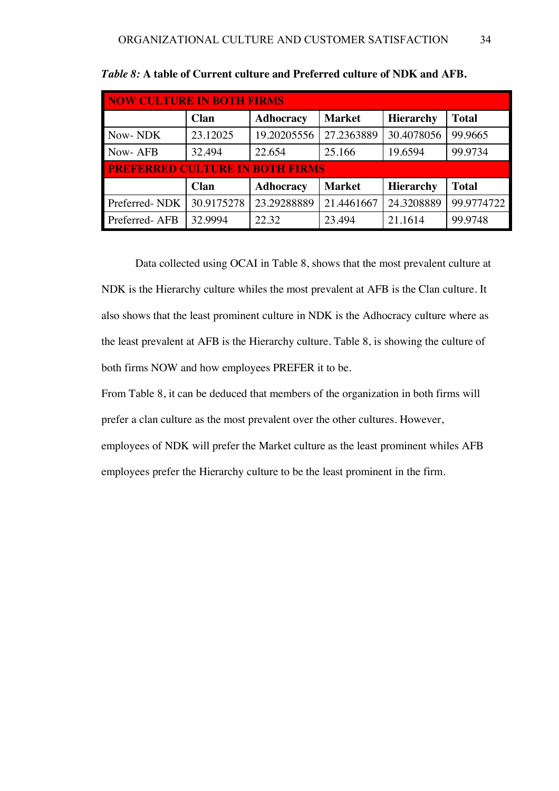| <b>NOW CULTURE IN BOTH FIRMS</b> |                                        |                  |               |                  |              |  |  |  |  |
|----------------------------------|----------------------------------------|------------------|---------------|------------------|--------------|--|--|--|--|
|                                  | Clan                                   | <b>Adhocracy</b> | <b>Market</b> | <b>Hierarchy</b> | <b>Total</b> |  |  |  |  |
| Now-NDK                          | 23.12025                               | 19.20205556      | 27.2363889    | 30.4078056       | 99.9665      |  |  |  |  |
| Now-AFB                          | 32.494                                 | 22.654           | 25.166        | 19.6594          | 99.9734      |  |  |  |  |
|                                  | <b>PREFERRED CULTURE IN BOTH FIRMS</b> |                  |               |                  |              |  |  |  |  |
|                                  | <b>Clan</b>                            | <b>Adhocracy</b> | <b>Market</b> | <b>Hierarchy</b> | <b>Total</b> |  |  |  |  |
| Preferred-NDK                    | 30.9175278                             | 23.29288889      | 21.4461667    | 24.3208889       | 99.9774722   |  |  |  |  |
| Preferred-AFB                    | 32.9994                                | 22.32            | 23.494        | 21.1614          | 99.9748      |  |  |  |  |

Data collected using OCAI in Table 8, shows that the most prevalent culture at NDK is the Hierarchy culture whiles the most prevalent at AFB is the Clan culture. It also shows that the least prominent culture in NDK is the Adhocracy culture where as the least prevalent at AFB is the Hierarchy culture. Table 8, is showing the culture of both firms NOW and how employees PREFER it to be.

From Table 8, it can be deduced that members of the organization in both firms will prefer a clan culture as the most prevalent over the other cultures. However, employees of NDK will prefer the Market culture as the least prominent whiles AFB employees prefer the Hierarchy culture to be the least prominent in the firm.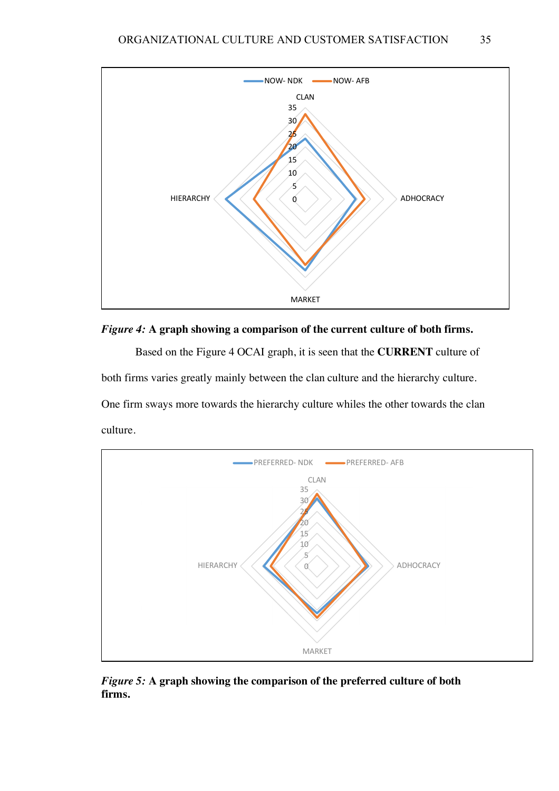



Based on the Figure 4 OCAI graph, it is seen that the **CURRENT** culture of both firms varies greatly mainly between the clan culture and the hierarchy culture. One firm sways more towards the hierarchy culture whiles the other towards the clan culture.



*Figure 5:* **A graph showing the comparison of the preferred culture of both firms.**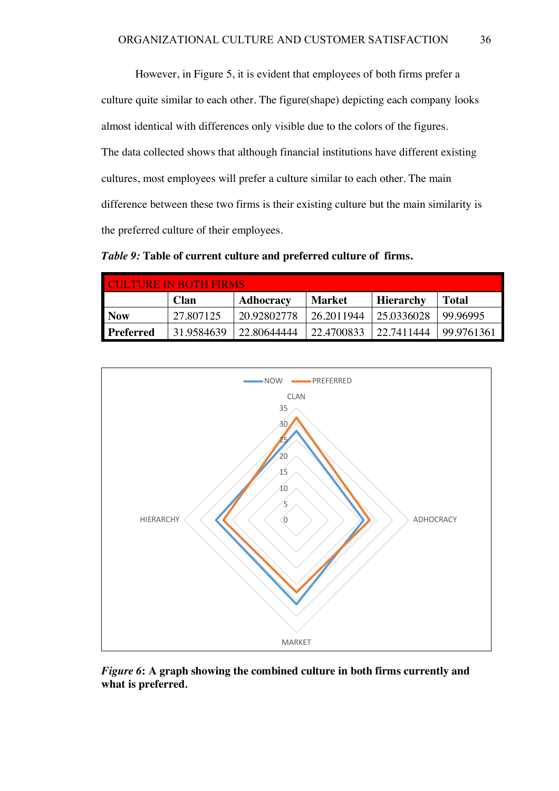However, in Figure 5, it is evident that employees of both firms prefer a culture quite similar to each other. The figure(shape) depicting each company looks almost identical with differences only visible due to the colors of the figures. The data collected shows that although financial institutions have different existing cultures, most employees will prefer a culture similar to each other. The main difference between these two firms is their existing culture but the main similarity is the preferred culture of their employees.

*Table 9:* **Table of current culture and preferred culture of firms.**

| <b>CULTURE IN BOTH FIRMS:</b> |             |             |            |            |              |  |
|-------------------------------|-------------|-------------|------------|------------|--------------|--|
|                               | <b>Clan</b> | Adhocracy   | Market     | Hierarchy  | <b>Total</b> |  |
| <b>Now</b>                    | 27.807125   | 20.92802778 | 26.2011944 | 25.0336028 | 99.96995     |  |
| <b>Preferred</b>              | 31.9584639  | 22.80644444 | 22.4700833 | 22.7411444 | 99.9761361   |  |



*Figure 6***: A graph showing the combined culture in both firms currently and what is preferred***.*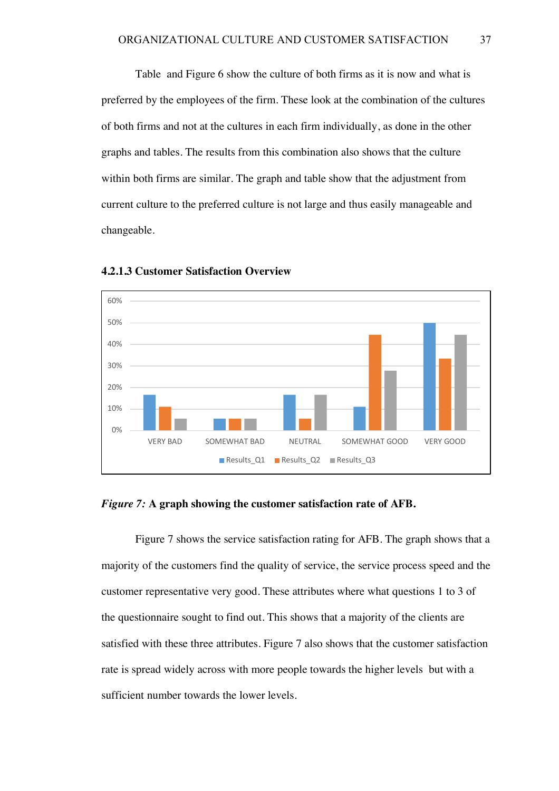Table and Figure 6 show the culture of both firms as it is now and what is preferred by the employees of the firm. These look at the combination of the cultures of both firms and not at the cultures in each firm individually, as done in the other graphs and tables. The results from this combination also shows that the culture within both firms are similar. The graph and table show that the adjustment from current culture to the preferred culture is not large and thus easily manageable and changeable.



**4.2.1.3 Customer Satisfaction Overview**

#### *Figure 7:* **A graph showing the customer satisfaction rate of AFB.**

Figure 7 shows the service satisfaction rating for AFB. The graph shows that a majority of the customers find the quality of service, the service process speed and the customer representative very good. These attributes where what questions 1 to 3 of the questionnaire sought to find out. This shows that a majority of the clients are satisfied with these three attributes. Figure 7 also shows that the customer satisfaction rate is spread widely across with more people towards the higher levels but with a sufficient number towards the lower levels.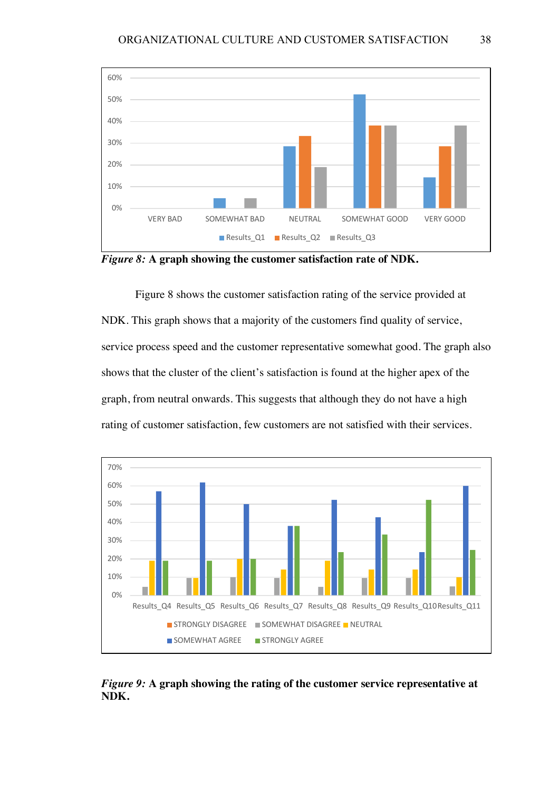

*Figure 8:* **A graph showing the customer satisfaction rate of NDK.**

Figure 8 shows the customer satisfaction rating of the service provided at NDK. This graph shows that a majority of the customers find quality of service, service process speed and the customer representative somewhat good. The graph also shows that the cluster of the client's satisfaction is found at the higher apex of the graph, from neutral onwards. This suggests that although they do not have a high rating of customer satisfaction, few customers are not satisfied with their services.



*Figure 9:* **A graph showing the rating of the customer service representative at NDK.**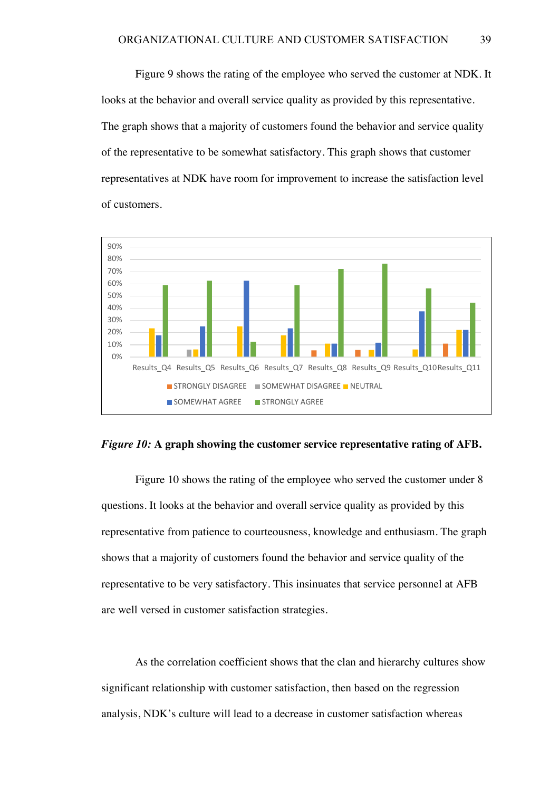Figure 9 shows the rating of the employee who served the customer at NDK. It looks at the behavior and overall service quality as provided by this representative. The graph shows that a majority of customers found the behavior and service quality of the representative to be somewhat satisfactory. This graph shows that customer representatives at NDK have room for improvement to increase the satisfaction level of customers.





Figure 10 shows the rating of the employee who served the customer under 8 questions. It looks at the behavior and overall service quality as provided by this representative from patience to courteousness, knowledge and enthusiasm. The graph shows that a majority of customers found the behavior and service quality of the representative to be very satisfactory. This insinuates that service personnel at AFB are well versed in customer satisfaction strategies.

As the correlation coefficient shows that the clan and hierarchy cultures show significant relationship with customer satisfaction, then based on the regression analysis, NDK's culture will lead to a decrease in customer satisfaction whereas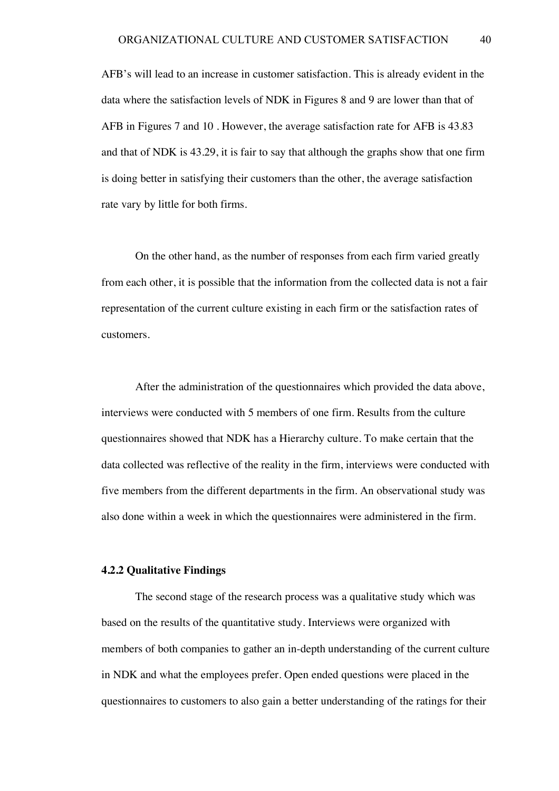AFB's will lead to an increase in customer satisfaction. This is already evident in the data where the satisfaction levels of NDK in Figures 8 and 9 are lower than that of AFB in Figures 7 and 10 . However, the average satisfaction rate for AFB is 43.83 and that of NDK is 43.29, it is fair to say that although the graphs show that one firm is doing better in satisfying their customers than the other, the average satisfaction rate vary by little for both firms.

On the other hand, as the number of responses from each firm varied greatly from each other, it is possible that the information from the collected data is not a fair representation of the current culture existing in each firm or the satisfaction rates of customers.

After the administration of the questionnaires which provided the data above, interviews were conducted with 5 members of one firm. Results from the culture questionnaires showed that NDK has a Hierarchy culture. To make certain that the data collected was reflective of the reality in the firm, interviews were conducted with five members from the different departments in the firm. An observational study was also done within a week in which the questionnaires were administered in the firm.

#### **4.2.2 Qualitative Findings**

The second stage of the research process was a qualitative study which was based on the results of the quantitative study. Interviews were organized with members of both companies to gather an in-depth understanding of the current culture in NDK and what the employees prefer. Open ended questions were placed in the questionnaires to customers to also gain a better understanding of the ratings for their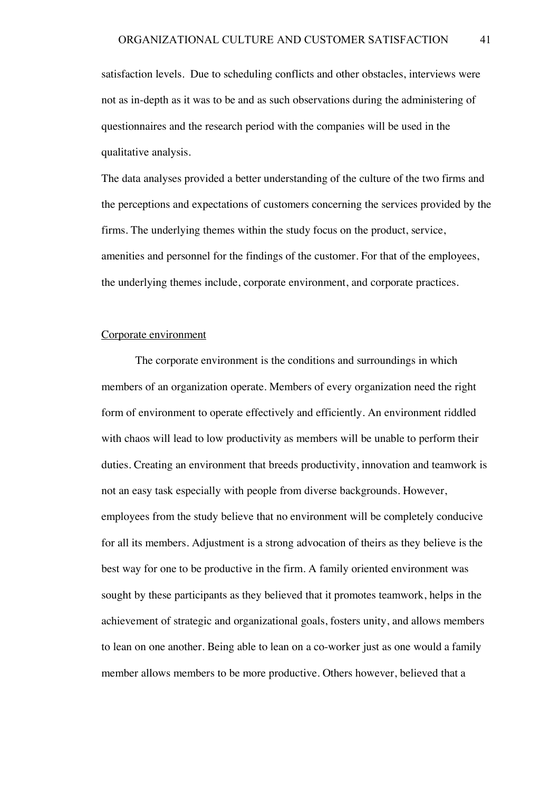satisfaction levels. Due to scheduling conflicts and other obstacles, interviews were not as in-depth as it was to be and as such observations during the administering of questionnaires and the research period with the companies will be used in the qualitative analysis.

The data analyses provided a better understanding of the culture of the two firms and the perceptions and expectations of customers concerning the services provided by the firms. The underlying themes within the study focus on the product, service, amenities and personnel for the findings of the customer. For that of the employees, the underlying themes include, corporate environment, and corporate practices.

#### Corporate environment

The corporate environment is the conditions and surroundings in which members of an organization operate. Members of every organization need the right form of environment to operate effectively and efficiently. An environment riddled with chaos will lead to low productivity as members will be unable to perform their duties. Creating an environment that breeds productivity, innovation and teamwork is not an easy task especially with people from diverse backgrounds. However, employees from the study believe that no environment will be completely conducive for all its members. Adjustment is a strong advocation of theirs as they believe is the best way for one to be productive in the firm. A family oriented environment was sought by these participants as they believed that it promotes teamwork, helps in the achievement of strategic and organizational goals, fosters unity, and allows members to lean on one another. Being able to lean on a co-worker just as one would a family member allows members to be more productive. Others however, believed that a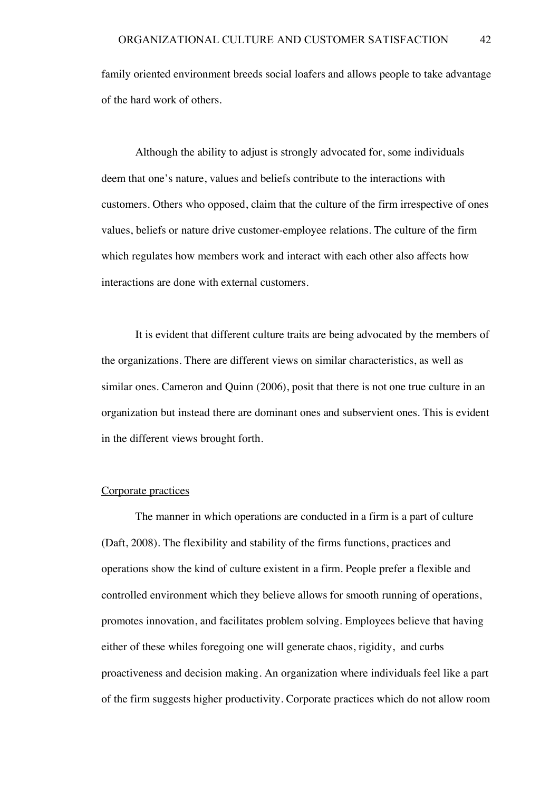family oriented environment breeds social loafers and allows people to take advantage of the hard work of others.

Although the ability to adjust is strongly advocated for, some individuals deem that one's nature, values and beliefs contribute to the interactions with customers. Others who opposed, claim that the culture of the firm irrespective of ones values, beliefs or nature drive customer-employee relations. The culture of the firm which regulates how members work and interact with each other also affects how interactions are done with external customers.

It is evident that different culture traits are being advocated by the members of the organizations. There are different views on similar characteristics, as well as similar ones. Cameron and Quinn (2006), posit that there is not one true culture in an organization but instead there are dominant ones and subservient ones. This is evident in the different views brought forth.

#### Corporate practices

The manner in which operations are conducted in a firm is a part of culture (Daft, 2008). The flexibility and stability of the firms functions, practices and operations show the kind of culture existent in a firm. People prefer a flexible and controlled environment which they believe allows for smooth running of operations, promotes innovation, and facilitates problem solving. Employees believe that having either of these whiles foregoing one will generate chaos, rigidity, and curbs proactiveness and decision making. An organization where individuals feel like a part of the firm suggests higher productivity. Corporate practices which do not allow room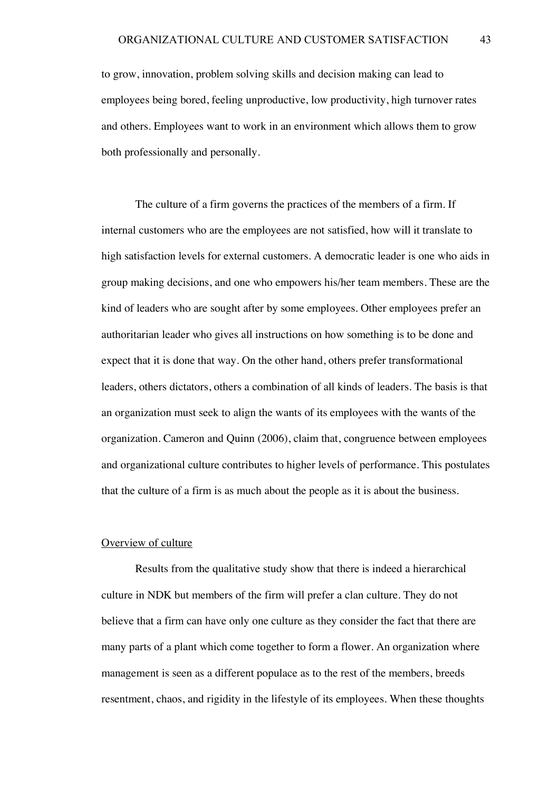to grow, innovation, problem solving skills and decision making can lead to employees being bored, feeling unproductive, low productivity, high turnover rates and others. Employees want to work in an environment which allows them to grow both professionally and personally.

The culture of a firm governs the practices of the members of a firm. If internal customers who are the employees are not satisfied, how will it translate to high satisfaction levels for external customers. A democratic leader is one who aids in group making decisions, and one who empowers his/her team members. These are the kind of leaders who are sought after by some employees. Other employees prefer an authoritarian leader who gives all instructions on how something is to be done and expect that it is done that way. On the other hand, others prefer transformational leaders, others dictators, others a combination of all kinds of leaders. The basis is that an organization must seek to align the wants of its employees with the wants of the organization. Cameron and Quinn (2006), claim that, congruence between employees and organizational culture contributes to higher levels of performance. This postulates that the culture of a firm is as much about the people as it is about the business.

#### Overview of culture

Results from the qualitative study show that there is indeed a hierarchical culture in NDK but members of the firm will prefer a clan culture. They do not believe that a firm can have only one culture as they consider the fact that there are many parts of a plant which come together to form a flower. An organization where management is seen as a different populace as to the rest of the members, breeds resentment, chaos, and rigidity in the lifestyle of its employees. When these thoughts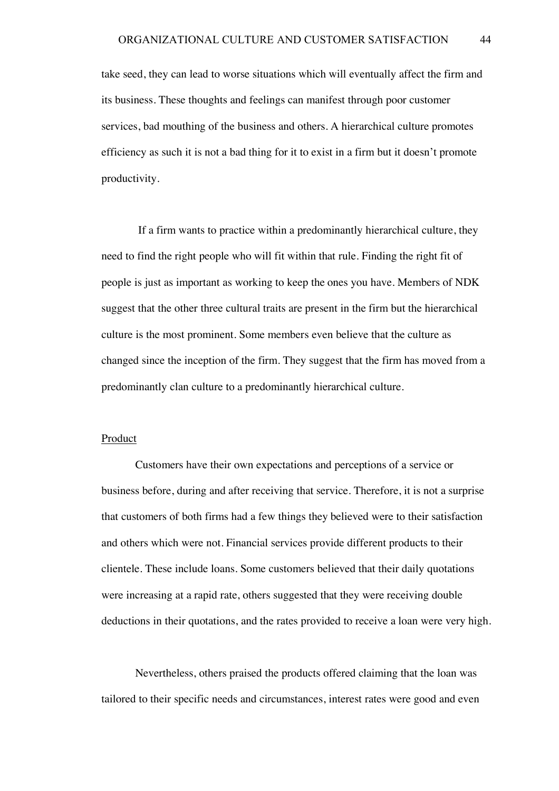take seed, they can lead to worse situations which will eventually affect the firm and its business. These thoughts and feelings can manifest through poor customer services, bad mouthing of the business and others. A hierarchical culture promotes efficiency as such it is not a bad thing for it to exist in a firm but it doesn't promote productivity.

If a firm wants to practice within a predominantly hierarchical culture, they need to find the right people who will fit within that rule. Finding the right fit of people is just as important as working to keep the ones you have. Members of NDK suggest that the other three cultural traits are present in the firm but the hierarchical culture is the most prominent. Some members even believe that the culture as changed since the inception of the firm. They suggest that the firm has moved from a predominantly clan culture to a predominantly hierarchical culture.

#### **Product**

Customers have their own expectations and perceptions of a service or business before, during and after receiving that service. Therefore, it is not a surprise that customers of both firms had a few things they believed were to their satisfaction and others which were not. Financial services provide different products to their clientele. These include loans. Some customers believed that their daily quotations were increasing at a rapid rate, others suggested that they were receiving double deductions in their quotations, and the rates provided to receive a loan were very high.

Nevertheless, others praised the products offered claiming that the loan was tailored to their specific needs and circumstances, interest rates were good and even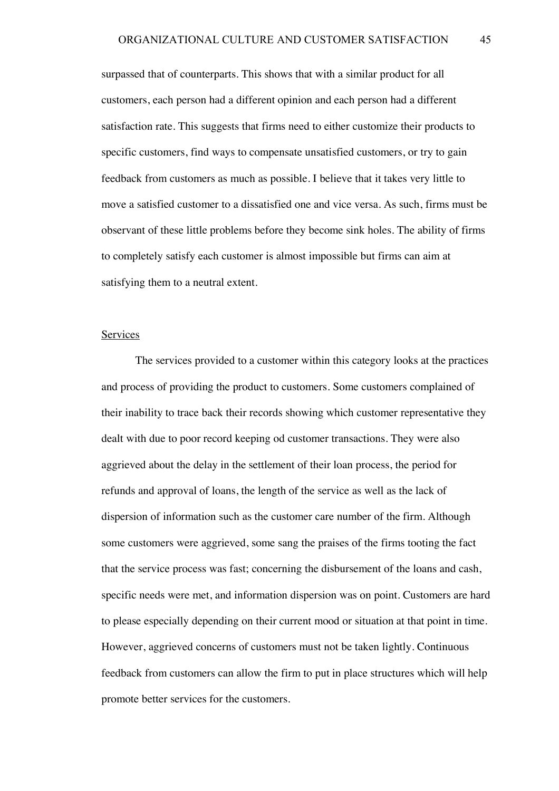surpassed that of counterparts. This shows that with a similar product for all customers, each person had a different opinion and each person had a different satisfaction rate. This suggests that firms need to either customize their products to specific customers, find ways to compensate unsatisfied customers, or try to gain feedback from customers as much as possible. I believe that it takes very little to move a satisfied customer to a dissatisfied one and vice versa. As such, firms must be observant of these little problems before they become sink holes. The ability of firms to completely satisfy each customer is almost impossible but firms can aim at satisfying them to a neutral extent.

#### Services

The services provided to a customer within this category looks at the practices and process of providing the product to customers. Some customers complained of their inability to trace back their records showing which customer representative they dealt with due to poor record keeping od customer transactions. They were also aggrieved about the delay in the settlement of their loan process, the period for refunds and approval of loans, the length of the service as well as the lack of dispersion of information such as the customer care number of the firm. Although some customers were aggrieved, some sang the praises of the firms tooting the fact that the service process was fast; concerning the disbursement of the loans and cash, specific needs were met, and information dispersion was on point. Customers are hard to please especially depending on their current mood or situation at that point in time. However, aggrieved concerns of customers must not be taken lightly. Continuous feedback from customers can allow the firm to put in place structures which will help promote better services for the customers.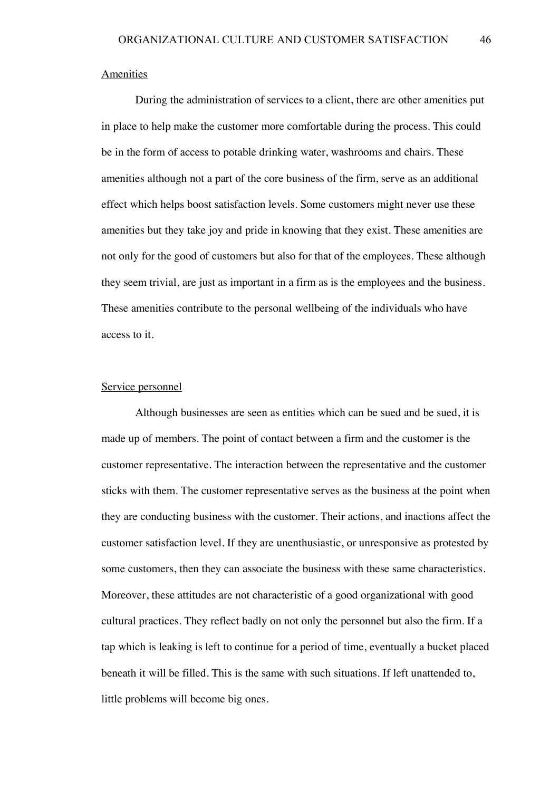#### Amenities

During the administration of services to a client, there are other amenities put in place to help make the customer more comfortable during the process. This could be in the form of access to potable drinking water, washrooms and chairs. These amenities although not a part of the core business of the firm, serve as an additional effect which helps boost satisfaction levels. Some customers might never use these amenities but they take joy and pride in knowing that they exist. These amenities are not only for the good of customers but also for that of the employees. These although they seem trivial, are just as important in a firm as is the employees and the business. These amenities contribute to the personal wellbeing of the individuals who have access to it.

#### Service personnel

Although businesses are seen as entities which can be sued and be sued, it is made up of members. The point of contact between a firm and the customer is the customer representative. The interaction between the representative and the customer sticks with them. The customer representative serves as the business at the point when they are conducting business with the customer. Their actions, and inactions affect the customer satisfaction level. If they are unenthusiastic, or unresponsive as protested by some customers, then they can associate the business with these same characteristics. Moreover, these attitudes are not characteristic of a good organizational with good cultural practices. They reflect badly on not only the personnel but also the firm. If a tap which is leaking is left to continue for a period of time, eventually a bucket placed beneath it will be filled. This is the same with such situations. If left unattended to, little problems will become big ones.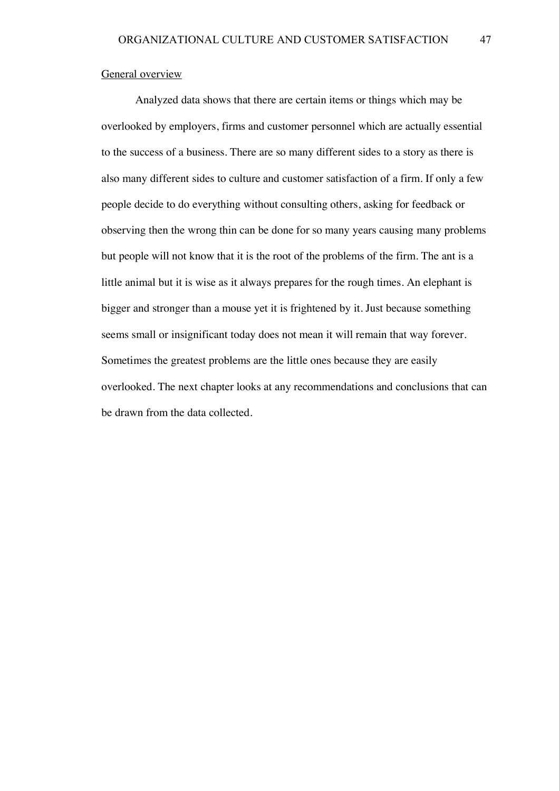#### General overview

Analyzed data shows that there are certain items or things which may be overlooked by employers, firms and customer personnel which are actually essential to the success of a business. There are so many different sides to a story as there is also many different sides to culture and customer satisfaction of a firm. If only a few people decide to do everything without consulting others, asking for feedback or observing then the wrong thin can be done for so many years causing many problems but people will not know that it is the root of the problems of the firm. The ant is a little animal but it is wise as it always prepares for the rough times. An elephant is bigger and stronger than a mouse yet it is frightened by it. Just because something seems small or insignificant today does not mean it will remain that way forever. Sometimes the greatest problems are the little ones because they are easily overlooked. The next chapter looks at any recommendations and conclusions that can be drawn from the data collected.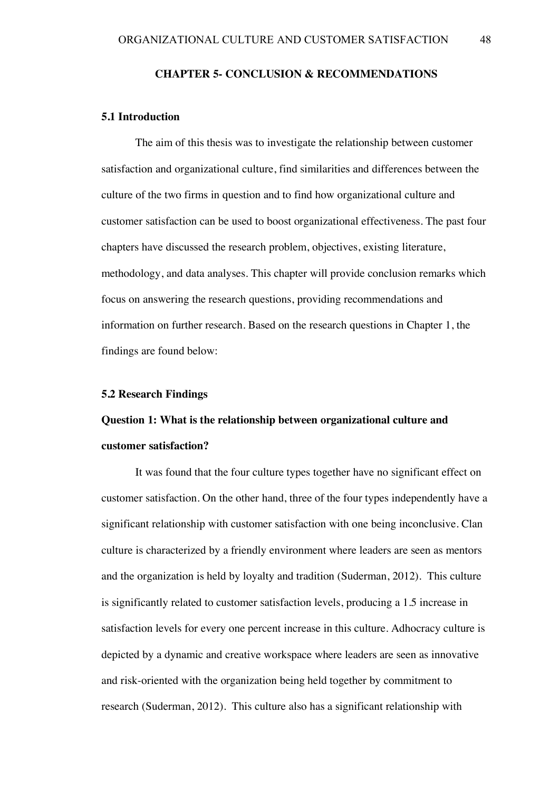#### **CHAPTER 5- CONCLUSION & RECOMMENDATIONS**

#### **5.1 Introduction**

The aim of this thesis was to investigate the relationship between customer satisfaction and organizational culture, find similarities and differences between the culture of the two firms in question and to find how organizational culture and customer satisfaction can be used to boost organizational effectiveness. The past four chapters have discussed the research problem, objectives, existing literature, methodology, and data analyses. This chapter will provide conclusion remarks which focus on answering the research questions, providing recommendations and information on further research. Based on the research questions in Chapter 1, the findings are found below:

#### **5.2 Research Findings**

## **Question 1: What is the relationship between organizational culture and customer satisfaction?**

It was found that the four culture types together have no significant effect on customer satisfaction. On the other hand, three of the four types independently have a significant relationship with customer satisfaction with one being inconclusive. Clan culture is characterized by a friendly environment where leaders are seen as mentors and the organization is held by loyalty and tradition (Suderman, 2012). This culture is significantly related to customer satisfaction levels, producing a 1.5 increase in satisfaction levels for every one percent increase in this culture. Adhocracy culture is depicted by a dynamic and creative workspace where leaders are seen as innovative and risk-oriented with the organization being held together by commitment to research (Suderman, 2012). This culture also has a significant relationship with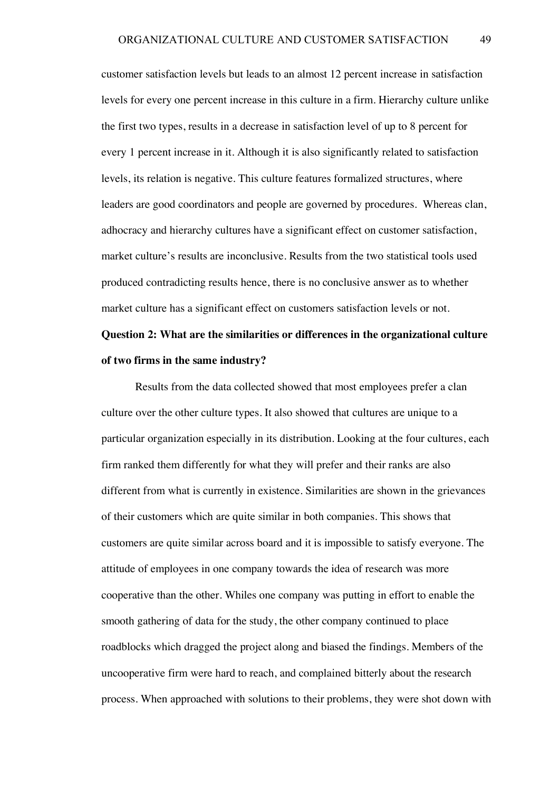customer satisfaction levels but leads to an almost 12 percent increase in satisfaction levels for every one percent increase in this culture in a firm. Hierarchy culture unlike the first two types, results in a decrease in satisfaction level of up to 8 percent for every 1 percent increase in it. Although it is also significantly related to satisfaction levels, its relation is negative. This culture features formalized structures, where leaders are good coordinators and people are governed by procedures. Whereas clan, adhocracy and hierarchy cultures have a significant effect on customer satisfaction, market culture's results are inconclusive. Results from the two statistical tools used produced contradicting results hence, there is no conclusive answer as to whether market culture has a significant effect on customers satisfaction levels or not.

# **Question 2: What are the similarities or differences in the organizational culture of two firms in the same industry?**

Results from the data collected showed that most employees prefer a clan culture over the other culture types. It also showed that cultures are unique to a particular organization especially in its distribution. Looking at the four cultures, each firm ranked them differently for what they will prefer and their ranks are also different from what is currently in existence. Similarities are shown in the grievances of their customers which are quite similar in both companies. This shows that customers are quite similar across board and it is impossible to satisfy everyone. The attitude of employees in one company towards the idea of research was more cooperative than the other. Whiles one company was putting in effort to enable the smooth gathering of data for the study, the other company continued to place roadblocks which dragged the project along and biased the findings. Members of the uncooperative firm were hard to reach, and complained bitterly about the research process. When approached with solutions to their problems, they were shot down with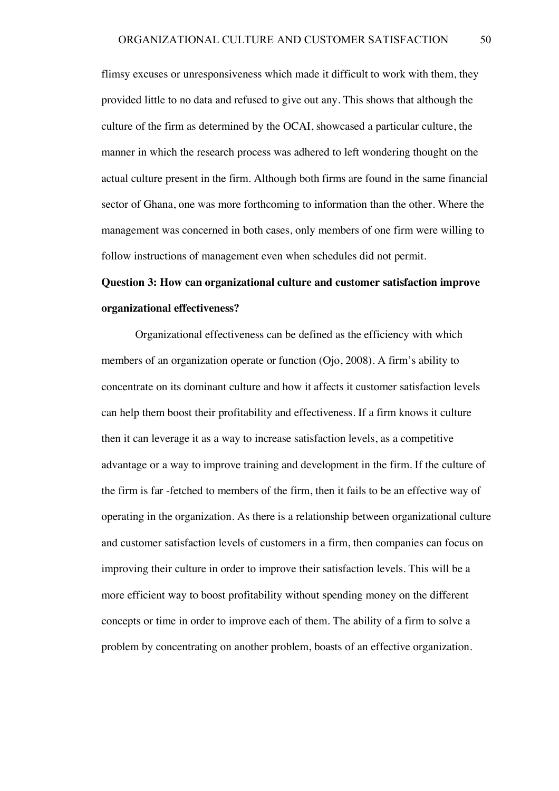flimsy excuses or unresponsiveness which made it difficult to work with them, they provided little to no data and refused to give out any. This shows that although the culture of the firm as determined by the OCAI, showcased a particular culture, the manner in which the research process was adhered to left wondering thought on the actual culture present in the firm. Although both firms are found in the same financial sector of Ghana, one was more forthcoming to information than the other. Where the management was concerned in both cases, only members of one firm were willing to follow instructions of management even when schedules did not permit.

# **Question 3: How can organizational culture and customer satisfaction improve organizational effectiveness?**

Organizational effectiveness can be defined as the efficiency with which members of an organization operate or function (Ojo, 2008). A firm's ability to concentrate on its dominant culture and how it affects it customer satisfaction levels can help them boost their profitability and effectiveness. If a firm knows it culture then it can leverage it as a way to increase satisfaction levels, as a competitive advantage or a way to improve training and development in the firm. If the culture of the firm is far -fetched to members of the firm, then it fails to be an effective way of operating in the organization. As there is a relationship between organizational culture and customer satisfaction levels of customers in a firm, then companies can focus on improving their culture in order to improve their satisfaction levels. This will be a more efficient way to boost profitability without spending money on the different concepts or time in order to improve each of them. The ability of a firm to solve a problem by concentrating on another problem, boasts of an effective organization.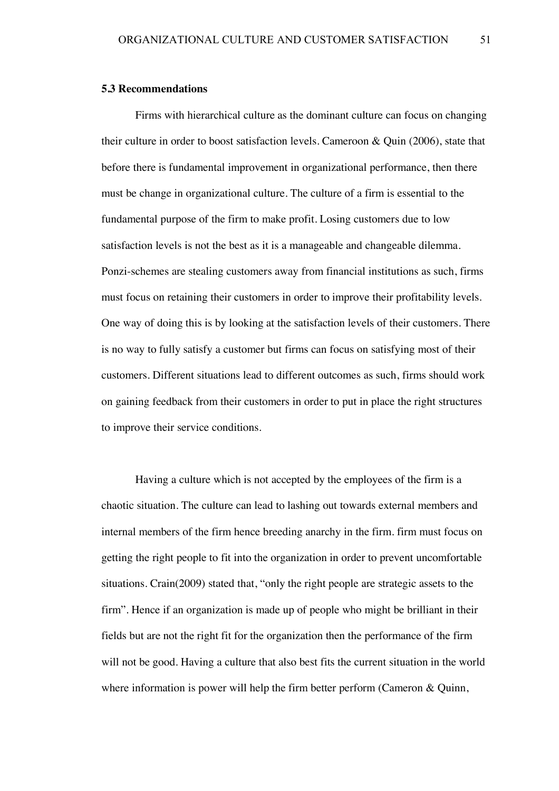#### **5.3 Recommendations**

Firms with hierarchical culture as the dominant culture can focus on changing their culture in order to boost satisfaction levels. Cameroon & Quin (2006), state that before there is fundamental improvement in organizational performance, then there must be change in organizational culture. The culture of a firm is essential to the fundamental purpose of the firm to make profit. Losing customers due to low satisfaction levels is not the best as it is a manageable and changeable dilemma. Ponzi-schemes are stealing customers away from financial institutions as such, firms must focus on retaining their customers in order to improve their profitability levels. One way of doing this is by looking at the satisfaction levels of their customers. There is no way to fully satisfy a customer but firms can focus on satisfying most of their customers. Different situations lead to different outcomes as such, firms should work on gaining feedback from their customers in order to put in place the right structures to improve their service conditions.

Having a culture which is not accepted by the employees of the firm is a chaotic situation. The culture can lead to lashing out towards external members and internal members of the firm hence breeding anarchy in the firm. firm must focus on getting the right people to fit into the organization in order to prevent uncomfortable situations. Crain(2009) stated that, "only the right people are strategic assets to the firm". Hence if an organization is made up of people who might be brilliant in their fields but are not the right fit for the organization then the performance of the firm will not be good. Having a culture that also best fits the current situation in the world where information is power will help the firm better perform (Cameron & Quinn,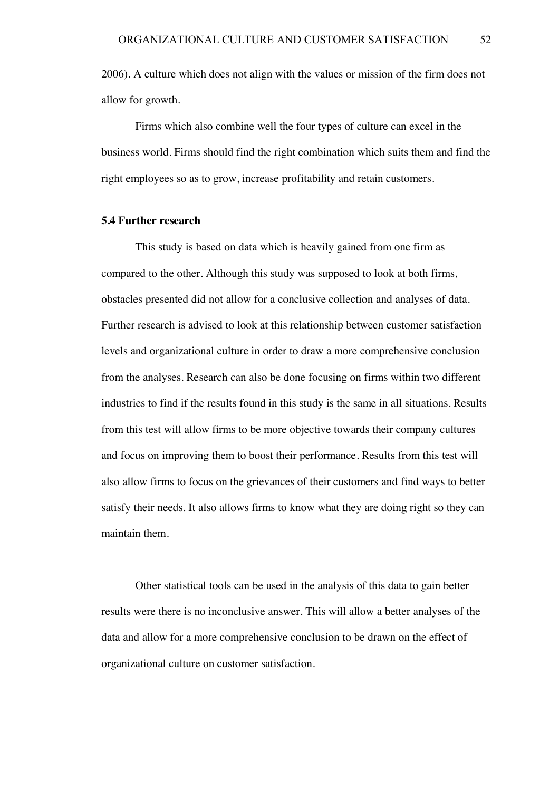2006). A culture which does not align with the values or mission of the firm does not allow for growth.

Firms which also combine well the four types of culture can excel in the business world. Firms should find the right combination which suits them and find the right employees so as to grow, increase profitability and retain customers.

#### **5.4 Further research**

This study is based on data which is heavily gained from one firm as compared to the other. Although this study was supposed to look at both firms, obstacles presented did not allow for a conclusive collection and analyses of data. Further research is advised to look at this relationship between customer satisfaction levels and organizational culture in order to draw a more comprehensive conclusion from the analyses. Research can also be done focusing on firms within two different industries to find if the results found in this study is the same in all situations. Results from this test will allow firms to be more objective towards their company cultures and focus on improving them to boost their performance. Results from this test will also allow firms to focus on the grievances of their customers and find ways to better satisfy their needs. It also allows firms to know what they are doing right so they can maintain them.

Other statistical tools can be used in the analysis of this data to gain better results were there is no inconclusive answer. This will allow a better analyses of the data and allow for a more comprehensive conclusion to be drawn on the effect of organizational culture on customer satisfaction.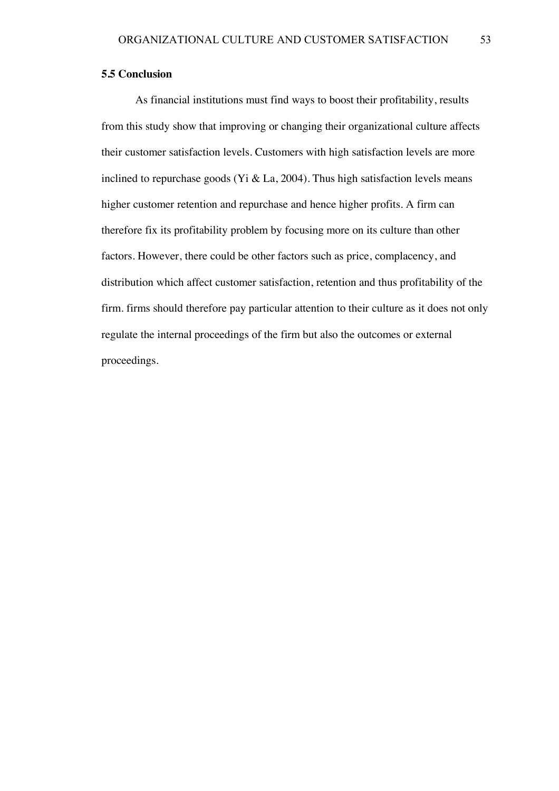#### **5.5 Conclusion**

As financial institutions must find ways to boost their profitability, results from this study show that improving or changing their organizational culture affects their customer satisfaction levels. Customers with high satisfaction levels are more inclined to repurchase goods (Yi & La, 2004). Thus high satisfaction levels means higher customer retention and repurchase and hence higher profits. A firm can therefore fix its profitability problem by focusing more on its culture than other factors. However, there could be other factors such as price, complacency, and distribution which affect customer satisfaction, retention and thus profitability of the firm. firms should therefore pay particular attention to their culture as it does not only regulate the internal proceedings of the firm but also the outcomes or external proceedings.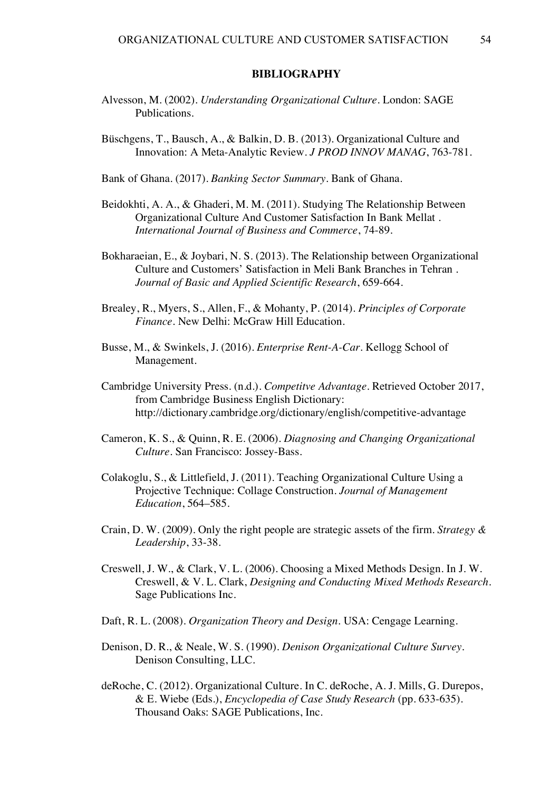#### **BIBLIOGRAPHY**

- Alvesson, M. (2002). *Understanding Organizational Culture.* London: SAGE Publications.
- Büschgens, T., Bausch, A., & Balkin, D. B. (2013). Organizational Culture and Innovation: A Meta-Analytic Review. *J PROD INNOV MANAG*, 763-781.

Bank of Ghana. (2017). *Banking Sector Summary.* Bank of Ghana.

- Beidokhti, A. A., & Ghaderi, M. M. (2011). Studying The Relationship Between Organizational Culture And Customer Satisfaction In Bank Mellat . *International Journal of Business and Commerce*, 74-89.
- Bokharaeian, E., & Joybari, N. S. (2013). The Relationship between Organizational Culture and Customers' Satisfaction in Meli Bank Branches in Tehran . *Journal of Basic and Applied Scientific Research*, 659-664.
- Brealey, R., Myers, S., Allen, F., & Mohanty, P. (2014). *Principles of Corporate Finance.* New Delhi: McGraw Hill Education.
- Busse, M., & Swinkels, J. (2016). *Enterprise Rent-A-Car.* Kellogg School of Management.
- Cambridge University Press. (n.d.). *Competitve Advantage*. Retrieved October 2017, from Cambridge Business English Dictionary: http://dictionary.cambridge.org/dictionary/english/competitive-advantage
- Cameron, K. S., & Quinn, R. E. (2006). *Diagnosing and Changing Organizational Culture.* San Francisco: Jossey-Bass.
- Colakoglu, S., & Littlefield, J. (2011). Teaching Organizational Culture Using a Projective Technique: Collage Construction. *Journal of Management Education*, 564–585.
- Crain, D. W. (2009). Only the right people are strategic assets of the firm. *Strategy & Leadership*, 33-38.
- Creswell, J. W., & Clark, V. L. (2006). Choosing a Mixed Methods Design. In J. W. Creswell, & V. L. Clark, *Designing and Conducting Mixed Methods Research.* Sage Publications Inc.
- Daft, R. L. (2008). *Organization Theory and Design.* USA: Cengage Learning.
- Denison, D. R., & Neale, W. S. (1990). *Denison Organizational Culture Survey.* Denison Consulting, LLC.
- deRoche, C. (2012). Organizational Culture. In C. deRoche, A. J. Mills, G. Durepos, & E. Wiebe (Eds.), *Encyclopedia of Case Study Research* (pp. 633-635). Thousand Oaks: SAGE Publications, Inc.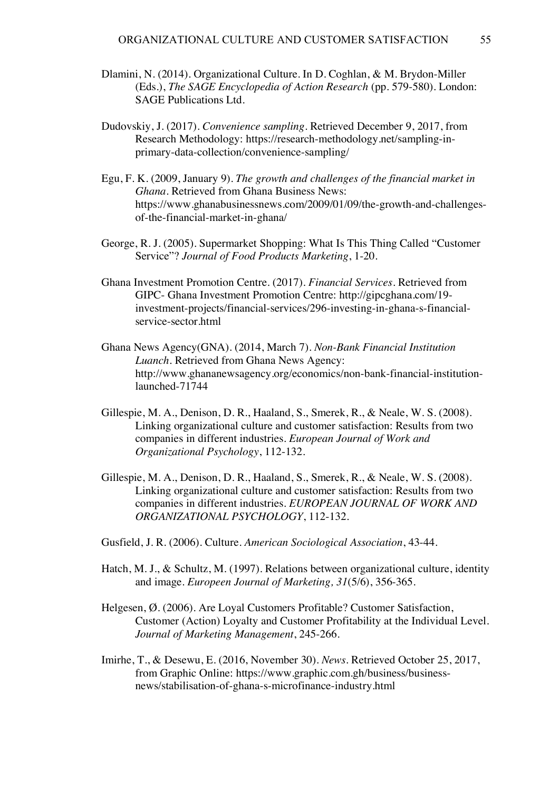- Dlamini, N. (2014). Organizational Culture. In D. Coghlan, & M. Brydon-Miller (Eds.), *The SAGE Encyclopedia of Action Research* (pp. 579-580). London: SAGE Publications Ltd.
- Dudovskiy, J. (2017). *Convenience sampling*. Retrieved December 9, 2017, from Research Methodology: https://research-methodology.net/sampling-inprimary-data-collection/convenience-sampling/
- Egu, F. K. (2009, January 9). *The growth and challenges of the financial market in Ghana*. Retrieved from Ghana Business News: https://www.ghanabusinessnews.com/2009/01/09/the-growth-and-challengesof-the-financial-market-in-ghana/
- George, R. J. (2005). Supermarket Shopping: What Is This Thing Called "Customer Service"? *Journal of Food Products Marketing*, 1-20.
- Ghana Investment Promotion Centre. (2017). *Financial Services*. Retrieved from GIPC- Ghana Investment Promotion Centre: http://gipcghana.com/19 investment-projects/financial-services/296-investing-in-ghana-s-financialservice-sector.html
- Ghana News Agency(GNA). (2014, March 7). *Non-Bank Financial Institution Luanch.* Retrieved from Ghana News Agency: http://www.ghananewsagency.org/economics/non-bank-financial-institutionlaunched-71744
- Gillespie, M. A., Denison, D. R., Haaland, S., Smerek, R., & Neale, W. S. (2008). Linking organizational culture and customer satisfaction: Results from two companies in different industries. *European Journal of Work and Organizational Psychology*, 112-132.
- Gillespie, M. A., Denison, D. R., Haaland, S., Smerek, R., & Neale, W. S. (2008). Linking organizational culture and customer satisfaction: Results from two companies in different industries. *EUROPEAN JOURNAL OF WORK AND ORGANIZATIONAL PSYCHOLOGY*, 112-132.
- Gusfield, J. R. (2006). Culture. *American Sociological Association*, 43-44.
- Hatch, M. J., & Schultz, M. (1997). Relations between organizational culture, identity and image. *Europeen Journal of Marketing, 31*(5/6), 356-365.
- Helgesen, Ø. (2006). Are Loyal Customers Profitable? Customer Satisfaction, Customer (Action) Loyalty and Customer Profitability at the Individual Level. *Journal of Marketing Management*, 245-266.
- Imirhe, T., & Desewu, E. (2016, November 30). *News*. Retrieved October 25, 2017, from Graphic Online: https://www.graphic.com.gh/business/businessnews/stabilisation-of-ghana-s-microfinance-industry.html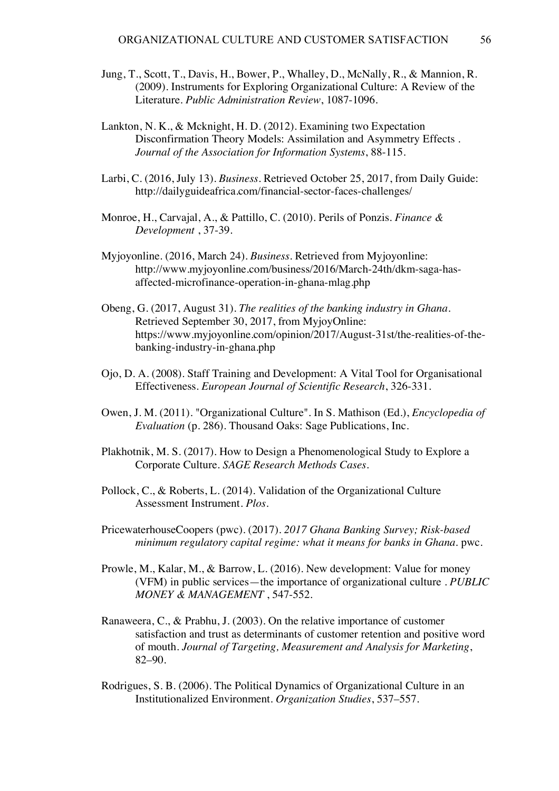- Jung, T., Scott, T., Davis, H., Bower, P., Whalley, D., McNally, R., & Mannion, R. (2009). Instruments for Exploring Organizational Culture: A Review of the Literature. *Public Administration Review*, 1087-1096.
- Lankton, N. K., & Mcknight, H. D. (2012). Examining two Expectation Disconfirmation Theory Models: Assimilation and Asymmetry Effects . *Journal of the Association for Information Systems*, 88-115.
- Larbi, C. (2016, July 13). *Business*. Retrieved October 25, 2017, from Daily Guide: http://dailyguideafrica.com/financial-sector-faces-challenges/
- Monroe, H., Carvajal, A., & Pattillo, C. (2010). Perils of Ponzis. *Finance & Development* , 37-39.
- Myjoyonline. (2016, March 24). *Business*. Retrieved from Myjoyonline: http://www.myjoyonline.com/business/2016/March-24th/dkm-saga-hasaffected-microfinance-operation-in-ghana-mlag.php
- Obeng, G. (2017, August 31). *The realities of the banking industry in Ghana.* Retrieved September 30, 2017, from MyjoyOnline: https://www.myjoyonline.com/opinion/2017/August-31st/the-realities-of-thebanking-industry-in-ghana.php
- Ojo, D. A. (2008). Staff Training and Development: A Vital Tool for Organisational Effectiveness. *European Journal of Scientific Research*, 326-331.
- Owen, J. M. (2011). "Organizational Culture". In S. Mathison (Ed.), *Encyclopedia of Evaluation* (p. 286). Thousand Oaks: Sage Publications, Inc.
- Plakhotnik, M. S. (2017). How to Design a Phenomenological Study to Explore a Corporate Culture. *SAGE Research Methods Cases*.
- Pollock, C., & Roberts, L. (2014). Validation of the Organizational Culture Assessment Instrument. *Plos*.
- PricewaterhouseCoopers (pwc). (2017). *2017 Ghana Banking Survey; Risk-based minimum regulatory capital regime: what it means for banks in Ghana.* pwc.
- Prowle, M., Kalar, M., & Barrow, L. (2016). New development: Value for money (VFM) in public services—the importance of organizational culture . *PUBLIC MONEY & MANAGEMENT* , 547-552.
- Ranaweera, C., & Prabhu, J. (2003). On the relative importance of customer satisfaction and trust as determinants of customer retention and positive word of mouth. *Journal of Targeting, Measurement and Analysis for Marketing*, 82–90.
- Rodrigues, S. B. (2006). The Political Dynamics of Organizational Culture in an Institutionalized Environment. *Organization Studies*, 537–557.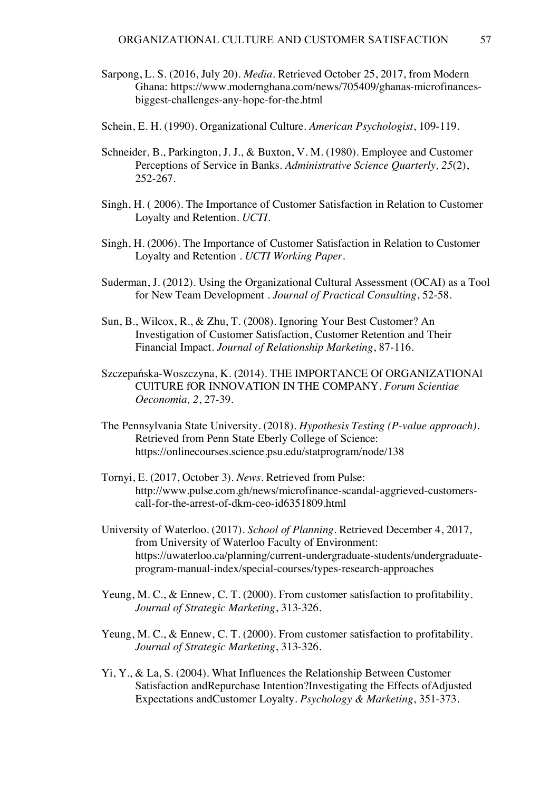- Sarpong, L. S. (2016, July 20). *Media*. Retrieved October 25, 2017, from Modern Ghana: https://www.modernghana.com/news/705409/ghanas-microfinancesbiggest-challenges-any-hope-for-the.html
- Schein, E. H. (1990). Organizational Culture. *American Psychologist*, 109-119.
- Schneider, B., Parkington, J. J., & Buxton, V. M. (1980). Employee and Customer Perceptions of Service in Banks. *Administrative Science Quarterly, 25*(2), 252-267.
- Singh, H. ( 2006). The Importance of Customer Satisfaction in Relation to Customer Loyalty and Retention. *UCTI*.
- Singh, H. (2006). The Importance of Customer Satisfaction in Relation to Customer Loyalty and Retention . *UCTI Working Paper*.
- Suderman, J. (2012). Using the Organizational Cultural Assessment (OCAI) as a Tool for New Team Development . *Journal of Practical Consulting*, 52-58.
- Sun, B., Wilcox, R., & Zhu, T. (2008). Ignoring Your Best Customer? An Investigation of Customer Satisfaction, Customer Retention and Their Financial Impact. *Journal of Relationship Marketing*, 87-116.
- Szczepańska-Woszczyna, K. (2014). THE IMPORTANCE Of ORGANIZATIONAl CUlTURE fOR INNOVATION IN THE COMPANY. *Forum Scientiae Oeconomia, 2*, 27-39.
- The Pennsylvania State University. (2018). *Hypothesis Testing (P-value approach)*. Retrieved from Penn State Eberly College of Science: https://onlinecourses.science.psu.edu/statprogram/node/138
- Tornyi, E. (2017, October 3). *News*. Retrieved from Pulse: http://www.pulse.com.gh/news/microfinance-scandal-aggrieved-customerscall-for-the-arrest-of-dkm-ceo-id6351809.html
- University of Waterloo. (2017). *School of Planning*. Retrieved December 4, 2017, from University of Waterloo Faculty of Environment: https://uwaterloo.ca/planning/current-undergraduate-students/undergraduateprogram-manual-index/special-courses/types-research-approaches
- Yeung, M. C., & Ennew, C. T. (2000). From customer satisfaction to profitability. *Journal of Strategic Marketing*, 313-326.
- Yeung, M. C., & Ennew, C. T. (2000). From customer satisfaction to profitability. *Journal of Strategic Marketing*, 313-326.
- Yi, Y., & La, S. (2004). What Influences the Relationship Between Customer Satisfaction andRepurchase Intention?Investigating the Effects ofAdjusted Expectations andCustomer Loyalty. *Psychology & Marketing*, 351-373.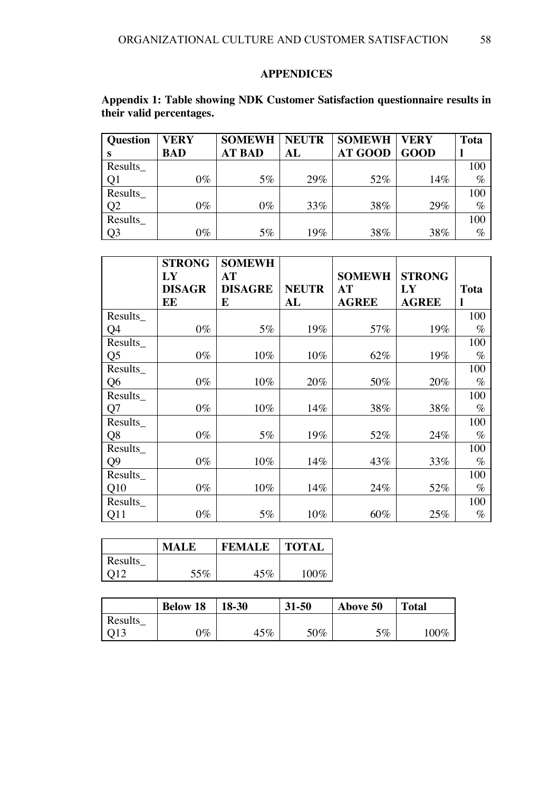#### **APPENDICES**

## **Appendix 1: Table showing NDK Customer Satisfaction questionnaire results in their valid percentages.**

| <b>Question</b> | <b>VERY</b> | <b>SOMEWH</b> | <b>NEUTR</b> | <b>SOMEWH</b>  | <b>VERY</b> | <b>Tota</b> |
|-----------------|-------------|---------------|--------------|----------------|-------------|-------------|
|                 | <b>BAD</b>  | <b>AT BAD</b> | AL           | <b>AT GOOD</b> | <b>GOOD</b> |             |
| Results_        |             |               |              |                |             | 100         |
| Q1              | $0\%$       | 5%            | 29%          | 52%            | 14%         | $\%$        |
| Results         |             |               |              |                |             | 100         |
| Q <sub>2</sub>  | $0\%$       | $0\%$         | 33%          | 38%            | 29%         | $\%$        |
| Results         |             |               |              |                |             | 100         |
| Q <sub>3</sub>  | $0\%$       | 5%            | 19%          | 38%            | 38%         | $\%$        |

|                | <b>STRONG</b><br>LY<br><b>DISAGR</b><br>EE | <b>SOMEWH</b><br>AT<br><b>DISAGRE</b><br>E | <b>NEUTR</b><br>AL | <b>SOMEWH</b><br>AT<br><b>AGREE</b> | <b>STRONG</b><br>LY<br><b>AGREE</b> | <b>Tota</b> |
|----------------|--------------------------------------------|--------------------------------------------|--------------------|-------------------------------------|-------------------------------------|-------------|
| Results_       |                                            |                                            |                    |                                     |                                     | 100         |
| Q4             | $0\%$                                      | 5%                                         | 19%                | 57%                                 | 19%                                 | $\%$        |
| Results_       |                                            |                                            |                    |                                     |                                     | 100         |
| Q <sub>5</sub> | $0\%$                                      | 10%                                        | $10\%$             | 62%                                 | 19%                                 | $\%$        |
| Results        |                                            |                                            |                    |                                     |                                     | 100         |
| Q <sub>6</sub> | $0\%$                                      | 10%                                        | 20%                | 50%                                 | 20%                                 | $\%$        |
| Results        |                                            |                                            |                    |                                     |                                     | 100         |
| Q7             | $0\%$                                      | 10%                                        | 14%                | 38%                                 | 38%                                 | $\%$        |
| Results_       |                                            |                                            |                    |                                     |                                     | 100         |
| Q <sub>8</sub> | $0\%$                                      | $5\%$                                      | 19%                | 52%                                 | 24%                                 | $\%$        |
| Results        |                                            |                                            |                    |                                     |                                     | 100         |
| Q <sub>9</sub> | $0\%$                                      | 10%                                        | 14%                | 43%                                 | 33%                                 | $\%$        |
| Results        |                                            |                                            |                    |                                     |                                     | 100         |
| Q10            | $0\%$                                      | 10%                                        | 14%                | 24%                                 | 52%                                 | $\%$        |
| Results_       |                                            |                                            |                    |                                     |                                     | 100         |
| Q11            | $0\%$                                      | $5\%$                                      | $10\%$             | 60%                                 | 25%                                 | $\%$        |

|                 | <b>MALE</b> | <b>FEMALE</b> | <b>TOTAL</b> |
|-----------------|-------------|---------------|--------------|
| Results         |             |               |              |
| O <sub>12</sub> | 55%         | 45%           | 100\%        |

|         | <b>Below 18</b> | $18-30$ | $31 - 50$ | Above 50 | <b>Total</b> |
|---------|-----------------|---------|-----------|----------|--------------|
| Results |                 |         |           |          |              |
|         | $\gamma_{\%}$   | 45%     | 50%       | $5\%$    | $100\%$      |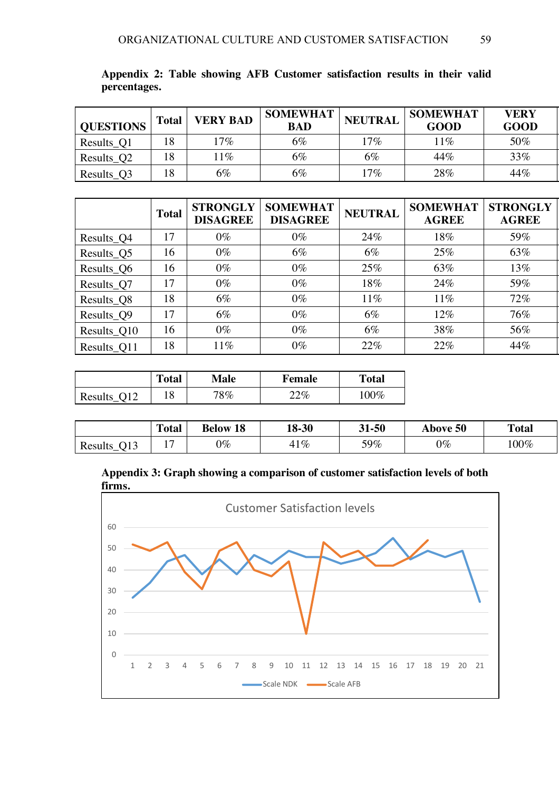| <b>QUESTIONS</b> | <b>Total</b> | <b>VERY BAD</b> | <b>SOMEWHAT</b><br><b>BAD</b> | <b>NEUTRAL</b> | <b>SOMEWHAT</b><br><b>GOOD</b> | <b>VERY</b><br><b>GOOD</b> |
|------------------|--------------|-----------------|-------------------------------|----------------|--------------------------------|----------------------------|
| Results_Q1       | 18           | $17\%$          | 6%                            | $17\%$         | $1\%$                          | 50%                        |
| Results_Q2       | 18           | $1\%$           | $6\%$                         | 6%             | 44%                            | 33%                        |
| Results_Q3       | 18           | 6%              | $6\%$                         | $17\%$         | 28%                            | 44%                        |

**Appendix 2: Table showing AFB Customer satisfaction results in their valid percentages.**

|             | <b>Total</b> | <b>STRONGLY</b><br><b>DISAGREE</b> | <b>SOMEWHAT</b><br><b>DISAGREE</b> | <b>NEUTRAL</b> | <b>SOMEWHAT</b><br><b>AGREE</b> | <b>STRONGLY</b><br><b>AGREE</b> |
|-------------|--------------|------------------------------------|------------------------------------|----------------|---------------------------------|---------------------------------|
| Results_Q4  | 17           | $0\%$                              | $0\%$                              | 24%            | 18%                             | 59%                             |
| Results_Q5  | 16           | $0\%$                              | 6%                                 | 6%             | 25%                             | 63%                             |
| Results_Q6  | 16           | $0\%$                              | $0\%$                              | 25%            | 63%                             | 13%                             |
| Results_Q7  | 17           | $0\%$                              | $0\%$                              | 18%            | 24%                             | 59%                             |
| Results_Q8  | 18           | $6\%$                              | $0\%$                              | 11%            | 11%                             | 72%                             |
| Results_Q9  | 17           | $6\%$                              | $0\%$                              | $6\%$          | 12%                             | 76%                             |
| Results_Q10 | 16           | $0\%$                              | $0\%$                              | $6\%$          | 38%                             | 56%                             |
| Results_Q11 | 18           | 11%                                | $0\%$                              | 22%            | 22%                             | 44%                             |

|         | <b>Total</b> | <b>Male</b> | <b>Female</b> | <b>Total</b> |
|---------|--------------|-------------|---------------|--------------|
| Results | 1 O          | $8\%$       | $22\%$        | $70\%$       |

|                | <b>Total</b> | 18<br><b>Below</b> | 18-30 | 31-50 | <b>Above 50</b> | <b>Total</b> |
|----------------|--------------|--------------------|-------|-------|-----------------|--------------|
| 013<br>Results | -<br>. .     | $0\%$              | $1\%$ | 59%   | $0\%$           | $.00\%$      |

**Appendix 3: Graph showing a comparison of customer satisfaction levels of both firms.**

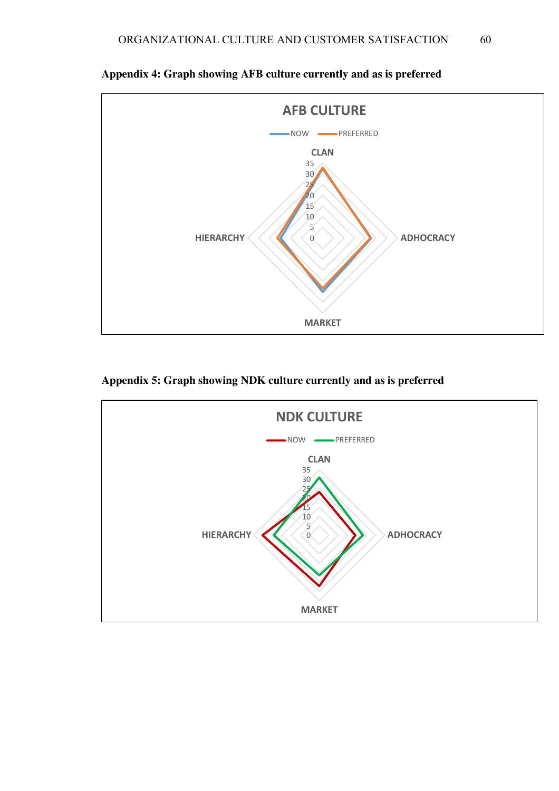

**Appendix 4: Graph showing AFB culture currently and as is preferred**

## **Appendix 5: Graph showing NDK culture currently and as is preferred**

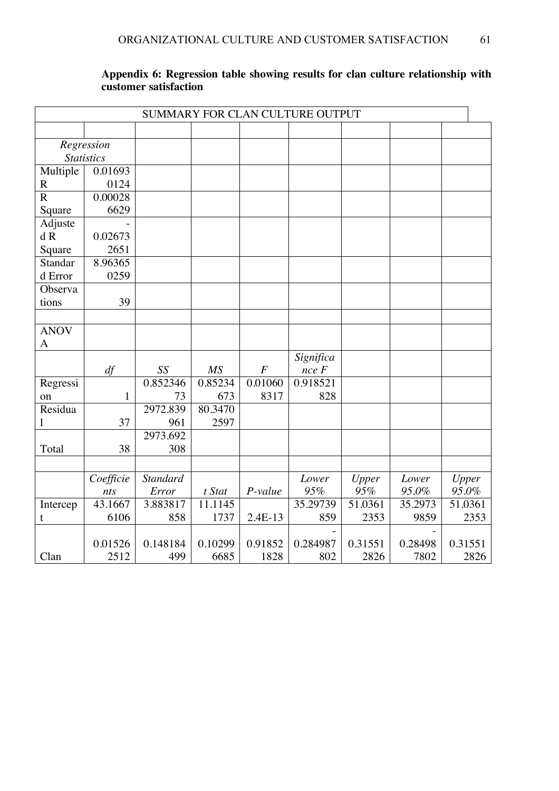|              |                   |                 |         |          |            | SUMMARY FOR CLAN CULTURE OUTPUT |         |         |  |  |  |  |  |  |
|--------------|-------------------|-----------------|---------|----------|------------|---------------------------------|---------|---------|--|--|--|--|--|--|
|              |                   |                 |         |          |            |                                 |         |         |  |  |  |  |  |  |
|              | Regression        |                 |         |          |            |                                 |         |         |  |  |  |  |  |  |
|              | <b>Statistics</b> |                 |         |          |            |                                 |         |         |  |  |  |  |  |  |
| Multiple     | 0.01693           |                 |         |          |            |                                 |         |         |  |  |  |  |  |  |
| $\mathbf R$  | 0124              |                 |         |          |            |                                 |         |         |  |  |  |  |  |  |
| $\mathbf R$  | 0.00028           |                 |         |          |            |                                 |         |         |  |  |  |  |  |  |
| Square       | 6629              |                 |         |          |            |                                 |         |         |  |  |  |  |  |  |
| Adjuste      |                   |                 |         |          |            |                                 |         |         |  |  |  |  |  |  |
| dR           | 0.02673           |                 |         |          |            |                                 |         |         |  |  |  |  |  |  |
| Square       | 2651              |                 |         |          |            |                                 |         |         |  |  |  |  |  |  |
| Standar      | 8.96365           |                 |         |          |            |                                 |         |         |  |  |  |  |  |  |
| d Error      | 0259              |                 |         |          |            |                                 |         |         |  |  |  |  |  |  |
| Observa      |                   |                 |         |          |            |                                 |         |         |  |  |  |  |  |  |
| tions        | 39                |                 |         |          |            |                                 |         |         |  |  |  |  |  |  |
|              |                   |                 |         |          |            |                                 |         |         |  |  |  |  |  |  |
| <b>ANOV</b>  |                   |                 |         |          |            |                                 |         |         |  |  |  |  |  |  |
| A            |                   |                 |         |          |            |                                 |         |         |  |  |  |  |  |  |
|              |                   |                 |         |          | Significa  |                                 |         |         |  |  |  |  |  |  |
|              | df                | SS              | MS      | $\cal F$ | $nce \, F$ |                                 |         |         |  |  |  |  |  |  |
| Regressi     |                   | 0.852346        | 0.85234 | 0.01060  | 0.918521   |                                 |         |         |  |  |  |  |  |  |
| on           | $\mathbf{1}$      | 73              | 673     | 8317     | 828        |                                 |         |         |  |  |  |  |  |  |
| Residua      |                   | 2972.839        | 80.3470 |          |            |                                 |         |         |  |  |  |  |  |  |
| $\mathbf{l}$ | 37                | 961             | 2597    |          |            |                                 |         |         |  |  |  |  |  |  |
|              |                   | 2973.692        |         |          |            |                                 |         |         |  |  |  |  |  |  |
| Total        | 38                | 308             |         |          |            |                                 |         |         |  |  |  |  |  |  |
|              |                   |                 |         |          |            |                                 |         |         |  |  |  |  |  |  |
|              | Coefficie         | <b>Standard</b> |         |          | Lower      | Upper                           | Lower   | Upper   |  |  |  |  |  |  |
|              | nts               | Error           | t Stat  | P-value  | 95%        | 95%                             | 95.0%   | 95.0%   |  |  |  |  |  |  |
| Intercep     | 43.1667           | 3.883817        | 11.1145 |          | 35.29739   | 51.0361                         | 35.2973 | 51.0361 |  |  |  |  |  |  |
| t            | 6106              | 858             | 1737    | 2.4E-13  | 859        | 2353                            | 9859    | 2353    |  |  |  |  |  |  |
|              |                   |                 |         |          |            |                                 |         |         |  |  |  |  |  |  |
|              | 0.01526           | 0.148184        | 0.10299 | 0.91852  | 0.284987   | 0.31551                         | 0.28498 | 0.31551 |  |  |  |  |  |  |
| Clan         | 2512              | 499             | 6685    | 1828     | 802        | 2826                            | 7802    | 2826    |  |  |  |  |  |  |

### **Appendix 6: Regression table showing results for clan culture relationship with customer satisfaction**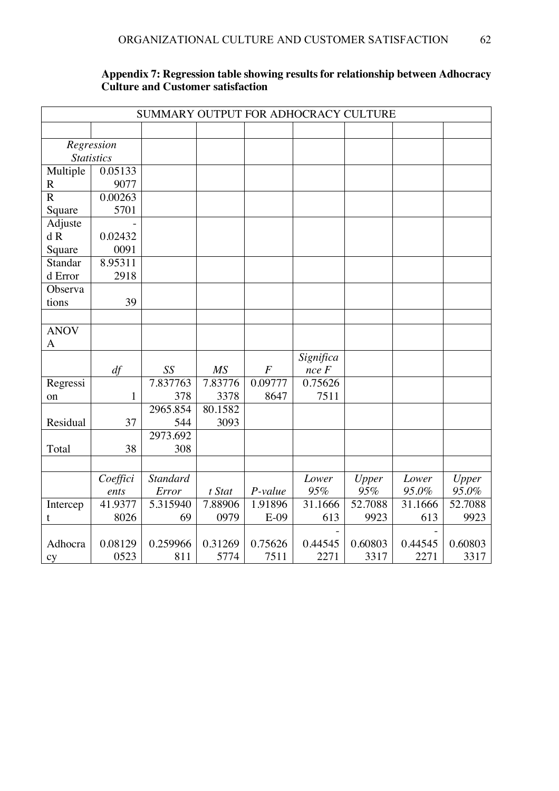|                   | SUMMARY OUTPUT FOR ADHOCRACY CULTURE |                 |                 |                  |            |         |         |         |  |
|-------------------|--------------------------------------|-----------------|-----------------|------------------|------------|---------|---------|---------|--|
|                   |                                      |                 |                 |                  |            |         |         |         |  |
|                   | Regression                           |                 |                 |                  |            |         |         |         |  |
| <b>Statistics</b> |                                      |                 |                 |                  |            |         |         |         |  |
| Multiple          | 0.05133                              |                 |                 |                  |            |         |         |         |  |
| $\mathbf R$       | 9077                                 |                 |                 |                  |            |         |         |         |  |
| $\mathbf R$       | 0.00263                              |                 |                 |                  |            |         |         |         |  |
| Square            | 5701                                 |                 |                 |                  |            |         |         |         |  |
| Adjuste           |                                      |                 |                 |                  |            |         |         |         |  |
| dR                | 0.02432                              |                 |                 |                  |            |         |         |         |  |
| Square            | 0091                                 |                 |                 |                  |            |         |         |         |  |
| Standar           | 8.95311                              |                 |                 |                  |            |         |         |         |  |
| d Error           | 2918                                 |                 |                 |                  |            |         |         |         |  |
| Observa           |                                      |                 |                 |                  |            |         |         |         |  |
| tions             | 39                                   |                 |                 |                  |            |         |         |         |  |
|                   |                                      |                 |                 |                  |            |         |         |         |  |
| <b>ANOV</b>       |                                      |                 |                 |                  |            |         |         |         |  |
| $\mathbf{A}$      |                                      |                 |                 |                  |            |         |         |         |  |
|                   |                                      |                 |                 |                  | Significa  |         |         |         |  |
|                   | df                                   | SS              | $\overline{MS}$ | $\boldsymbol{F}$ | $nce \, F$ |         |         |         |  |
| Regressi          |                                      | 7.837763        | 7.83776         | 0.09777          | 0.75626    |         |         |         |  |
| on                | $\mathbf{1}$                         | 378             | 3378            | 8647             | 7511       |         |         |         |  |
|                   |                                      | 2965.854        | 80.1582         |                  |            |         |         |         |  |
| Residual          | 37                                   | 544             | 3093            |                  |            |         |         |         |  |
|                   |                                      | 2973.692        |                 |                  |            |         |         |         |  |
| Total             | 38                                   | 308             |                 |                  |            |         |         |         |  |
|                   |                                      |                 |                 |                  |            |         |         |         |  |
|                   | Coeffici                             | <b>Standard</b> |                 |                  | Lower      | Upper   | Lower   | Upper   |  |
|                   | ents                                 | Error           | t Stat          | P-value          | 95%        | 95%     | 95.0%   | 95.0%   |  |
| Intercep          | 41.9377                              | 5.315940        | 7.88906         | 1.91896          | 31.1666    | 52.7088 | 31.1666 | 52.7088 |  |
| t                 | 8026                                 | 69              | 0979            | $E-09$           | 613        | 9923    | 613     | 9923    |  |
|                   |                                      |                 |                 |                  |            |         |         |         |  |
| Adhocra           | 0.08129                              | 0.259966        | 0.31269         | 0.75626          | 0.44545    | 0.60803 | 0.44545 | 0.60803 |  |
| cy                | 0523                                 | 811             | 5774            | 7511             | 2271       | 3317    | 2271    | 3317    |  |

## **Appendix 7: Regression table showing results for relationship between Adhocracy Culture and Customer satisfaction**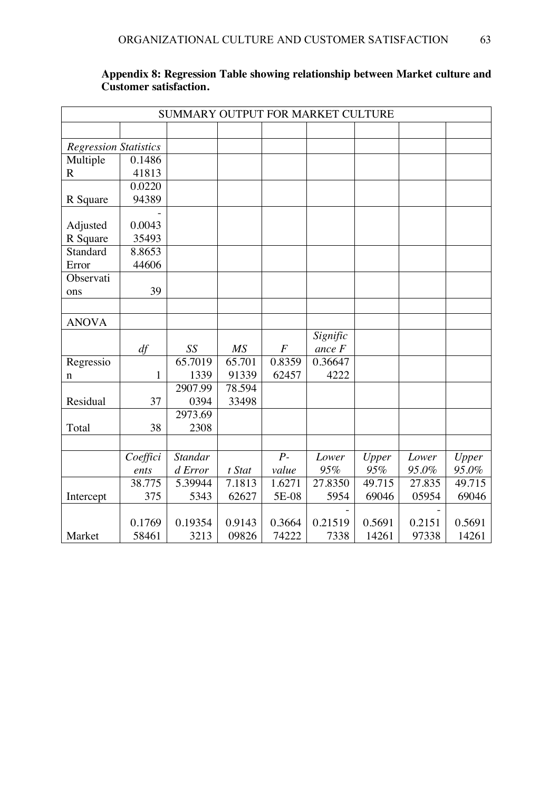|                              | SUMMARY OUTPUT FOR MARKET CULTURE |                |                 |                |          |        |        |        |
|------------------------------|-----------------------------------|----------------|-----------------|----------------|----------|--------|--------|--------|
|                              |                                   |                |                 |                |          |        |        |        |
| <b>Regression Statistics</b> |                                   |                |                 |                |          |        |        |        |
| Multiple                     | 0.1486                            |                |                 |                |          |        |        |        |
| $\mathbf R$                  | 41813                             |                |                 |                |          |        |        |        |
|                              | 0.0220                            |                |                 |                |          |        |        |        |
| R Square                     | 94389                             |                |                 |                |          |        |        |        |
|                              |                                   |                |                 |                |          |        |        |        |
| Adjusted                     | 0.0043                            |                |                 |                |          |        |        |        |
| R Square                     | 35493                             |                |                 |                |          |        |        |        |
| Standard                     | 8.8653                            |                |                 |                |          |        |        |        |
| Error                        | 44606                             |                |                 |                |          |        |        |        |
| Observati                    |                                   |                |                 |                |          |        |        |        |
| ons                          | 39                                |                |                 |                |          |        |        |        |
|                              |                                   |                |                 |                |          |        |        |        |
| <b>ANOVA</b>                 |                                   |                |                 |                |          |        |        |        |
|                              |                                   |                |                 |                | Signific |        |        |        |
|                              | df                                | SS             | $\overline{MS}$ | $\overline{F}$ | ance F   |        |        |        |
| Regressio                    |                                   | 65.7019        | 65.701          | 0.8359         | 0.36647  |        |        |        |
| n                            | $\mathbf{1}$                      | 1339           | 91339           | 62457          | 4222     |        |        |        |
|                              |                                   | 2907.99        | 78.594          |                |          |        |        |        |
| Residual                     | 37                                | 0394           | 33498           |                |          |        |        |        |
|                              |                                   | 2973.69        |                 |                |          |        |        |        |
| Total                        | 38                                | 2308           |                 |                |          |        |        |        |
|                              |                                   |                |                 |                |          |        |        |        |
|                              | Coeffici                          | <b>Standar</b> |                 | $P -$          | Lower    | Upper  | Lower  | Upper  |
|                              | ents                              | d Error        | t Stat          | value          | 95%      | 95%    | 95.0%  | 95.0%  |
|                              | 38.775                            | 5.39944        | 7.1813          | 1.6271         | 27.8350  | 49.715 | 27.835 | 49.715 |
| Intercept                    | 375                               | 5343           | 62627           | 5E-08          | 5954     | 69046  | 05954  | 69046  |
|                              |                                   |                |                 |                |          |        |        |        |
|                              | 0.1769                            | 0.19354        | 0.9143          | 0.3664         | 0.21519  | 0.5691 | 0.2151 | 0.5691 |
| Market                       | 58461                             | 3213           | 09826           | 74222          | 7338     | 14261  | 97338  | 14261  |

### **Appendix 8: Regression Table showing relationship between Market culture and Customer satisfaction.**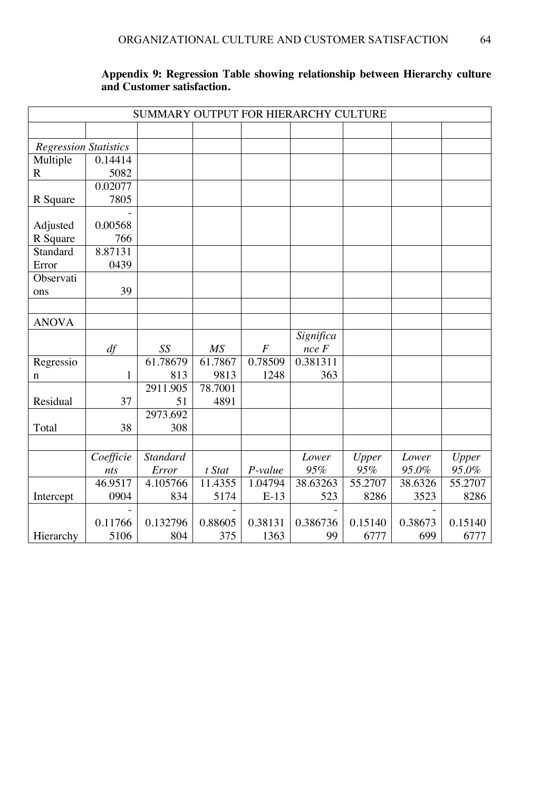|                              |              | SUMMARY OUTPUT FOR HIERARCHY CULTURE |           |                  |            |         |         |         |  |
|------------------------------|--------------|--------------------------------------|-----------|------------------|------------|---------|---------|---------|--|
|                              |              |                                      |           |                  |            |         |         |         |  |
| <b>Regression Statistics</b> |              |                                      |           |                  |            |         |         |         |  |
| Multiple                     | 0.14414      |                                      |           |                  |            |         |         |         |  |
| $\mathbf R$                  | 5082         |                                      |           |                  |            |         |         |         |  |
|                              | 0.02077      |                                      |           |                  |            |         |         |         |  |
| R Square                     | 7805         |                                      |           |                  |            |         |         |         |  |
|                              |              |                                      |           |                  |            |         |         |         |  |
| Adjusted                     | 0.00568      |                                      |           |                  |            |         |         |         |  |
| R Square                     | 766          |                                      |           |                  |            |         |         |         |  |
| Standard                     | 8.87131      |                                      |           |                  |            |         |         |         |  |
| Error                        | 0439         |                                      |           |                  |            |         |         |         |  |
| Observati                    |              |                                      |           |                  |            |         |         |         |  |
| ons                          | 39           |                                      |           |                  |            |         |         |         |  |
|                              |              |                                      |           |                  |            |         |         |         |  |
| <b>ANOVA</b>                 |              |                                      |           |                  |            |         |         |         |  |
|                              |              |                                      |           |                  | Significa  |         |         |         |  |
|                              | df           | SS                                   | <b>MS</b> | $\boldsymbol{F}$ | $nce \, F$ |         |         |         |  |
| Regressio                    |              | 61.78679                             | 61.7867   | 0.78509          | 0.381311   |         |         |         |  |
| n                            | $\mathbf{1}$ | 813                                  | 9813      | 1248             | 363        |         |         |         |  |
|                              |              | 2911.905                             | 78.7001   |                  |            |         |         |         |  |
| Residual                     | 37           | 51                                   | 4891      |                  |            |         |         |         |  |
|                              |              | 2973.692                             |           |                  |            |         |         |         |  |
| Total                        | 38           | 308                                  |           |                  |            |         |         |         |  |
|                              |              |                                      |           |                  |            |         |         |         |  |
|                              | Coefficie    | <b>Standard</b>                      |           |                  | Lower      | Upper   | Lower   | Upper   |  |
|                              | nts          | Error                                | t Stat    | P-value          | 95%        | 95%     | 95.0%   | 95.0%   |  |
|                              | 46.9517      | 4.105766                             | 11.4355   | 1.04794          | 38.63263   | 55.2707 | 38.6326 | 55.2707 |  |
| Intercept                    | 0904         | 834                                  | 5174      | $E-13$           | 523        | 8286    | 3523    | 8286    |  |
|                              |              |                                      |           |                  |            |         |         |         |  |
|                              | 0.11766      | 0.132796                             | 0.88605   | 0.38131          | 0.386736   | 0.15140 | 0.38673 | 0.15140 |  |
| Hierarchy                    | 5106         | 804                                  | 375       | 1363             | 99         | 6777    | 699     | 6777    |  |

### **Appendix 9: Regression Table showing relationship between Hierarchy culture and Customer satisfaction.**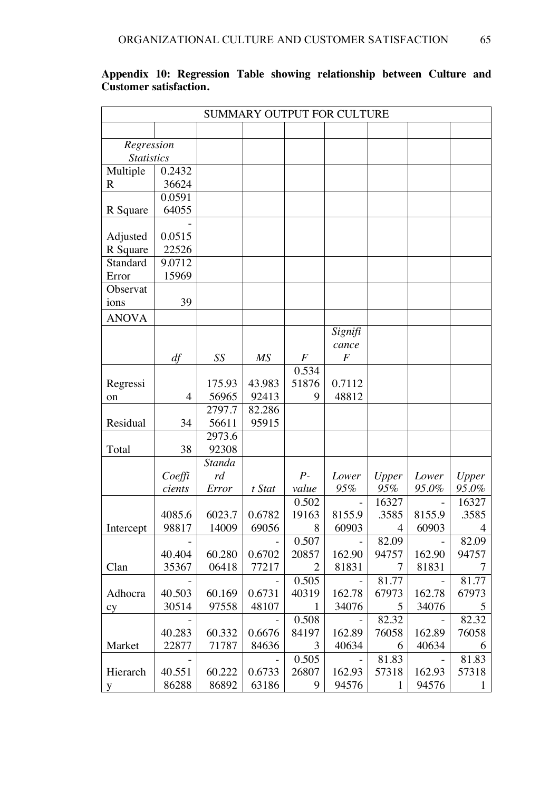|                   | SUMMARY OUTPUT FOR CULTURE |        |                 |                           |                |                |        |                |
|-------------------|----------------------------|--------|-----------------|---------------------------|----------------|----------------|--------|----------------|
|                   |                            |        |                 |                           |                |                |        |                |
| Regression        |                            |        |                 |                           |                |                |        |                |
| <b>Statistics</b> |                            |        |                 |                           |                |                |        |                |
| Multiple          | 0.2432                     |        |                 |                           |                |                |        |                |
| $\mathbf R$       | 36624                      |        |                 |                           |                |                |        |                |
|                   | 0.0591                     |        |                 |                           |                |                |        |                |
| R Square          | 64055                      |        |                 |                           |                |                |        |                |
| Adjusted          | 0.0515                     |        |                 |                           |                |                |        |                |
| R Square          | 22526                      |        |                 |                           |                |                |        |                |
| Standard          | 9.0712                     |        |                 |                           |                |                |        |                |
| Error             | 15969                      |        |                 |                           |                |                |        |                |
| Observat          |                            |        |                 |                           |                |                |        |                |
| ions              | 39                         |        |                 |                           |                |                |        |                |
| <b>ANOVA</b>      |                            |        |                 |                           |                |                |        |                |
|                   |                            |        |                 |                           | Signifi        |                |        |                |
|                   |                            |        |                 |                           | cance          |                |        |                |
|                   | df                         | SS     | $\overline{MS}$ | $\boldsymbol{F}$          | $\overline{F}$ |                |        |                |
|                   |                            |        |                 | 0.534                     |                |                |        |                |
| Regressi          |                            | 175.93 | 43.983          | 51876                     | 0.7112         |                |        |                |
| on                | $\overline{4}$             | 56965  | 92413           | 9                         | 48812          |                |        |                |
|                   |                            | 2797.7 | 82.286          |                           |                |                |        |                |
| Residual          | 34                         | 56611  | 95915           |                           |                |                |        |                |
|                   |                            | 2973.6 |                 |                           |                |                |        |                |
| Total             | 38                         | 92308  |                 |                           |                |                |        |                |
|                   |                            | Standa |                 |                           |                |                |        |                |
|                   | Coeffi                     | rd     |                 | $P -$                     | Lower          | <b>Upper</b>   | Lower  | Upper          |
|                   | cients                     | Error  | t Stat          | value                     | 95%            | 95%            | 95.0%  | 95.0%          |
|                   |                            |        |                 | 0.502                     |                | 16327          |        | 16327          |
|                   | 4085.6                     | 6023.7 | 0.6782          | 19163                     | 8155.9         | .3585          | 8155.9 | .3585          |
| Intercept         | 98817                      | 14009  | 69056           | $\overline{\phantom{0}}8$ | 60903          | $\overline{4}$ | 60903  | $\overline{4}$ |
|                   |                            |        |                 | 0.507                     |                | 82.09          |        | 82.09          |
|                   | 40.404                     | 60.280 | 0.6702          | 20857                     | 162.90         | 94757          | 162.90 | 94757          |
| Clan              | 35367                      | 06418  | 77217           | $\overline{2}$            | 81831          | 7              | 81831  | 7              |
|                   |                            |        |                 | 0.505                     |                | 81.77          |        | 81.77          |
| Adhocra           | 40.503                     | 60.169 | 0.6731          | 40319                     | 162.78         | 67973          | 162.78 | 67973          |
| cy                | 30514                      | 97558  | 48107           | $\mathbf{1}$              | 34076          | 5              | 34076  | 5              |
|                   |                            |        |                 | 0.508                     |                | 82.32          |        | 82.32          |
|                   | 40.283                     | 60.332 | 0.6676          | 84197                     | 162.89         | 76058          | 162.89 | 76058          |
| Market            | 22877                      | 71787  | 84636           | 3                         | 40634          | 6              | 40634  | 6              |
|                   |                            |        |                 | 0.505                     |                | 81.83          |        | 81.83          |
| Hierarch          | 40.551                     | 60.222 | 0.6733          | 26807                     | 162.93         | 57318          | 162.93 | 57318          |
| y                 | 86288                      | 86892  | 63186           | 9                         | 94576          | $\mathbf{1}$   | 94576  | $\mathbf{1}$   |

## **Appendix 10: Regression Table showing relationship between Culture and Customer satisfaction.**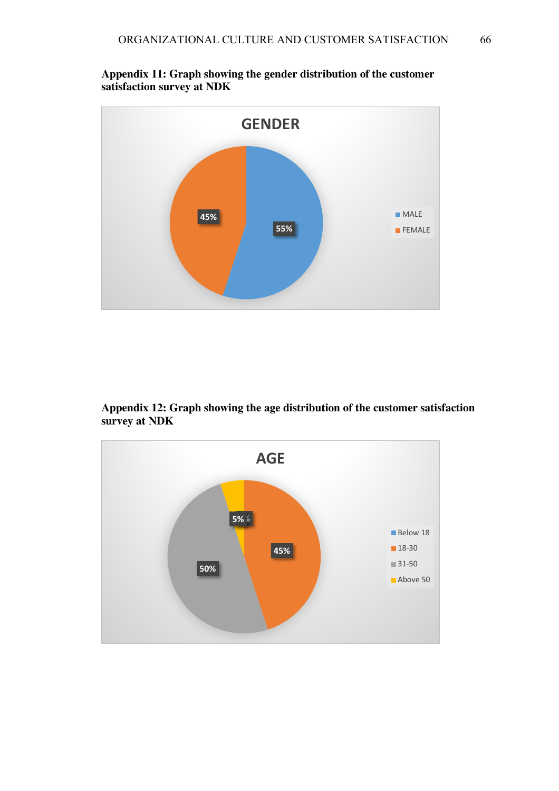

**Appendix 11: Graph showing the gender distribution of the customer satisfaction survey at NDK**

**Appendix 12: Graph showing the age distribution of the customer satisfaction survey at NDK**

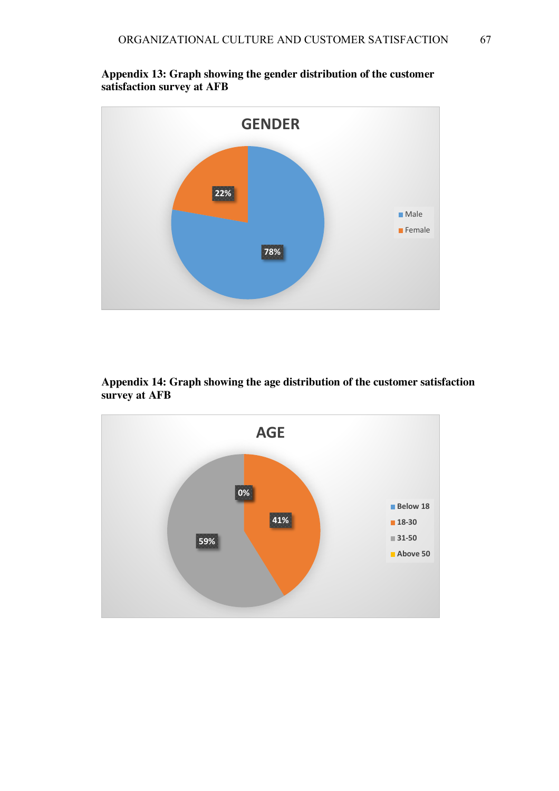

**Appendix 13: Graph showing the gender distribution of the customer satisfaction survey at AFB**



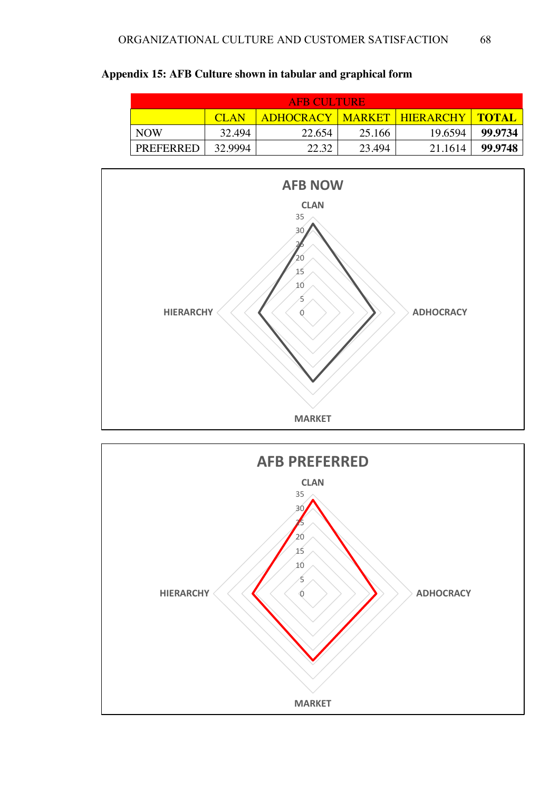|                  |             | AFB CULTURE!                   |        |         |                |
|------------------|-------------|--------------------------------|--------|---------|----------------|
|                  | <b>CLAN</b> | ADHOCRACY   MARKET   HIERARCHY |        |         | <u>I TOTAL</u> |
| <b>NOW</b>       | 32.494      | 22.654                         | 25.166 | 19.6594 | 99.9734        |
| <b>PREFERRED</b> | 32.9994     | 22.32                          | 23.494 | 21.1614 | 99.9748        |





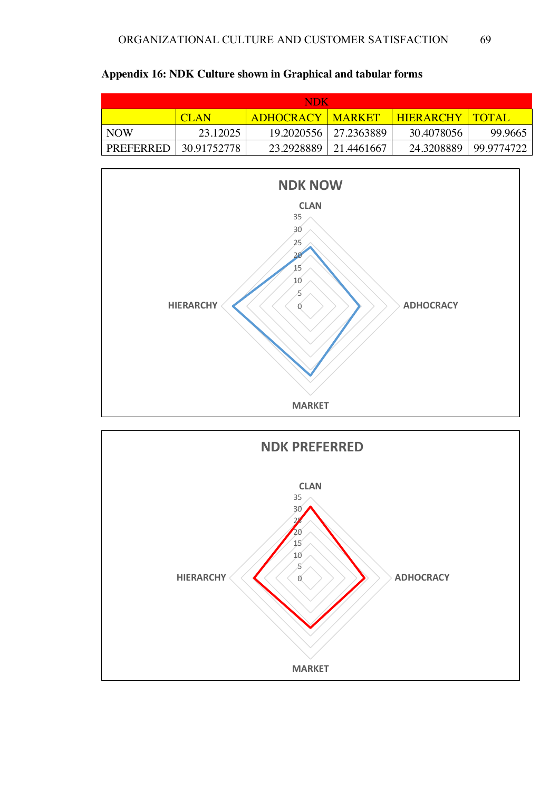| ADK        |                                                               |                         |                         |            |            |  |  |
|------------|---------------------------------------------------------------|-------------------------|-------------------------|------------|------------|--|--|
|            | <b>HIERARCHY   TOTAL</b><br><b>ADHOCRACY   MARKET</b><br>CLAN |                         |                         |            |            |  |  |
| <b>NOW</b> | 23.12025                                                      |                         | 19.2020556   27.2363889 | 30.4078056 | 99.9665    |  |  |
| PREFERRED  | 30.91752778                                                   | 23.2928889   21.4461667 |                         | 24.3208889 | 99.9774722 |  |  |





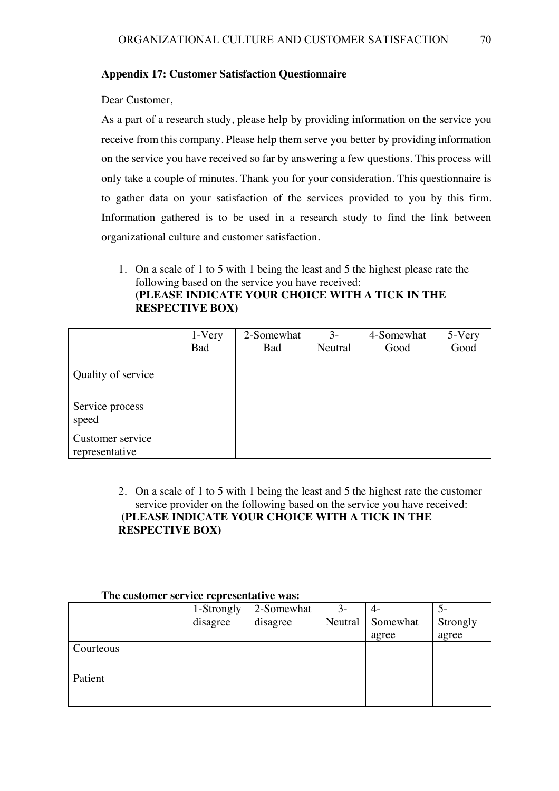### **Appendix 17: Customer Satisfaction Questionnaire**

Dear Customer,

As a part of a research study, please help by providing information on the service you receive from this company. Please help them serve you better by providing information on the service you have received so far by answering a few questions. This process will only take a couple of minutes. Thank you for your consideration. This questionnaire is to gather data on your satisfaction of the services provided to you by this firm. Information gathered is to be used in a research study to find the link between organizational culture and customer satisfaction.

1. On a scale of 1 to 5 with 1 being the least and 5 the highest please rate the following based on the service you have received: **(PLEASE INDICATE YOUR CHOICE WITH A TICK IN THE RESPECTIVE BOX)**

|                                    | 1-Very<br>Bad | 2-Somewhat<br><b>Bad</b> | $3-$<br>Neutral | 4-Somewhat<br>Good | 5-Very<br>Good |
|------------------------------------|---------------|--------------------------|-----------------|--------------------|----------------|
| Quality of service                 |               |                          |                 |                    |                |
| Service process<br>speed           |               |                          |                 |                    |                |
| Customer service<br>representative |               |                          |                 |                    |                |

## 2. On a scale of 1 to 5 with 1 being the least and 5 the highest rate the customer service provider on the following based on the service you have received: **(PLEASE INDICATE YOUR CHOICE WITH A TICK IN THE RESPECTIVE BOX)**

| THE CONSULTED SERVICE PUBLICATION IN MISSI |            |            |         |          |          |
|--------------------------------------------|------------|------------|---------|----------|----------|
|                                            | 1-Strongly | 2-Somewhat | $3-$    |          |          |
|                                            | disagree   | disagree   | Neutral | Somewhat | Strongly |
|                                            |            |            |         | agree    | agree    |
| Courteous                                  |            |            |         |          |          |
| Patient                                    |            |            |         |          |          |
|                                            |            |            |         |          |          |

#### **The customer service representative was:**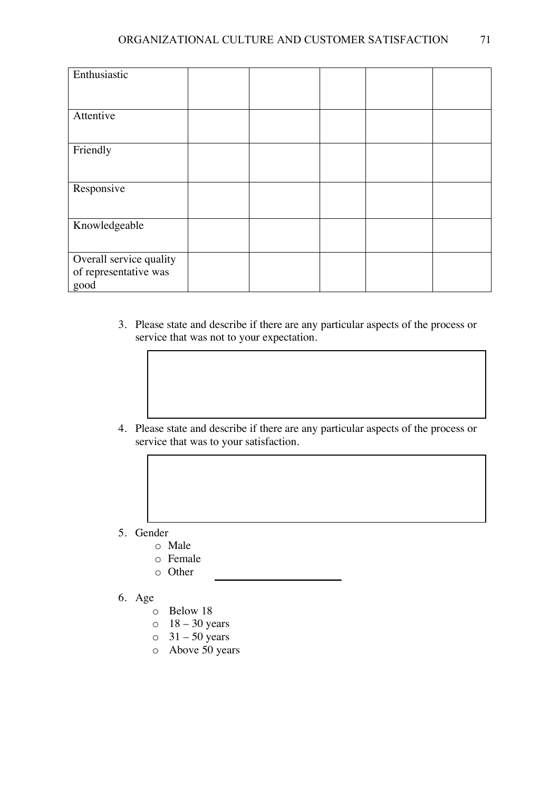| Enthusiastic            |  |  |  |
|-------------------------|--|--|--|
|                         |  |  |  |
| Attentive               |  |  |  |
|                         |  |  |  |
| Friendly                |  |  |  |
|                         |  |  |  |
| Responsive              |  |  |  |
|                         |  |  |  |
| Knowledgeable           |  |  |  |
|                         |  |  |  |
| Overall service quality |  |  |  |
| of representative was   |  |  |  |
| good                    |  |  |  |

- 3. Please state and describe if there are any particular aspects of the process or service that was not to your expectation.
- 4. Please state and describe if there are any particular aspects of the process or service that was to your satisfaction.
- 5. Gender
	- o Male
	- o Female
	- o Other
- 6. Age
	- o Below 18
	- $\circ$  18 30 years
	- $\circ$  31 50 years
	- o Above 50 years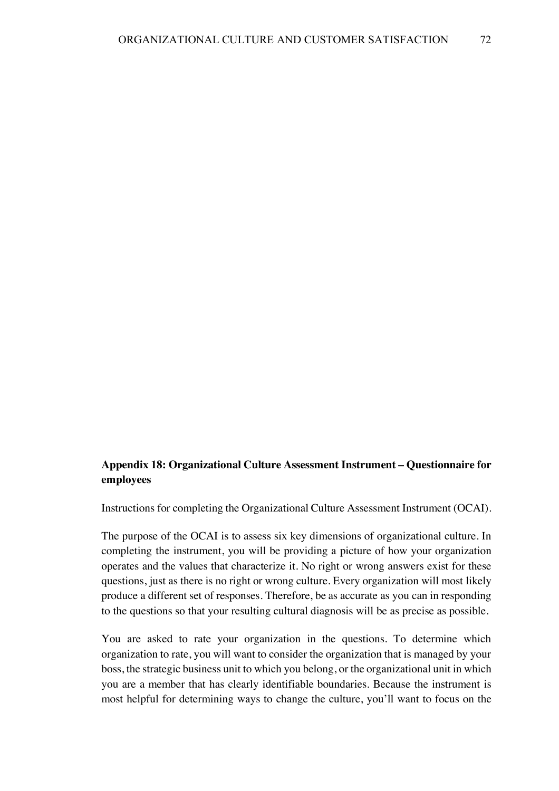# **Appendix 18: Organizational Culture Assessment Instrument – Questionnaire for employees**

Instructions for completing the Organizational Culture Assessment Instrument (OCAI).

The purpose of the OCAI is to assess six key dimensions of organizational culture. In completing the instrument, you will be providing a picture of how your organization operates and the values that characterize it. No right or wrong answers exist for these questions, just as there is no right or wrong culture. Every organization will most likely produce a different set of responses. Therefore, be as accurate as you can in responding to the questions so that your resulting cultural diagnosis will be as precise as possible.

You are asked to rate your organization in the questions. To determine which organization to rate, you will want to consider the organization that is managed by your boss, the strategic business unit to which you belong, or the organizational unit in which you are a member that has clearly identifiable boundaries. Because the instrument is most helpful for determining ways to change the culture, you'll want to focus on the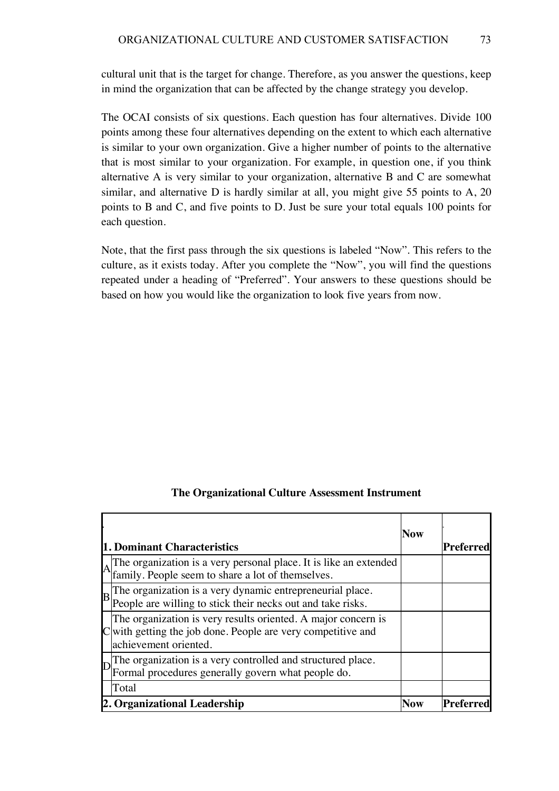cultural unit that is the target for change. Therefore, as you answer the questions, keep in mind the organization that can be affected by the change strategy you develop.

The OCAI consists of six questions. Each question has four alternatives. Divide 100 points among these four alternatives depending on the extent to which each alternative is similar to your own organization. Give a higher number of points to the alternative that is most similar to your organization. For example, in question one, if you think alternative A is very similar to your organization, alternative B and C are somewhat similar, and alternative D is hardly similar at all, you might give 55 points to A, 20 points to B and C, and five points to D. Just be sure your total equals 100 points for each question.

Note, that the first pass through the six questions is labeled "Now". This refers to the culture, as it exists today. After you complete the "Now", you will find the questions repeated under a heading of "Preferred". Your answers to these questions should be based on how you would like the organization to look five years from now.

| The Organizational Culture Assessment Instrument |  |
|--------------------------------------------------|--|
|--------------------------------------------------|--|

|                | <b>1. Dominant Characteristics</b>                                                                                                                   | <b>Now</b> | Preferred |
|----------------|------------------------------------------------------------------------------------------------------------------------------------------------------|------------|-----------|
|                | The organization is a very personal place. It is like an extended family. People seem to share a lot of themselves.                                  |            |           |
| $\overline{B}$ | The organization is a very dynamic entrepreneurial place.<br>People are willing to stick their necks out and take risks.                             |            |           |
|                | The organization is very results oriented. A major concern is<br>with getting the job done. People are very competitive and<br>achievement oriented. |            |           |
|                | The organization is a very controlled and structured place.<br>Formal procedures generally govern what people do.                                    |            |           |
|                | Total<br>2. Organizational Leadership                                                                                                                |            | Preferred |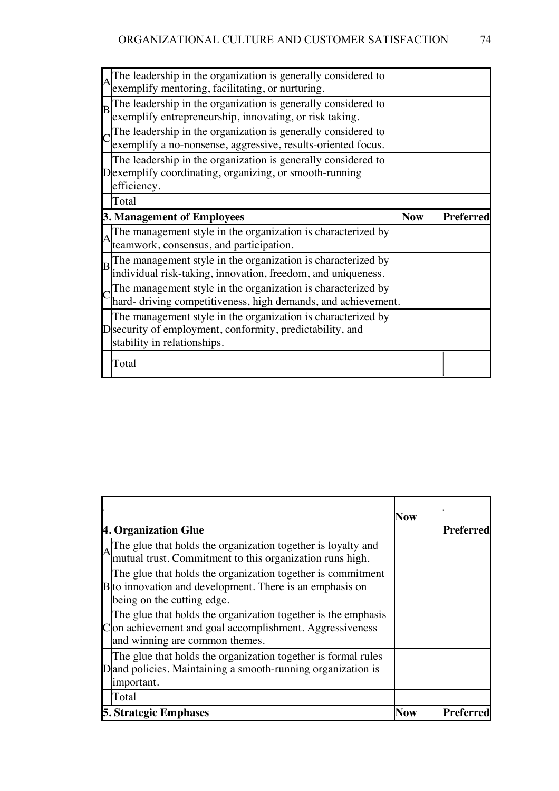|   | The leadership in the organization is generally considered to exemplify mentoring, facilitating, or nurturing.                                           |            |           |
|---|----------------------------------------------------------------------------------------------------------------------------------------------------------|------------|-----------|
| B | The leadership in the organization is generally considered to<br>exemplify entrepreneurship, innovating, or risk taking.                                 |            |           |
|   | The leadership in the organization is generally considered to<br>exemplify a no-nonsense, aggressive, results-oriented focus.                            |            |           |
|   | The leadership in the organization is generally considered to<br>$D$ exemplify coordinating, organizing, or smooth-running<br>efficiency.                |            |           |
|   | Total                                                                                                                                                    |            |           |
|   | 3. Management of Employees                                                                                                                               | <b>Now</b> | Preferred |
|   |                                                                                                                                                          |            |           |
| A | The management style in the organization is characterized by<br>teamwork, consensus, and participation.                                                  |            |           |
| B | The management style in the organization is characterized by<br>individual risk-taking, innovation, freedom, and uniqueness.                             |            |           |
|   | The management style in the organization is characterized by<br>hard- driving competitiveness, high demands, and achievement.                            |            |           |
|   | The management style in the organization is characterized by<br>D security of employment, conformity, predictability, and<br>stability in relationships. |            |           |

|                                                                                                                                                            | Now        |           |
|------------------------------------------------------------------------------------------------------------------------------------------------------------|------------|-----------|
| 4. Organization Glue                                                                                                                                       |            | Preferred |
| The glue that holds the organization together is loyalty and<br>mutual trust. Commitment to this organization runs high.                                   |            |           |
| The glue that holds the organization together is commitment<br>$B$ to innovation and development. There is an emphasis on<br>being on the cutting edge.    |            |           |
| The glue that holds the organization together is the emphasis<br>Con achievement and goal accomplishment. Aggressiveness<br>and winning are common themes. |            |           |
| The glue that holds the organization together is formal rules<br>$D$ and policies. Maintaining a smooth-running organization is<br>important.              |            |           |
| Total                                                                                                                                                      |            |           |
| <b>5. Strategic Emphases</b>                                                                                                                               | <b>Now</b> | Preferred |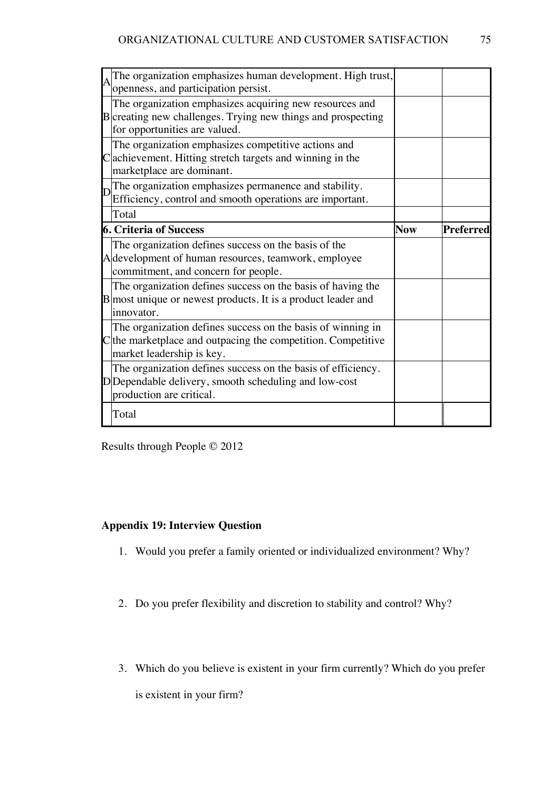|  | The organization emphasizes human development. High trust,     |            |                  |
|--|----------------------------------------------------------------|------------|------------------|
|  | openness, and participation persist.                           |            |                  |
|  | The organization emphasizes acquiring new resources and        |            |                  |
|  | B creating new challenges. Trying new things and prospecting   |            |                  |
|  | for opportunities are valued.                                  |            |                  |
|  | The organization emphasizes competitive actions and            |            |                  |
|  | achievement. Hitting stretch targets and winning in the        |            |                  |
|  | marketplace are dominant.                                      |            |                  |
|  | The organization emphasizes permanence and stability.          |            |                  |
|  | Efficiency, control and smooth operations are important.       |            |                  |
|  | Total                                                          |            |                  |
|  | <b>6. Criteria of Success</b>                                  | <b>Now</b> | <b>Preferred</b> |
|  | The organization defines success on the basis of the           |            |                  |
|  | A development of human resources, teamwork, employee           |            |                  |
|  | commitment, and concern for people.                            |            |                  |
|  | The organization defines success on the basis of having the    |            |                  |
|  | $B$ most unique or newest products. It is a product leader and |            |                  |
|  | innovator.                                                     |            |                  |
|  | The organization defines success on the basis of winning in    |            |                  |
|  | the marketplace and outpacing the competition. Competitive     |            |                  |
|  | market leadership is key.                                      |            |                  |
|  | The organization defines success on the basis of efficiency.   |            |                  |
|  | DDependable delivery, smooth scheduling and low-cost           |            |                  |
|  | production are critical.                                       |            |                  |
|  | Total                                                          |            |                  |
|  |                                                                |            |                  |

Results through People © 2012

## **Appendix 19: Interview Question**

- 1. Would you prefer a family oriented or individualized environment? Why?
- 2. Do you prefer flexibility and discretion to stability and control? Why?
- 3. Which do you believe is existent in your firm currently? Which do you prefer

is existent in your firm?